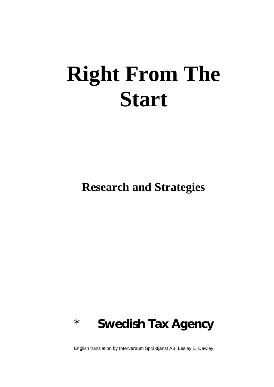# **Right From The Start**

**Research and Strategies** 

# \***Swedish Tax Agency**

English translation by Interverbum Språktjänst AB, Lesley E. Cawley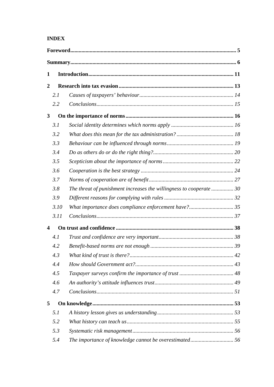# **INDEX**

| 1                |      |                                                                     |  |
|------------------|------|---------------------------------------------------------------------|--|
| 2                |      |                                                                     |  |
|                  | 2.1  |                                                                     |  |
|                  | 2.2  |                                                                     |  |
| 3                |      |                                                                     |  |
|                  | 3.1  |                                                                     |  |
|                  | 3.2  |                                                                     |  |
|                  | 3.3  |                                                                     |  |
|                  | 3.4  |                                                                     |  |
|                  | 3.5  |                                                                     |  |
|                  | 3.6  |                                                                     |  |
|                  | 3.7  |                                                                     |  |
|                  | 3.8  | The threat of punishment increases the willingness to cooperate  30 |  |
|                  | 3.9  |                                                                     |  |
|                  | 3.10 | What importance does compliance enforcement have? 35                |  |
|                  | 3.11 |                                                                     |  |
| $\boldsymbol{4}$ |      |                                                                     |  |
|                  | 4.1  |                                                                     |  |
|                  | 4.2  |                                                                     |  |
|                  | 4.3  |                                                                     |  |
|                  | 4.4  |                                                                     |  |
|                  | 4.5  |                                                                     |  |
|                  | 4.6  |                                                                     |  |
|                  | 4.7  |                                                                     |  |
| 5                |      |                                                                     |  |
|                  | 5.1  |                                                                     |  |
|                  | 5.2  |                                                                     |  |
|                  | 5.3  |                                                                     |  |
|                  | 5.4  |                                                                     |  |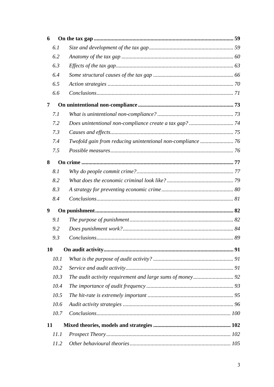| 6  |      |                                                             |  |
|----|------|-------------------------------------------------------------|--|
|    | 6.1  |                                                             |  |
|    | 6.2  |                                                             |  |
|    | 6.3  |                                                             |  |
|    | 6.4  |                                                             |  |
|    | 6.5  |                                                             |  |
|    | 6.6  |                                                             |  |
| 7  |      |                                                             |  |
|    | 7.1  |                                                             |  |
|    | 7.2  |                                                             |  |
|    | 7.3  |                                                             |  |
|    | 7.4  | Twofold gain from reducing unintentional non-compliance  76 |  |
|    | 7.5  |                                                             |  |
| 8  |      |                                                             |  |
|    | 8.1  |                                                             |  |
|    | 8.2  |                                                             |  |
|    | 8.3  |                                                             |  |
|    | 8.4  |                                                             |  |
| 9  |      |                                                             |  |
|    | 9.1  |                                                             |  |
|    | 9.2  |                                                             |  |
|    | 9.3  |                                                             |  |
| 10 |      |                                                             |  |
|    | 10.1 |                                                             |  |
|    | 10.2 |                                                             |  |
|    | 10.3 |                                                             |  |
|    | 10.4 |                                                             |  |
|    | 10.5 |                                                             |  |
|    | 10.6 |                                                             |  |
|    | 10.7 |                                                             |  |
| 11 |      |                                                             |  |
|    | 11.1 |                                                             |  |
|    | 11.2 |                                                             |  |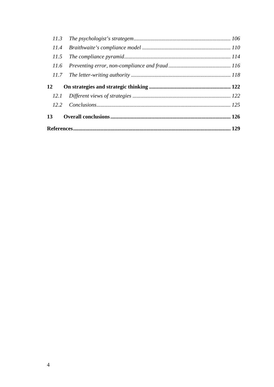| 11.3 |  |
|------|--|
| 11.4 |  |
| 11.5 |  |
| 11.6 |  |
|      |  |
| 12   |  |
|      |  |
| 12.1 |  |
| 12.2 |  |
|      |  |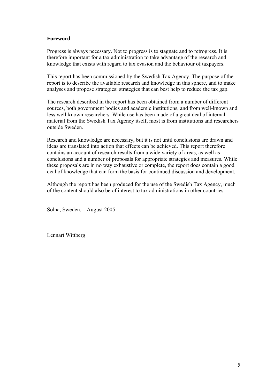#### **Foreword**

Progress is always necessary. Not to progress is to stagnate and to retrogress. It is therefore important for a tax administration to take advantage of the research and knowledge that exists with regard to tax evasion and the behaviour of taxpayers.

This report has been commissioned by the Swedish Tax Agency. The purpose of the report is to describe the available research and knowledge in this sphere, and to make analyses and propose strategies: strategies that can best help to reduce the tax gap.

The research described in the report has been obtained from a number of different sources, both government bodies and academic institutions, and from well-known and less well-known researchers. While use has been made of a great deal of internal material from the Swedish Tax Agency itself, most is from institutions and researchers outside Sweden.

Research and knowledge are necessary, but it is not until conclusions are drawn and ideas are translated into action that effects can be achieved. This report therefore contains an account of research results from a wide variety of areas, as well as conclusions and a number of proposals for appropriate strategies and measures. While these proposals are in no way exhaustive or complete, the report does contain a good deal of knowledge that can form the basis for continued discussion and development.

Although the report has been produced for the use of the Swedish Tax Agency, much of the content should also be of interest to tax administrations in other countries.

Solna, Sweden, 1 August 2005

Lennart Wittberg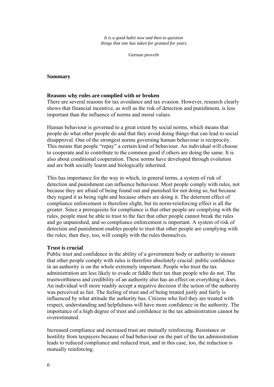*It is a good habit now and then to question things that one has taken for granted for years.* 

German proverb

#### **Summary**

#### **Reasons why rules are complied with or broken**

There are several reasons for tax avoidance and tax evasion. However, research clearly shows that financial incentive, as well as the risk of detection and punishment, is less important than the influence of norms and moral values.

Human behaviour is governed to a great extent by social norms, which means that people do what other people do and that they avoid doing things that can lead to social disapproval. One of the strongest norms governing human behaviour is reciprocity. This means that people "repay" a certain kind of behaviour. An individual will choose to cooperate and to contribute to the common good if others are doing the same. It is also about conditional cooperation. These norms have developed through evolution and are both socially learnt and biologically inherited.

This has importance for the way in which, in general terms, a system of risk of detection and punishment can influence behaviour. Most people comply with rules, not because they are afraid of being found out and punished for not doing so, but because they regard it as being right and because others are doing it. The deterrent effect of compliance enforcement is therefore slight, but its norm-reinforcing effect is all the greater. Since a prerequisite for compliance is that other people are complying with the rules, people must be able to trust to the fact that other people cannot break the rules and go unpunished, and so compliance enforcement is important. A system of risk of detection and punishment enables people to trust that other people are complying with the rules; then they, too, will comply with the rules themselves.

#### **Trust is crucial**

Public trust and confidence in the ability of a government body or authority to ensure that other people comply with rules is therefore absolutely crucial: public confidence in an authority is on the whole extremely important. People who trust the tax administration are less likely to evade or fiddle their tax than people who do not. The trustworthiness and credibility of an authority also has an effect on everything it does. An individual will more readily accept a negative decision if the action of the authority was perceived as fair. The feeling of trust and of being treated justly and fairly is influenced by what attitude the authority has. Citizens who feel they are treated with respect, understanding and helpfulness will have more confidence in the authority. The importance of a high degree of trust and confidence in the tax administration cannot be overestimated.

Increased compliance and increased trust are mutually reinforcing. Resistance or hostility from taxpayers because of bad behaviour on the part of the tax administration leads to reduced compliance and reduced trust, and in this case, too, the reduction is mutually reinforcing.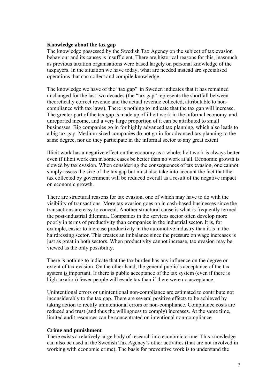#### **Knowledge about the tax gap**

The knowledge possessed by the Swedish Tax Agency on the subject of tax evasion behaviour and its causes is insufficient. There are historical reasons for this, inasmuch as previous taxation organisations were based largely on personal knowledge of the taxpayers. In the situation we have today, what are needed instead are specialised operations that can collect and compile knowledge.

The knowledge we have of the "tax gap" in Sweden indicates that it has remained unchanged for the last two decades (the "tax gap" represents the shortfall between theoretically correct revenue and the actual revenue collected, attributable to noncompliance with tax laws). There is nothing to indicate that the tax gap will increase. The greater part of the tax gap is made up of illicit work in the informal economy and unreported income, and a very large proportion of it can be attributed to small businesses. Big companies go in for highly advanced tax planning, which also leads to a big tax gap. Medium-sized companies do not go in for advanced tax planning to the same degree, nor do they participate in the informal sector to any great extent.

Illicit work has a negative effect on the economy as a whole; licit work is always better even if illicit work can in some cases be better than no work at all. Economic growth is slowed by tax evasion. When considering the consequences of tax evasion, one cannot simply assess the size of the tax gap but must also take into account the fact that the tax collected by government will be reduced overall as a result of the negative impact on economic growth.

There are structural reasons for tax evasion, one of which may have to do with the visibility of transactions. More tax evasion goes on in cash-based businesses since the transactions are easy to conceal. Another structural cause is what is frequently termed the post-industrial dilemma. Companies in the services sector often develop more poorly in terms of productivity than companies in the industrial sector. It is, for example, easier to increase productivity in the automotive industry than it is in the hairdressing sector. This creates an imbalance since the pressure on wage increases is just as great in both sectors. When productivity cannot increase, tax evasion may be viewed as the only possibility.

There is nothing to indicate that the tax burden has any influence on the degree or extent of tax evasion. On the other hand, the general public's acceptance of the tax system is important. If there is public acceptance of the tax system (even if there is high taxation) fewer people will evade tax than if there were no acceptance.

Unintentional errors or unintentional non-compliance are estimated to contribute not inconsiderably to the tax gap. There are several positive effects to be achieved by taking action to rectify unintentional errors or non-compliance. Compliance costs are reduced and trust (and thus the willingness to comply) increases. At the same time, limited audit resources can be concentrated on intentional non-compliance.

#### **Crime and punishment**

There exists a relatively large body of research into economic crime. This knowledge can also be used in the Swedish Tax Agency's other activities (that are not involved in working with economic crime). The basis for preventive work is to understand the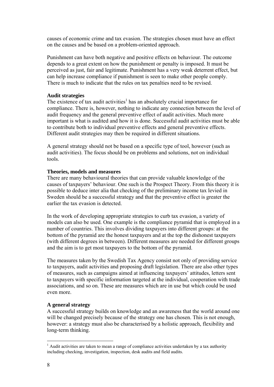causes of economic crime and tax evasion. The strategies chosen must have an effect on the causes and be based on a problem-oriented approach.

Punishment can have both negative and positive effects on behaviour. The outcome depends to a great extent on how the punishment or penalty is imposed. It must be perceived as just, fair and legitimate. Punishment has a very weak deterrent effect, but can help increase compliance if punishment is seen to make other people comply. There is much to indicate that the rules on tax penalties need to be revised.

#### **Audit strategies**

The existence of tax audit activities<sup>1</sup> has an absolutely crucial importance for compliance. There is, however, nothing to indicate any connection between the level of audit frequency and the general preventive effect of audit activities. Much more important is what is audited and how it is done. Successful audit activities must be able to contribute both to individual preventive effects and general preventive effects. Different audit strategies may then be required in different situations.

A general strategy should not be based on a specific type of tool, however (such as audit activities). The focus should be on problems and solutions, not on individual tools.

#### **Theories, models and measures**

There are many behavioural theories that can provide valuable knowledge of the causes of taxpayers' behaviour. One such is the Prospect Theory. From this theory it is possible to deduce inter alia that checking of the preliminary income tax levied in Sweden should be a successful strategy and that the preventive effect is greater the earlier the tax evasion is detected.

In the work of developing appropriate strategies to curb tax evasion, a variety of models can also be used. One example is the compliance pyramid that is employed in a number of countries. This involves dividing taxpayers into different groups: at the bottom of the pyramid are the honest taxpayers and at the top the dishonest taxpayers (with different degrees in between). Different measures are needed for different groups and the aim is to get most taxpayers to the bottom of the pyramid.

The measures taken by the Swedish Tax Agency consist not only of providing service to taxpayers, audit activities and proposing draft legislation. There are also other types of measures, such as campaigns aimed at influencing taxpayers' attitudes, letters sent to taxpayers with specific information targeted at the individual, cooperation with trade associations, and so on. These are measures which are in use but which could be used even more.

# **A general strategy**

A successful strategy builds on knowledge and an awareness that the world around one will be changed precisely because of the strategy one has chosen. This is not enough, however: a strategy must also be characterised by a holistic approach, flexibility and long-term thinking.

i<br>L

 $<sup>1</sup>$  Audit activities are taken to mean a range of compliance activities undertaken by a tax authority</sup> including checking, investigation, inspection, desk audits and field audits.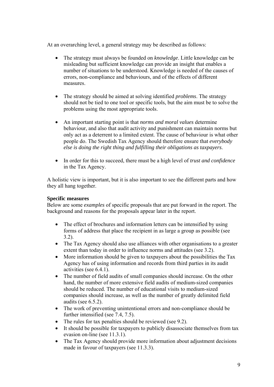At an overarching level, a general strategy may be described as follows:

- The strategy must always be founded on *knowledge*. Little knowledge can be misleading but sufficient knowledge can provide an insight that enables a number of situations to be understood. Knowledge is needed of the causes of errors, non-compliance and behaviours, and of the effects of different measures.
- The strategy should be aimed at solving identified *problems*. The strategy should not be tied to one tool or specific tools, but the aim must be to solve the problems using the most appropriate tools.
- An important starting point is that *norms and moral values* determine behaviour, and also that audit activity and punishment can maintain norms but only act as a deterrent to a limited extent. The cause of behaviour is what other people do. The Swedish Tax Agency should therefore ensure that *everybody else is doing the right thing and fulfilling their obligations as taxpayers*.
- In order for this to succeed, there must be a high level of *trust and confidence*  in the Tax Agency.

A holistic view is important, but it is also important to see the different parts and how they all hang together.

# **Specific measures**

Below are some *examples* of specific proposals that are put forward in the report. The background and reasons for the proposals appear later in the report.

- The effect of brochures and information letters can be intensified by using forms of address that place the recipient in as large a group as possible (see 3.2).
- The Tax Agency should also use alliances with other organisations to a greater extent than today in order to influence norms and attitudes (see 3.2).
- More information should be given to taxpayers about the possibilities the Tax Agency has of using information and records from third parties in its audit activities (see 6.4.1).
- The number of field audits of small companies should increase. On the other hand, the number of more extensive field audits of medium-sized companies should be reduced. The number of educational visits to medium-sized companies should increase, as well as the number of greatly delimited field audits (see 6.5.2).
- The work of preventing unintentional errors and non-compliance should be further intensified (see 7.4, 7.5).
- The rules for tax penalties should be reviewed (see 9.2).
- It should be possible for taxpayers to publicly disassociate themselves from tax evasion on-line (see 11.3.1).
- The Tax Agency should provide more information about adjustment decisions made in favour of taxpayers (see 11.3.3).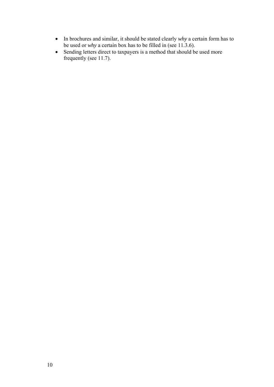- In brochures and similar, it should be stated clearly *why* a certain form has to be used or *why* a certain box has to be filled in (see 11.3.6).
- Sending letters direct to taxpayers is a method that should be used more frequently (see 11.7).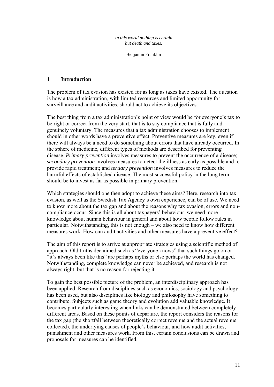#### *In this world nothing is certain but death and taxes.*

Benjamin Franklin

#### **1 Introduction**

The problem of tax evasion has existed for as long as taxes have existed. The question is how a tax administration, with limited resources and limited opportunity for surveillance and audit activities, should act to achieve its objectives.

The best thing from a tax administration's point of view would be for everyone's tax to be right or correct from the very start, that is to say compliance that is fully and genuinely voluntary. The measures that a tax administration chooses to implement should in other words have a preventive effect. Preventive measures are key, even if there will always be a need to do something about errors that have already occurred. In the sphere of medicine, different types of methods are described for preventing disease. *Primary prevention* involves measures to prevent the occurrence of a disease; *secondary prevention* involves measures to detect the illness as early as possible and to provide rapid treatment; and *tertiary prevention* involves measures to reduce the harmful effects of established disease. The most successful policy in the long term should be to invest as far as possible in primary prevention.

Which strategies should one then adopt to achieve these aims? Here, research into tax evasion, as well as the Swedish Tax Agency's own experience, can be of use. We need to know more about the tax gap and about the reasons why tax evasion, errors and noncompliance occur. Since this is all about taxpayers' behaviour, we need more knowledge about human behaviour in general and about how people follow rules in particular. Notwithstanding, this is not enough – we also need to know how different measures work. How can audit activities and other measures have a preventive effect?

The aim of this report is to arrive at appropriate strategies using a scientific method of approach. Old truths declaimed such as "everyone knows" that such things go on or "it's always been like this" are perhaps myths or else perhaps the world has changed. Notwithstanding, complete knowledge can never be achieved, and research is not always right, but that is no reason for rejecting it.

To gain the best possible picture of the problem, an interdisciplinary approach has been applied. Research from disciplines such as economics, sociology and psychology has been used, but also disciplines like biology and philosophy have something to contribute. Subjects such as game theory and evolution add valuable knowledge. It becomes particularly interesting when links can be demonstrated between completely different areas. Based on these points of departure, the report considers the reasons for the tax gap (the shortfall between theoretically correct revenue and the actual revenue collected), the underlying causes of people's behaviour, and how audit activities, punishment and other measures work. From this, certain conclusions can be drawn and proposals for measures can be identified.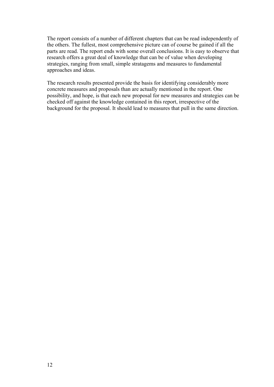The report consists of a number of different chapters that can be read independently of the others. The fullest, most comprehensive picture can of course be gained if all the parts are read. The report ends with some overall conclusions. It is easy to observe that research offers a great deal of knowledge that can be of value when developing strategies, ranging from small, simple stratagems and measures to fundamental approaches and ideas.

The research results presented provide the basis for identifying considerably more concrete measures and proposals than are actually mentioned in the report. One possibility, and hope, is that each new proposal for new measures and strategies can be checked off against the knowledge contained in this report, irrespective of the background for the proposal. It should lead to measures that pull in the same direction.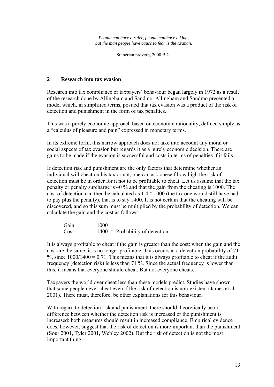*People can have a ruler, people can have a king, but the man people have cause to fear is the taxman.* 

Sumerian proverb, 2000 B.C.

#### **2 Research into tax evasion**

Research into tax compliance or taxpayers' behaviour began largely in 1972 as a result of the research done by Allingham and Sandmo. Allingham and Sandmo presented a model which, in simplified terms, posited that tax evasion was a product of the risk of detection and punishment in the form of tax penalties.

This was a purely economic approach based on economic rationality, defined simply as a "calculus of pleasure and pain" expressed in monetary terms.

In its extreme form, this narrow approach does not take into account any moral or social aspects of tax evasion but regards it as a purely economic decision. There are gains to be made if the evasion is successful and costs in terms of penalties if it fails.

If detection risk and punishment are the only factors that determine whether an individual will cheat on his tax or not, one can ask oneself how high the risk of detection must be in order for it not to be profitable to cheat. Let us assume that the tax penalty or penalty surcharge is 40 % and that the gain from the cheating is 1000. The cost of detection can then be calculated as 1.4 \* 1000 (the tax one would still have had to pay plus the penalty), that is to say 1400. It is not certain that the cheating will be discovered, and so this sum must be multiplied by the probability of detection. We can calculate the gain and the cost as follows:

| Gain | 1000                            |
|------|---------------------------------|
| Cost | 1400 * Probability of detection |

It is always profitable to cheat if the gain is greater than the cost: when the gain and the cost are the same, it is no longer profitable. This occurs at a detection probability of 71  $\%$ , since 1000/1400 = 0.71. This means that it is always profitable to cheat if the audit frequency (detection risk) is less than 71 %. Since the actual frequency is lower than this, it means that everyone should cheat. But not everyone cheats.

Taxpayers the world over cheat less than these models predict. Studies have shown that some people never cheat even if the risk of detection is non-existent (James et al 2001). There must, therefore, be other explanations for this behaviour.

With regard to detection risk and punishment, there should theoretically be no difference between whether the detection risk is increased or the punishment is increased: both measures should result in increased compliance. Empirical evidence does, however, suggest that the risk of detection is more important than the punishment (Sour 2001, Tyler 2001, Webley 2002). But the risk of detection is not the most important thing.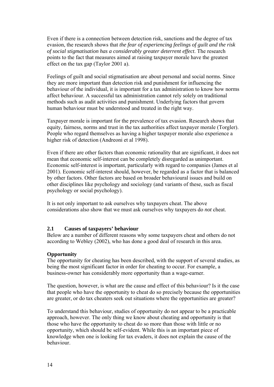Even if there is a connection between detection risk, sanctions and the degree of tax evasion, the research shows that *the fear of experiencing feelings of guilt and the risk of social stigmatisation has a considerably greater deterrent effect*. The research points to the fact that measures aimed at raising taxpayer morale have the greatest effect on the tax gap (Taylor 2001 a).

Feelings of guilt and social stigmatisation are about personal and social norms. Since they are more important than detection risk and punishment for influencing the behaviour of the individual, it is important for a tax administration to know how norms affect behaviour. A successful tax administration cannot rely solely on traditional methods such as audit activities and punishment. Underlying factors that govern human behaviour must be understood and treated in the right way.

Taxpayer morale is important for the prevalence of tax evasion. Research shows that equity, fairness, norms and trust in the tax authorities affect taxpayer morale (Torgler). People who regard themselves as having a higher taxpayer morale also experience a higher risk of detection (Andreoni et al 1998).

Even if there are other factors than economic rationality that are significant, it does not mean that economic self-interest can be completely disregarded as unimportant. Economic self-interest is important, particularly with regard to companies (James et al 2001). Economic self-interest should, however, be regarded as a factor that is balanced by other factors. Other factors are based on broader behavioural issues and build on other disciplines like psychology and sociology (and variants of these, such as fiscal psychology or social psychology).

It is not only important to ask ourselves why taxpayers cheat. The above considerations also show that we must ask ourselves why taxpayers do *not* cheat.

# **2.1 Causes of taxpayers' behaviour**

Below are a number of different reasons why some taxpayers cheat and others do not according to Webley (2002), who has done a good deal of research in this area.

#### **Opportunity**

The opportunity for cheating has been described, with the support of several studies, as being the most significant factor in order for cheating to occur. For example, a business-owner has considerably more opportunity than a wage-earner.

The question, however, is what are the cause and effect of this behaviour? Is it the case that people who have the opportunity to cheat do so precisely because the opportunities are greater, or do tax cheaters seek out situations where the opportunities are greater?

To understand this behaviour, studies of opportunity do not appear to be a practicable approach, however. The only thing we know about cheating and opportunity is that those who have the opportunity to cheat do so more than those with little or no opportunity, which should be self-evident. While this is an important piece of knowledge when one is looking for tax evaders, it does not explain the cause of the behaviour.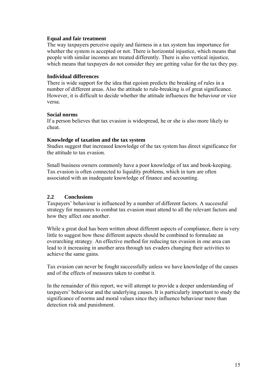#### **Equal and fair treatment**

The way taxpayers perceive equity and fairness in a tax system has importance for whether the system is accepted or not. There is horizontal injustice, which means that people with similar incomes are treated differently. There is also vertical injustice, which means that taxpayers do not consider they are getting value for the tax they pay.

#### **Individual differences**

There is wide support for the idea that egoism predicts the breaking of rules in a number of different areas. Also the attitude to rule-breaking is of great significance. However, it is difficult to decide whether the attitude influences the behaviour or vice versa.

#### **Social norms**

If a person believes that tax evasion is widespread, he or she is also more likely to cheat.

#### **Knowledge of taxation and the tax system**

Studies suggest that increased knowledge of the tax system has direct significance for the attitude to tax evasion.

Small business owners commonly have a poor knowledge of tax and book-keeping. Tax evasion is often connected to liquidity problems, which in turn are often associated with an inadequate knowledge of finance and accounting.

# **2.2 Conclusions**

Taxpayers' behaviour is influenced by a number of different factors. A successful strategy for measures to combat tax evasion must attend to all the relevant factors and how they affect one another.

While a great deal has been written about different aspects of compliance, there is very little to suggest how these different aspects should be combined to formulate an overarching strategy. An effective method for reducing tax evasion in one area can lead to it increasing in another area through tax evaders changing their activities to achieve the same gains.

Tax evasion can never be fought successfully unless we have knowledge of the causes and of the effects of measures taken to combat it.

In the remainder of this report, we will attempt to provide a deeper understanding of taxpayers' behaviour and the underlying causes. It is particularly important to study the significance of norms and moral values since they influence behaviour more than detection risk and punishment.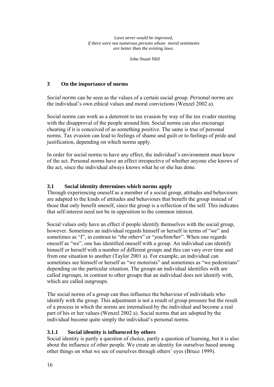*Laws never would be improved, if there were not numerous persons whose moral sentiments are better than the existing laws.* 

John Stuart Mill

# **3 On the importance of norms**

*Social norms* can be seen as the values of a certain social group. *Personal norms* are the individual's own ethical values and moral convictions (Wenzel 2002 a).

Social norms can work as a deterrent to tax evasion by way of the tax evader meeting with the disapproval of the people around him. Social norms can also encourage cheating if it is conceived of as something positive. The same is true of personal norms. Tax evasion can lead to feelings of shame and guilt or to feelings of pride and justification, depending on which norms apply.

In order for social norms to have any effect, the individual's environment must know of the act. Personal norms have an effect irrespective of whether anyone else knows of the act, since the individual always knows what he or she has done.

#### **3.1 Social identity determines which norms apply**

Through experiencing oneself as a member of a social group, attitudes and behaviours are adapted to the kinds of attitudes and behaviours that benefit the group instead of those that only benefit oneself, since the group is a reflection of the self. This indicates that self-interest need not be in opposition to the common interest.

Social values only have an effect if people identify themselves with the social group, however. Sometimes an individual regards himself or herself in terms of "*we*" and sometimes as "*I*", in contrast to "*the others*" or "*you/him/her*". When one regards oneself as "we", one has identified oneself with a group. An individual can identify himself or herself with a number of different groups and this can vary over time and from one situation to another (Taylor 2001 a). For example, an individual can sometimes see himself or herself as "we motorists" and sometimes as "we pedestrians" depending on the particular situation. The groups an individual identifies with are called *ingroups,* in contrast to other groups that an individual does not identify with, which are called *outgroups*.

The social norms of a group can thus influence the behaviour of individuals who identify with the group. This adjustment is not a result of group pressure but the result of a process in which the norms are internalised by the individual and become a real part of his or her values (Wenzel 2002 a). Social norms that are adopted by the individual become quite simply the individual's personal norms.

# **3.1.1 Social identity is influenced by others**

Social identity is partly a question of choice, partly a question of learning, but it is also about the influence of other people. We create an identity for ourselves based among other things on what we see of ourselves through others' eyes (Bruce 1999).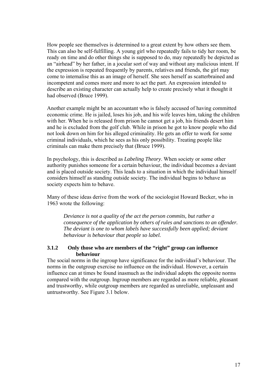How people see themselves is determined to a great extent by how others see them. This can also be self-fulfilling. A young girl who repeatedly fails to tidy her room, be ready on time and do other things she is supposed to do, may repeatedly be depicted as an "airhead" by her father, in a jocular sort of way and without any malicious intent. If the expression is repeated frequently by parents, relatives and friends, the girl may come to internalise this as an image of herself. She sees herself as scatterbrained and incompetent and comes more and more to act the part. An expression intended to describe an existing character can actually help to create precisely what it thought it had observed (Bruce 1999).

Another example might be an accountant who is falsely accused of having committed economic crime. He is jailed, loses his job, and his wife leaves him, taking the children with her. When he is released from prison he cannot get a job, his friends desert him and he is excluded from the golf club. While in prison he got to know people who did not look down on him for his alleged criminality. He gets an offer to work for some criminal individuals, which he sees as his only possibility. Treating people like criminals can make them precisely that (Bruce 1999).

In psychology, this is described as *Labeling Theory*. When society or some other authority punishes someone for a certain behaviour, the individual becomes a deviant and is placed outside society. This leads to a situation in which the individual himself considers himself as standing outside society. The individual begins to behave as society expects him to behave.

Many of these ideas derive from the work of the sociologist Howard Becker, who in 1963 wrote the following:

*Deviance is not a quality of the act the person commits, but rather a consequence of the application by others of rules and sanctions to an offender. The deviant is one to whom labels have successfully been applied; deviant behaviour is behaviour that people so label.* 

#### **3.1.2 Only those who are members of the "right" group can influence behaviour**

The social norms in the ingroup have significance for the individual's behaviour. The norms in the outgroup exercise no influence on the individual. However, a certain influence can at times be found inasmuch as the individual adopts the opposite norms compared with the outgroup. Ingroup members are regarded as more reliable, pleasant and trustworthy, while outgroup members are regarded as unreliable, unpleasant and untrustworthy. See Figure 3.1 below.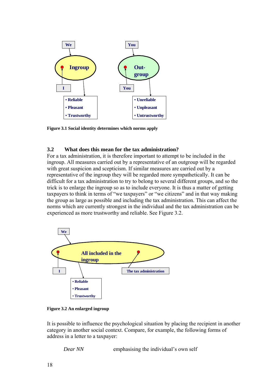

**Figure 3.1 Social identity determines which norms apply** 

#### **3.2 What does this mean for the tax administration?**

For a tax administration, it is therefore important to attempt to be included in the ingroup. All measures carried out by a representative of an outgroup will be regarded with great suspicion and scepticism. If similar measures are carried out by a representative of the ingroup they will be regarded more sympathetically. It can be difficult for a tax administration to try to belong to several different groups, and so the trick is to enlarge the ingroup so as to include everyone. It is thus a matter of getting taxpayers to think in terms of "we taxpayers" or "we citizens" and in that way making the group as large as possible and including the tax administration. This can affect the norms which are currently strongest in the individual and the tax administration can be experienced as more trustworthy and reliable. See Figure 3.2.



**Figure 3.2 An enlarged ingroup** 

It is possible to influence the psychological situation by placing the recipient in another category in another social context. Compare, for example, the following forms of address in a letter to a taxpayer:

*Dear NN* emphasising the individual's own self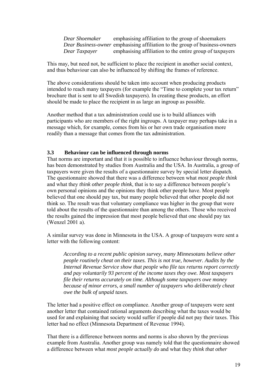*Dear Shoemaker* emphasising affiliation to the group of shoemakers *Dear Business-owner* emphasising affiliation to the group of business-owners *Dear Taxpayer* emphasising affiliation to the entire group of taxpayers

This may, but need not, be sufficient to place the recipient in another social context, and thus behaviour can also be influenced by shifting the frames of reference.

The above considerations should be taken into account when producing products intended to reach many taxpayers (for example the "Time to complete your tax return" brochure that is sent to all Swedish taxpayers). In creating these products, an effort should be made to place the recipient in as large an ingroup as possible.

Another method that a tax administration could use is to build alliances with participants who are members of the right ingroups. A taxpayer may perhaps take in a message which, for example, comes from his or her own trade organisation more readily than a message that comes from the tax administration.

#### **3.3 Behaviour can be influenced through norms**

That norms are important and that it is possible to influence behaviour through norms, has been demonstrated by studies from Australia and the USA. In Australia, a group of taxpayers were given the results of a questionnaire survey by special letter dispatch. The questionnaire showed that there was a difference between what *most people think*  and what they *think other people think*, that is to say a difference between people's own personal opinions and the opinions they think other people have. Most people believed that one should pay tax, but many people believed that other people did not think so. The result was that voluntary compliance was higher in the group that were told about the results of the questionnaire than among the others. Those who received the results gained the impression that most people believed that one should pay tax (Wenzel 2001 a).

A similar survey was done in Minnesota in the USA. A group of taxpayers were sent a letter with the following content:

*According to a recent public opinion survey, many Minnesotans believe other people routinely cheat on their taxes. This is not true, however. Audits by the Internal Revenue Service show that people who file tax returns report correctly and pay voluntarily 93 percent of the income taxes they owe. Most taxpayers file their returns accurately on time. Although some taxpayers owe money because of minor errors, a small number of taxpayers who deliberately cheat owe the bulk of unpaid taxes.*

The letter had a positive effect on compliance. Another group of taxpayers were sent another letter that contained rational arguments describing what the taxes would be used for and explaining that society would suffer if people did not pay their taxes. This letter had no effect (Minnesota Department of Revenue 1994).

That there is a difference between norms and norms is also shown by the previous example from Australia. Another group was namely told that the questionnaire showed a difference between what *most people actually do* and what they *think that other*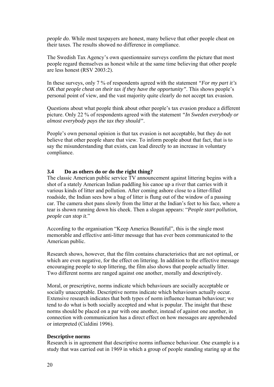*people do*. While most taxpayers are honest, many believe that other people cheat on their taxes. The results showed no difference in compliance.

The Swedish Tax Agency's own questionnaire surveys confirm the picture that most people regard themselves as honest while at the same time believing that other people are less honest (RSV 2003:2).

In these surveys, only 7 % of respondents agreed with the statement *"For my part it's OK that people cheat on their tax if they have the opportunity"*. This shows people's personal point of view, and the vast majority quite clearly do not accept tax evasion.

Questions about what people think about other people's tax evasion produce a different picture. Only 22 % of respondents agreed with the statement *"In Sweden everybody or almost everybody pays the tax they should"*.

People's own personal opinion is that tax evasion is not acceptable, but they do not believe that other people share that view. To inform people about that fact, that is to say the misunderstanding that exists, can lead directly to an increase in voluntary compliance.

#### **3.4 Do as others do or do the right thing?**

The classic American public service TV announcement against littering begins with a shot of a stately American Indian paddling his canoe up a river that carries with it various kinds of litter and pollution. After coming ashore close to a litter-filled roadside, the Indian sees how a bag of litter is flung out of the window of a passing car. The camera shot pans slowly from the litter at the Indian's feet to his face, where a tear is shown running down his cheek. Then a slogan appears: "*People start pollution, people can stop it*."

According to the organisation "Keep America Beautiful", this is the single most memorable and effective anti-litter message that has ever been communicated to the American public.

Research shows, however, that the film contains characteristics that are not optimal, or which are even negative, for the effect on littering. In addition to the effective message encouraging people to stop littering, the film also shows that people actually litter. Two different norms are ranged against one another, morally and descriptively.

Moral, or prescriptive, norms indicate which behaviours are socially acceptable or socially unacceptable. Descriptive norms indicate which behaviours actually occur. Extensive research indicates that both types of norm influence human behaviour; we tend to do what is both socially accepted and what is popular. The insight that these norms should be placed on a par with one another, instead of against one another, in connection with communication has a direct effect on how messages are apprehended or interpreted (Cialdini 1996).

#### **Descriptive norms**

Research is in agreement that descriptive norms influence behaviour. One example is a study that was carried out in 1969 in which a group of people standing staring up at the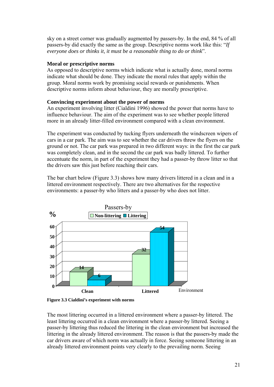sky on a street corner was gradually augmented by passers-by. In the end, 84 % of all passers-by did exactly the same as the group. Descriptive norms work like this: "*If everyone does or thinks it, it must be a reasonable thing to do or think*".

#### **Moral or prescriptive norms**

As opposed to descriptive norms which indicate what is actually done, moral norms indicate what should be done. They indicate the moral rules that apply within the group. Moral norms work by promising social rewards or punishments. When descriptive norms inform about behaviour, they are morally prescriptive.

# **Convincing experiment about the power of norms**

An experiment involving litter (Cialdini 1996) showed the power that norms have to influence behaviour. The aim of the experiment was to see whether people littered more in an already litter-filled environment compared with a clean environment.

The experiment was conducted by tucking flyers underneath the windscreen wipers of cars in a car park. The aim was to see whether the car drivers threw the flyers on the ground or not. The car park was prepared in two different ways: in the first the car park was completely clean, and in the second the car park was badly littered. To further accentuate the norm, in part of the experiment they had a passer-by throw litter so that the drivers saw this just before reaching their cars.

The bar chart below (Figure 3.3) shows how many drivers littered in a clean and in a littered environment respectively. There are two alternatives for the respective environments: a passer-by who litters and a passer-by who does not litter.



**Figure 3.3 Cialdini's experiment with norms** 

The most littering occurred in a littered environment where a passer-by littered. The least littering occurred in a clean environment where a passer-by littered. Seeing a passer-by littering thus reduced the littering in the clean environment but increased the littering in the already littered environment. The reason is that the passers-by made the car drivers aware of which norm was actually in force. Seeing someone littering in an already littered environment points very clearly to the prevailing norm. Seeing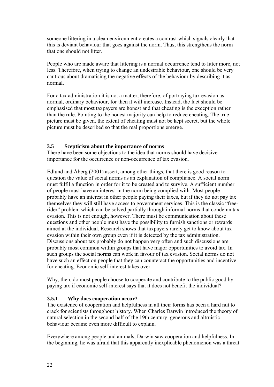someone littering in a clean environment creates a contrast which signals clearly that this is deviant behaviour that goes against the norm. Thus, this strengthens the norm that one should not litter.

People who are made aware that littering is a normal occurrence tend to litter more, not less. Therefore, when trying to change an undesirable behaviour, one should be very cautious about dramatising the negative effects of the behaviour by describing it as normal.

For a tax administration it is not a matter, therefore, of portraying tax evasion as normal, ordinary behaviour, for then it will increase. Instead, the fact should be emphasised that most taxpayers are honest and that cheating is the exception rather than the rule. Pointing to the honest majority can help to reduce cheating. The true picture must be given, the extent of cheating must not be kept secret, but the whole picture must be described so that the real proportions emerge.

#### **3.5 Scepticism about the importance of norms**

There have been some objections to the idea that norms should have decisive importance for the occurrence or non-occurrence of tax evasion.

Edlund and Åberg (2001) assert, among other things, that there is good reason to question the value of social norms as an explanation of compliance. A social norm must fulfil a function in order for it to be created and to survive. A sufficient number of people must have an interest in the norm being complied with. Most people probably have an interest in other people paying their taxes, but if they do not pay tax themselves they will still have access to government services. This is the classic "freerider" problem which can be solved partially through informal norms that condemn tax evasion. This is not enough, however. There must be communication about these questions and other people must have the possibility to furnish sanctions or rewards aimed at the individual. Research shows that taxpayers rarely get to know about tax evasion within their own group even if it is detected by the tax administration. Discussions about tax probably do not happen very often and such discussions are probably most common within groups that have major opportunities to avoid tax. In such groups the social norms can work in favour of tax evasion. Social norms do not have such an effect on people that they can counteract the opportunities and incentive for cheating. Economic self-interest takes over.

Why, then, do most people choose to cooperate and contribute to the public good by paying tax if economic self-interest says that it does not benefit the individual?

# **3.5.1 Why does cooperation occur?**

The existence of cooperation and helpfulness in all their forms has been a hard nut to crack for scientists throughout history. When Charles Darwin introduced the theory of natural selection in the second half of the 19th century, generous and altruistic behaviour became even more difficult to explain.

Everywhere among people and animals, Darwin saw cooperation and helpfulness. In the beginning, he was afraid that this apparently inexplicable phenomenon was a threat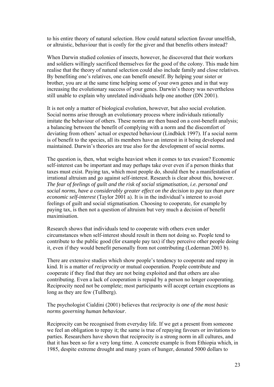to his entire theory of natural selection. How could natural selection favour unselfish, or altruistic, behaviour that is costly for the giver and that benefits others instead?

When Darwin studied colonies of insects, however, he discovered that their workers and soldiers willingly sacrificed themselves for the good of the colony. This made him realise that the theory of natural selection could also include family and close relatives. By benefiting one's relatives, one can benefit oneself. By helping your sister or brother, you are at the same time helping some of your own genes and in that way increasing the evolutionary success of your genes. Darwin's theory was nevertheless still unable to explain why unrelated individuals help one another (DN 2001).

It is not only a matter of biological evolution, however, but also social evolution. Social norms arise through an evolutionary process where individuals rationally imitate the behaviour of others. These norms are then based on a cost-benefit analysis; a balancing between the benefit of complying with a norm and the discomfort of deviating from others' actual or expected behaviour (Lindbäck 1997). If a social norm is of benefit to the species, all its members have an interest in it being developed and maintained. Darwin's theories are true also for the development of social norms.

The question is, then, what weighs heaviest when it comes to tax evasion? Economic self-interest can be important and may perhaps take over even if a person thinks that taxes must exist. Paying tax, which most people do, should then be a manifestation of irrational altruism and go against self-interest. Research is clear about this, however. *The fear of feelings of guilt and the risk of social stigmatisation, i.e. personal and social norms, have a considerably greater effect on the decision to pay tax than pure economic self-interest* (Taylor 2001 a). It is in the individual's interest to avoid feelings of guilt and social stigmatisation. Choosing to cooperate, for example by paying tax, is then not a question of altruism but very much a decision of benefit maximisation.

Research shows that individuals tend to cooperate with others even under circumstances when self-interest should result in them not doing so. People tend to contribute to the public good (for example pay tax) if they perceive other people doing it, even if they would benefit personally from not contributing (Lederman 2003 b).

There are extensive studies which show people's tendency to cooperate and repay in kind. It is a matter of *reciprocity* or mutual cooperation. People contribute and cooperate if they find that they are not being exploited and that others are also contributing. Even a lack of cooperation is repaid by a person no longer cooperating. Reciprocity need not be complete; most participants will accept certain exceptions as long as they are few (Tullberg).

#### The psychologist Cialdini (2001) believes that *reciprocity is one of the most basic norms governing human behaviour*.

Reciprocity can be recognised from everyday life. If we get a present from someone we feel an obligation to repay it; the same is true of repaying favours or invitations to parties. Researchers have shown that reciprocity is a strong norm in all cultures, and that it has been so for a very long time. A concrete example is from Ethiopia which, in 1985, despite extreme drought and many years of hunger, donated 5000 dollars to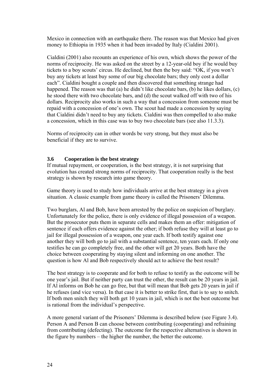Mexico in connection with an earthquake there. The reason was that Mexico had given money to Ethiopia in 1935 when it had been invaded by Italy (Cialdini 2001).

Cialdini (2001) also recounts an experience of his own, which shows the power of the norms of reciprocity. He was asked on the street by a 12-year-old boy if he would buy tickets to a boy scouts' circus. He declined, but then the boy said: "OK, if you won't buy any tickets at least buy some of our big chocolate bars; they only cost a dollar each". Cialdini bought a couple and then discovered that something strange had happened. The reason was that (a) he didn't like chocolate bars, (b) he likes dollars, (c) he stood there with two chocolate bars, and (d) the scout walked off with two of his dollars. Reciprocity also works in such a way that a concession from someone must be repaid with a concession of one's own. The scout had made a concession by saying that Cialdini didn't need to buy any tickets. Cialdini was then compelled to also make a concession, which in this case was to buy two chocolate bars (see also 11.3.3).

Norms of reciprocity can in other words be very strong, but they must also be beneficial if they are to survive.

#### **3.6 Cooperation is the best strategy**

If mutual repayment, or cooperation, is the best strategy, it is not surprising that evolution has created strong norms of reciprocity. That cooperation really is the best strategy is shown by research into game theory.

Game theory is used to study how individuals arrive at the best strategy in a given situation. A classic example from game theory is called the Prisoners' Dilemma.

Two burglars, Al and Bob, have been arrested by the police on suspicion of burglary. Unfortunately for the police, there is only evidence of illegal possession of a weapon. But the prosecutor puts them in separate cells and makes them an offer: mitigation of sentence if each offers evidence against the other; if both refuse they will at least go to jail for illegal possession of a weapon, one year each. If both testify against one another they will both go to jail with a substantial sentence, ten years each. If only one testifies he can go completely free, and the other will get 20 years. Both have the choice between cooperating by staying silent and informing on one another. The question is how Al and Bob respectively should act to achieve the best result?

The best strategy is to cooperate and for both to refuse to testify as the outcome will be one year's jail. But if neither party can trust the other, the result can be 20 years in jail. If Al informs on Bob he can go free, but that will mean that Bob gets 20 years in jail if he refuses (and vice versa). In that case it is better to strike first, that is to say to snitch. If both men snitch they will both get 10 years in jail, which is not the best outcome but is rational from the individual's perspective.

A more general variant of the Prisoners' Dilemma is described below (see Figure 3.4). Person A and Person B can choose between contributing (cooperating) and refraining from contributing (defecting). The outcome for the respective alternatives is shown in the figure by numbers – the higher the number, the better the outcome.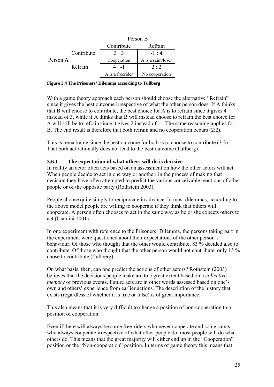|          |            | Person B         |                    |
|----------|------------|------------------|--------------------|
|          |            | Contribute       | Refrain            |
|          | Contribute | 3:3              | $-1 \cdot 4$       |
| Person A |            | Cooperation      | A is a saint/loser |
|          | Refrain    | $4 \cdot -1$     | 2:2                |
|          |            | A is a freerider | No cooperation     |

**Figure 3.4 The Prisoners' Dilemma according to Tullberg** 

With a game theory approach each person should choose the alternative "Refrain" since it gives the best outcome irrespective of what the other person does. If A thinks that B will choose to contribute, the best choice for A is to refrain since it gives 4 instead of 3, while if A thinks that B will instead choose to refrain the best choice for A will still be to refrain since it gives 2 instead of -1. The same reasoning applies for B. The end result is therefore that both refrain and no cooperation occurs (2:2).

This is remarkable since the best outcome for both is to choose to contribute (3:3). That both act rationally does not lead to the best outcome (Tullberg).

# **3.6.1 The expectation of what others will do is decisive**

In reality an actor often acts based on an assessment on how the other actors will act. When people decide to act in one way or another, in the process of making that decision they have often attempted to predict the various conceivable reactions of other people or of the opposite party (Rothstein 2003).

People choose quite simply to reciprocate in advance. In most dilemmas, according to the above model people are willing to cooperate if they think that others will cooperate. A person often chooses to act in the same way as he or she expects others to act (Cialdini 2001).

In one experiment with reference to the Prisoners' Dilemma, the persons taking part in the experiment were questioned about their expectations of the other person's behaviour. Of those who thought that the other would contribute, 83 % decided also to contribute. Of those who thought that the other person would not contribute, only 15 % chose to contribute (Tullberg).

On what basis, then, can one predict the actions of other actors? Rothstein (2003) believes that the decisions people make are to a great extent based on a *collective memory* of previous events. Future acts are in other words assessed based on one's own and others' experience from earlier actions. The description of the history that exists (regardless of whether it is true or false) is of great importance.

This also means that it is very difficult to change a position of non-cooperation to a position of cooperation.

Even if there will always be some free-riders who never cooperate and some saints who always cooperate irrespective of what other people do, most people will do what others do. This means that the great majority will either end up in the "Cooperation" position or the "Non-cooperation" position. In terms of game theory this means that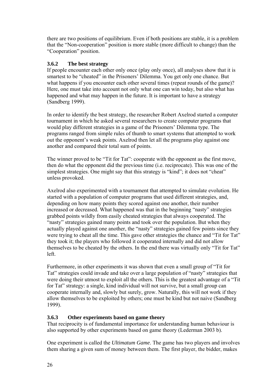there are two positions of equilibrium. Even if both positions are stable, it is a problem that the "Non-cooperation" position is more stable (more difficult to change) than the "Cooperation" position.

# **3.6.2 The best strategy**

If people encounter each other only once (play only once), all analyses show that it is smartest to be "cheated" in the Prisoners' Dilemma. You get only one chance. But what happens if you encounter each other several times (repeat rounds of the game)? Here, one must take into account not only what one can win today, but also what has happened and what may happen in the future. It is important to have a strategy (Sandberg 1999).

In order to identify the best strategy, the researcher Robert Axelrod started a computer tournament in which he asked several researchers to create computer programs that would play different strategies in a game of the Prisoners' Dilemma type. The programs ranged from simple rules of thumb to smart systems that attempted to work out the opponent's weak points. Axelrod then let all the programs play against one another and compared their total sum of points.

The winner proved to be "Tit for Tat": cooperate with the opponent as the first move, then do what the opponent did the previous time (i.e. reciprocate). This was one of the simplest strategies. One might say that this strategy is "kind"; it does not "cheat" unless provoked.

Axelrod also experimented with a tournament that attempted to simulate evolution. He started with a population of computer programs that used different strategies, and, depending on how many points they scored against one another, their number increased or decreased. What happened was that in the beginning "nasty" strategies grabbed points wildly from easily cheated strategies that always cooperated. The "nasty" strategies gained many points and took over the population. But when they actually played against one another, the "nasty" strategies gained few points since they were trying to cheat all the time. This gave other strategies the chance and "Tit for Tat" they took it; the players who followed it cooperated internally and did not allow themselves to be cheated by the others. In the end there was virtually only "Tit for Tat" left.

Furthermore, in other experiments it was shown that even a small group of "Tit for Tat" strategies could invade and take over a large population of "nasty" strategies that were doing their utmost to exploit all the others. This is the greatest advantage of a "Tit for Tat" strategy: a single, kind individual will not survive, but a small group can cooperate internally and, slowly but surely, grow. Naturally, this will not work if they allow themselves to be exploited by others; one must be kind but not naive (Sandberg 1999).

# **3.6.3 Other experiments based on game theory**

That reciprocity is of fundamental importance for understanding human behaviour is also supported by other experiments based on game theory (Lederman 2003 b).

One experiment is called the *Ultimatum Game*. The game has two players and involves them sharing a given sum of money between them. The first player, the bidder, makes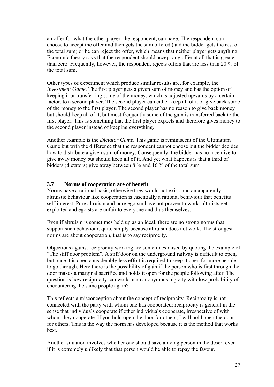an offer for what the other player, the respondent, can have. The respondent can choose to accept the offer and then gets the sum offered (and the bidder gets the rest of the total sum) or he can reject the offer, which means that neither player gets anything. Economic theory says that the respondent should accept any offer at all that is greater than zero. Frequently, however, the respondent rejects offers that are less than 20 % of the total sum.

Other types of experiment which produce similar results are, for example, the *Investment Game*. The first player gets a given sum of money and has the option of keeping it or transferring some of the money, which is adjusted upwards by a certain factor, to a second player. The second player can either keep all of it or give back some of the money to the first player. The second player has no reason to give back money but should keep all of it, but most frequently some of the gain is transferred back to the first player. This is something that the first player expects and therefore gives money to the second player instead of keeping everything.

Another example is the *Dictator Game*. This game is reminiscent of the Ultimatum Game but with the difference that the respondent cannot choose but the bidder decides how to distribute a given sum of money. Consequently, the bidder has no incentive to give away money but should keep all of it. And yet what happens is that a third of bidders (dictators) give away between 8 % and 16 % of the total sum.

# **3.7 Norms of cooperation are of benefit**

Norms have a rational basis, otherwise they would not exist, and an apparently altruistic behaviour like cooperation is essentially a rational behaviour that benefits self-interest. Pure altruism and pure egoism have not proven to work: altruists get exploited and egoists are unfair to everyone and thus themselves.

Even if altruism is sometimes held up as an ideal, there are no strong norms that support such behaviour, quite simply because altruism does not work. The strongest norms are about cooperation, that is to say reciprocity.

Objections against reciprocity working are sometimes raised by quoting the example of "The stiff door problem". A stiff door on the underground railway is difficult to open, but once it is open considerably less effort is required to keep it open for more people to go through. Here there is the possibility of gain if the person who is first through the door makes a marginal sacrifice and holds it open for the people following after. The question is how reciprocity can work in an anonymous big city with low probability of encountering the same people again?

This reflects a misconception about the concept of reciprocity. Reciprocity is not connected with the party with whom one has cooperated: reciprocity is general in the sense that individuals cooperate if other individuals cooperate, irrespective of with whom they cooperate. If you hold open the door for others, I will hold open the door for others. This is the way the norm has developed because it is the method that works best.

Another situation involves whether one should save a dying person in the desert even if it is extremely unlikely that that person would be able to repay the favour.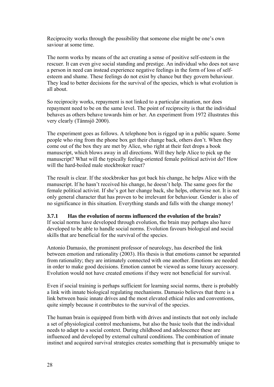Reciprocity works through the possibility that someone else might be one's own saviour at some time.

The norm works by means of the act creating a sense of positive self-esteem in the rescuer. It can even give social standing and prestige. An individual who does not save a person in need can instead experience negative feelings in the form of loss of selfesteem and shame. These feelings do not exist by chance but they govern behaviour. They lead to better decisions for the survival of the species, which is what evolution is all about.

So reciprocity works, repayment is not linked to a particular situation, nor does repayment need to be on the same level. The point of reciprocity is that the individual behaves as others behave towards him or her. An experiment from 1972 illustrates this very clearly (Tännsjö 2000).

The experiment goes as follows. A telephone box is rigged up in a public square. Some people who ring from the phone box get their change back, others don't. When they come out of the box they are met by Alice, who right at their feet drops a book manuscript, which blows away in all directions. Will they help Alice to pick up the manuscript? What will the typically feeling-oriented female political activist do? How will the hard-boiled male stockbroker react?

The result is clear. If the stockbroker has got back his change, he helps Alice with the manuscript. If he hasn't received his change, he doesn't help. The same goes for the female political activist. If she's got her change back, she helps, otherwise not. It is not only general character that has proven to be irrelevant for behaviour. Gender is also of no significance in this situation. Everything stands and falls with the change money!

#### **3.7.1 Has the evolution of norms influenced the evolution of the brain?**

If social norms have developed through evolution, the brain may perhaps also have developed to be able to handle social norms. Evolution favours biological and social skills that are beneficial for the survival of the species.

Antonio Damasio, the prominent professor of neurology, has described the link between emotion and rationality (2003). His thesis is that emotions cannot be separated from rationality; they are intimately connected with one another. Emotions are needed in order to make good decisions. Emotion cannot be viewed as some luxury accessory. Evolution would not have created emotions if they were not beneficial for survival.

Even if social training is perhaps sufficient for learning social norms, there is probably a link with innate biological regulating mechanisms. Damasio believes that there is a link between basic innate drives and the most elevated ethical rules and conventions, quite simply because it contributes to the survival of the species.

The human brain is equipped from birth with drives and instincts that not only include a set of physiological control mechanisms, but also the basic tools that the individual needs to adapt to a social context. During childhood and adolescence these are influenced and developed by external cultural conditions. The combination of innate instinct and acquired survival strategies creates something that is presumably unique to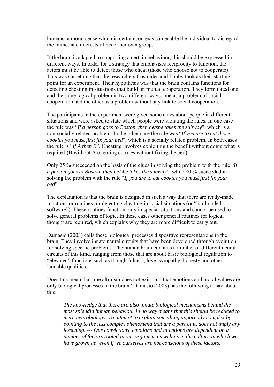humans: a moral sense which in certain contexts can enable the individual to disregard the immediate interests of his or her own group.

If the brain is adapted to supporting a certain behaviour, this should be expressed in different ways. In order for a strategy that emphasises reciprocity to function, the actors must be able to detect those who cheat (those who choose not to cooperate). This was something that the researchers Cosmides and Tooby took as their starting point for an experiment. Their hypothesis was that the brain contains functions for detecting cheating in situations that build on mutual cooperation. They formulated one and the same logical problem in two different ways: one as a problem of social cooperation and the other as a problem without any link to social cooperation.

The participants in the experiment were given some clues about people in different situations and were asked to state which people were violating the rules. In one case the rule was "*If a person goes to Boston, then he/she takes the subway*", which is a non-socially related problem. In the other case the rule was "*If you are to eat those cookies you must first fix your bed*", which is a socially related problem. In both cases the rule is "*If A then B*". Cheating involves exploiting the benefit without doing what is required (B without A or eating cookies without fixing the bed).

Only 25 % succeeded on the basis of the clues in solving the problem with the rule "*If a person goes to Boston, then he/she takes the subway*", while 80 % succeeded in solving the problem with the rule "*If you are to eat cookies you must first fix your bed*".

The explanation is that the brain is designed in such a way that there are ready-made functions or routines for detecting cheating in social situations (or "hard-coded software"). These routines function only in special situations and cannot be used to solve general problems of logic. In these cases other general routines for logical thought are required, which explains why they are more difficult to carry out.

Damasio (2003) calls these biological processes dispositive representations in the brain. They involve innate neural circuits that have been developed through evolution for solving specific problems. The human brain contains a number of different neural circuits of this kind, ranging from those that are about basic biological regulation to "elevated" functions such as thoughtfulness, love, sympathy, honesty and other laudable qualities.

Does this mean that true altruism does not exist and that emotions and moral values are only biological processes in the brain? Damasio (2003) has the following to say about this:

*The knowledge that there are also innate biological mechanisms behind the most splendid human behaviour in no way means that this should be reduced to mere neurobiology. To attempt to explain something apparently complex by pointing to the less complex phenomena that are a part of it, does not imply any lessening. --- Our convictions, emotions and intentions are dependent on a number of factors rooted in our organism as well as in the culture in which we have grown up, even if we ourselves are not conscious of these factors.*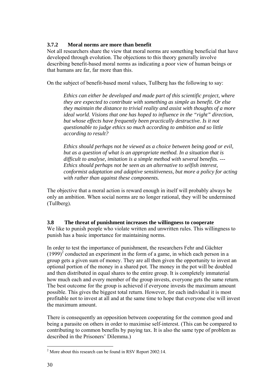# **3.7.2 Moral norms are more than benefit**

Not all researchers share the view that moral norms are something beneficial that have developed through evolution. The objections to this theory generally involve describing benefit-based moral norms as indicating a poor view of human beings or that humans are far, far more than this.

On the subject of benefit-based moral values, Tullberg has the following to say:

*Ethics can either be developed and made part of this scientific project, where they are expected to contribute with something as simple as benefit. Or else they maintain the distance to trivial reality and assist with thoughts of a more ideal world. Visions that one has hoped to influence in the "right" direction, but whose effects have frequently been practically destructive. Is it not questionable to judge ethics so much according to ambition and so little according to result?* 

*Ethics should perhaps not be viewed as a choice between being good or evil, but as a question of what is an appropriate method. In a situation that is difficult to analyse, imitation is a simple method with several benefits. --- Ethics should perhaps not be seen as an alternative to selfish interest, conformist adaptation and adaptive sensitiveness, but more a policy for acting with rather than against these components.*

The objective that a moral action is reward enough in itself will probably always be only an ambition. When social norms are no longer rational, they will be undermined (Tullberg).

# **3.8 The threat of punishment increases the willingness to cooperate**

We like to punish people who violate written and unwritten rules. This willingness to punish has a basic importance for maintaining norms.

In order to test the importance of punishment, the researchers Fehr and Gächter  $(1999)^{2}$  conducted an experiment in the form of a game, in which each person in a group gets a given sum of money. They are all then given the opportunity to invest an optional portion of the money in a shared pot. The money in the pot will be doubled and then distributed in equal shares to the entire group. It is completely immaterial how much each and every member of the group invests, everyone gets the same return. The best outcome for the group is achieved if everyone invests the maximum amount possible. This gives the biggest total return. However, for each individual it is most profitable not to invest at all and at the same time to hope that everyone else will invest the maximum amount.

There is consequently an opposition between cooperating for the common good and being a parasite on others in order to maximise self-interest. (This can be compared to contributing to common benefits by paying tax. It is also the same type of problem as described in the Prisoners' Dilemma.)

i<br>L

 $2^2$  More about this research can be found in RSV Report 2002:14.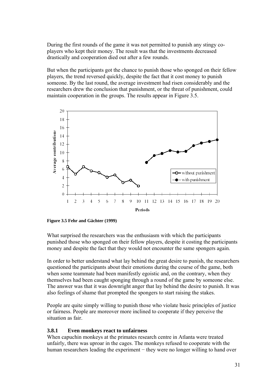During the first rounds of the game it was not permitted to punish any stingy coplayers who kept their money. The result was that the investments decreased drastically and cooperation died out after a few rounds.

But when the participants got the chance to punish those who sponged on their fellow players, the trend reversed quickly, despite the fact that it cost money to punish someone. By the last round, the average investment had risen considerably and the researchers drew the conclusion that punishment, or the threat of punishment, could maintain cooperation in the groups. The results appear in Figure 3.5.



**Figure 3.5 Fehr and Gächter (1999)** 

What surprised the researchers was the enthusiasm with which the participants punished those who sponged on their fellow players, despite it costing the participants money and despite the fact that they would not encounter the same spongers again.

In order to better understand what lay behind the great desire to punish, the researchers questioned the participants about their emotions during the course of the game, both when some teammate had been manifestly egoistic and, on the contrary, when they themselves had been caught sponging through a round of the game by someone else. The answer was that it was downright anger that lay behind the desire to punish. It was also feelings of shame that prompted the spongers to start raising the stakes.

People are quite simply willing to punish those who violate basic principles of justice or fairness. People are moreover more inclined to cooperate if they perceive the situation as fair.

#### **3.8.1 Even monkeys react to unfairness**

When capuchin monkeys at the primates research centre in Atlanta were treated unfairly, there was uproar in the cages. The monkeys refused to cooperate with the human researchers leading the experiment − they were no longer willing to hand over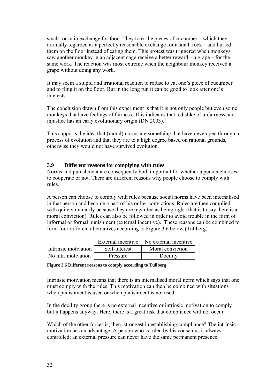small rocks in exchange for food. They took the pieces of cucumber – which they normally regarded as a perfectly reasonable exchange for a small rock – and hurled them on the floor instead of eating them. This protest was triggered when monkeys saw another monkey in an adjacent cage receive a better reward – a grape – for the same work. The reaction was most extreme when the neighbour monkey received a grape without doing any work.

It may seem a stupid and irrational reaction to refuse to eat one's piece of cucumber and to fling it on the floor. But in the long run it can be good to look after one's interests.

The conclusion drawn from this experiment is that it is not only people but even some monkeys that have feelings of fairness. This indicates that a dislike of unfairness and injustice has an early evolutionary origin (DN 2003).

This supports the idea that (moral) norms are something that have developed through a process of evolution and that they are to a high degree based on rational grounds, otherwise they would not have survived evolution.

# **3.9 Different reasons for complying with rules**

Norms and punishment are consequently both important for whether a person chooses to cooperate or not. There are different reasons why people choose to comply with rules.

A person can choose to comply with rules because social norms have been internalised in that person and become a part of his or her convictions. Rules are then complied with quite voluntarily because they are regarded as being right (that is to say there is a moral conviction). Rules can also be followed in order to avoid trouble in the form of informal or formal punishment (external incentive). These reasons can be combined to form four different alternatives according to Figure 3.6 below (Tullberg).

|                      |               | External incentive No external incentive |
|----------------------|---------------|------------------------------------------|
| Intrinsic motivation | Self-interest | Moral conviction                         |
| No intr. motivation  | Pressure      | Docility                                 |

#### **Figure 3.6 Different reasons to comply according to Tullberg**

Intrinsic motivation means that there is an internalised moral norm which says that one must comply with the rules. This motivation can then be combined with situations when punishment is used or when punishment is not used.

In the docility group there is no external incentive or intrinsic motivation to comply but it happens anyway. Here, there is a great risk that compliance will not occur.

Which of the other forces is, then, strongest in establishing compliance? The intrinsic motivation has an advantage. A person who is ruled by his conscious is always controlled; an external pressure can never have the same permanent presence.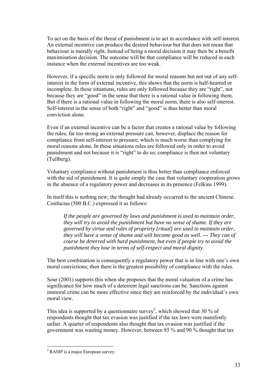To act on the basis of the threat of punishment is to act in accordance with self-interest. An external incentive can produce the desired behaviour but that does not mean that behaviour is morally right. Instead of being a moral decision it may then be a benefit maximisation decision. The outcome will be that compliance will be reduced in each instance when the external incentives are too weak.

However, if a specific norm is only followed for moral reasons but not out of any selfinterest in the form of external incentive, this shows that the norm is half-hearted or incomplete. In these situations, rules are only followed because they are "right", not because they are "good" in the sense that there is a rational value in following them. But if there is a rational value in following the moral norm, there is also self-interest. Self-interest in the sense of both "right" and "good" is thus better than moral conviction alone.

Even if an external incentive can be a factor that creates a rational value by following the rules, far too strong an external pressure can, however, displace the reason for compliance from self-interest to pressure, which is much worse than complying for moral reasons alone. In these situations rules are followed only in order to avoid punishment and not because it is "right" to do so; compliance is then not voluntary (Tullberg).

Voluntary compliance without punishment is thus better than compliance enforced with the aid of punishment. It is quite simply the case that voluntary cooperation grows in the absence of a regulatory power and decreases in its presence (Felkins 1999).

In itself this is nothing new; the thought had already occurred to the ancient Chinese. Confucius (500 B.C.) expressed it as follows:

*If the people are governed by laws and punishment is used to maintain order, they will try to avoid the punishment but have no sense of shame. If they are governed by virtue and rules of propriety [ritual] are used to maintain order, they will have a sense of shame and will become good as well. --- They can of course be deterred with hard punishment, but even if people try to avoid the punishment they lose in terms of self-respect and moral dignity.*

The best combination is consequently a regulatory power that is in line with one's own moral convictions; then there is the greatest possibility of compliance with the rules.

Sour (2001) supports this when she proposes that the moral valuation of a crime has significance for how much of a deterrent legal sanctions can be. Sanctions against immoral crime can be more effective since they are reinforced by the individual's own moral view.

This idea is supported by a questionnaire survey<sup>3</sup>, which showed that 30 % of respondents thought that tax evasion was justified if the tax laws were manifestly unfair. A quarter of respondents also thought that tax evasion was justified if the government was wasting money. However, between 85 % and 90 % thought that tax

i<br>L

<sup>&</sup>lt;sup>3</sup> RAMP is a major European survey.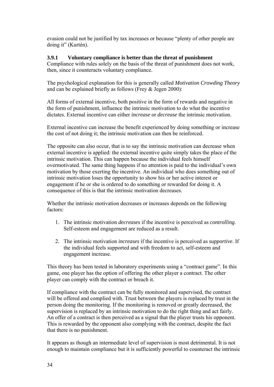evasion could not be justified by tax increases or because "plenty of other people are doing it" (Kurtén).

# **3.9.1 Voluntary compliance is better than the threat of punishment**

Compliance with rules solely on the basis of the threat of punishment does not work, then, since it counteracts voluntary compliance.

The psychological explanation for this is generally called *Motivation Crowding Theory* and can be explained briefly as follows (Frey & Jegen 2000):

All forms of external incentive, both positive in the form of rewards and negative in the form of punishment, influence the intrinsic motivation to do what the incentive dictates. External incentive can either *increase* or *decrease* the intrinsic motivation.

External incentive can increase the benefit experienced by doing something or increase the cost of not doing it; the intrinsic motivation can then be reinforced.

The opposite can also occur, that is to say the intrinsic motivation can decrease when external incentive is applied: the external incentive quite simply takes the place of the intrinsic motivation. This can happen because the individual feels himself overmotivated. The same thing happens if no attention is paid to the individual's own motivation by those exerting the incentive. An individual who does something out of intrinsic motivation loses the opportunity to show his or her active interest or engagement if he or she is ordered to do something or rewarded for doing it. A consequence of this is that the intrinsic motivation decreases.

Whether the intrinsic motivation decreases or increases depends on the following factors:

- 1. The intrinsic motivation *decreases* if the incentive is perceived as *controlling*. Self-esteem and engagement are reduced as a result.
- 2. The intrinsic motivation *increases* if the incentive is perceived as *supportive*. If the individual feels supported and with freedom to act, self-esteem and engagement increase.

This theory has been tested in laboratory experiments using a "contract game". In this game, one player has the option of offering the other player a contract. The other player can comply with the contract or breach it.

If compliance with the contract can be fully monitored and supervised, the contract will be offered and complied with. Trust between the players is replaced by trust in the person doing the monitoring. If the monitoring is removed or greatly decreased, the supervision is replaced by an intrinsic motivation to do the right thing and act fairly. An offer of a contract is then perceived as a signal that the player trusts his opponent. This is rewarded by the opponent also complying with the contract, despite the fact that there is no punishment.

It appears as though an intermediate level of supervision is most detrimental. It is not enough to maintain compliance but it is sufficiently powerful to counteract the intrinsic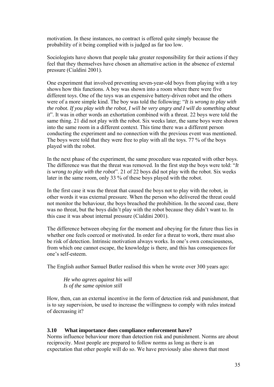motivation. In these instances, no contract is offered quite simply because the probability of it being complied with is judged as far too low.

Sociologists have shown that people take greater responsibility for their actions if they feel that they themselves have chosen an alternative action in the absence of external pressure (Cialdini 2001).

One experiment that involved preventing seven-year-old boys from playing with a toy shows how this functions. A boy was shown into a room where there were five different toys. One of the toys was an expensive battery-driven robot and the others were of a more simple kind. The boy was told the following: "*It is wrong to play with the robot. If you play with the robot, I will be very angry and I will do something about it*". It was in other words an exhortation combined with a threat. 22 boys were told the same thing. 21 did not play with the robot. Six weeks later, the same boys were shown into the same room in a different context. This time there was a different person conducting the experiment and no connection with the previous event was mentioned. The boys were told that they were free to play with all the toys. 77 % of the boys played with the robot.

In the next phase of the experiment, the same procedure was repeated with other boys. The difference was that the threat was removed. In the first step the boys were told: "*It is wrong to play with the robot*". 21 of 22 boys did not play with the robot. Six weeks later in the same room, only 33 % of these boys played with the robot.

In the first case it was the threat that caused the boys not to play with the robot, in other words it was external pressure. When the person who delivered the threat could not monitor the behaviour, the boys breached the prohibition. In the second case, there was no threat, but the boys didn't play with the robot because they didn't want to. In this case it was about internal pressure (Cialdini 2001).

The difference between obeying for the moment and obeying for the future thus lies in whether one feels coerced or motivated. In order for a threat to work, there must also be risk of detection. Intrinsic motivation always works. In one's own consciousness, from which one cannot escape, the knowledge is there, and this has consequences for one's self-esteem.

The English author Samuel Butler realised this when he wrote over 300 years ago:

*He who agrees against his will Is of the same opinion still* 

How, then, can an external incentive in the form of detection risk and punishment, that is to say supervision, be used to increase the willingness to comply with rules instead of decreasing it?

#### **3.10 What importance does compliance enforcement have?**

Norms influence behaviour more than detection risk and punishment. Norms are about reciprocity. Most people are prepared to follow norms as long as there is an expectation that other people will do so. We have previously also shown that most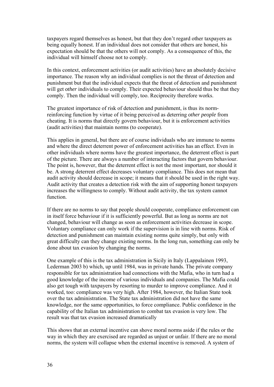taxpayers regard themselves as honest, but that they don't regard other taxpayers as being equally honest. If an individual does not consider that others are honest, his expectation should be that the others will not comply. As a consequence of this, the individual will himself choose not to comply.

In this context, enforcement activities (or audit activities) have an absolutely decisive importance. The reason why an individual complies is not the threat of detection and punishment but that the individual expects that the threat of detection and punishment will get *other* individuals to comply. Their expected behaviour should thus be that they comply. Then the individual will comply, too. Reciprocity therefore works.

The greatest importance of risk of detection and punishment, is thus its normreinforcing function by virtue of it being perceived as deterring *other people* from cheating. It is norms that directly govern behaviour, but it is enforcement activities (audit activities) that maintain norms (to cooperate).

This applies in general, but there are of course individuals who are immune to norms and where the direct deterrent power of enforcement activities has an effect. Even in other individuals where norms have the greatest importance, the deterrent effect is part of the picture. There are always a number of interacting factors that govern behaviour. The point is, however, that the deterrent effect is not the most important, nor should it be. A strong deterrent effect decreases voluntary compliance. This does not mean that audit activity should decrease in scope; it means that it should be used in the right way. Audit activity that creates a detection risk with the aim of supporting honest taxpayers increases the willingness to comply. Without audit activity, the tax system cannot function.

If there are no norms to say that people should cooperate, compliance enforcement can in itself force behaviour if it is sufficiently powerful. But as long as norms are not changed, behaviour will change as soon as enforcement activities decrease in scope. Voluntary compliance can only work if the supervision is in line with norms. Risk of detection and punishment can maintain existing norms quite simply, but only with great difficulty can they change existing norms. In the long run, something can only be done about tax evasion by changing the norms.

One example of this is the tax administration in Sicily in Italy (Lappalainen 1993, Lederman 2003 b) which, up until 1984, was in private hands. The private company responsible for tax administration had connections with the Mafia, who in turn had a good knowledge of the income of various individuals and companies. The Mafia could also get tough with taxpayers by resorting to murder to improve compliance. And it worked, too: compliance was very high. After 1984, however, the Italian State took over the tax administration. The State tax administration did not have the same knowledge, nor the same opportunities, to force compliance. Public confidence in the capability of the Italian tax administration to combat tax evasion is very low. The result was that tax evasion increased dramatically

This shows that an external incentive can shove moral norms aside if the rules or the way in which they are exercised are regarded as unjust or unfair. If there are no moral norms, the system will collapse when the external incentive is removed. A system of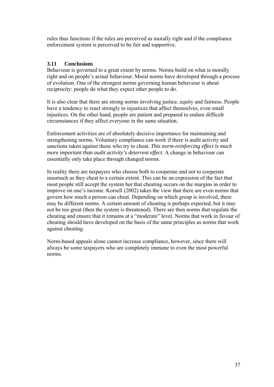rules thus functions if the rules are perceived as morally right and if the compliance enforcement system is perceived to be fair and supportive.

## **3.11 Conclusions**

Behaviour is governed to a great extent by norms. Norms build on what is morally right and on people's actual behaviour. Moral norms have developed through a process of evolution. One of the strongest norms governing human behaviour is about reciprocity: people do what they expect other people to do.

It is also clear that there are strong norms involving justice, equity and fairness. People have a tendency to react strongly to injustices that affect themselves, even small injustices. On the other hand, people are patient and prepared to endure difficult circumstances if they affect everyone in the same situation.

Enforcement activities are of absolutely decisive importance for maintaining and strengthening norms. Voluntary compliance can work if there is audit activity and sanctions taken against those who try to cheat. *This norm-reinforcing effect is much more important than audit activity's deterrent effect*. A change in behaviour can essentially only take place through changed norms.

In reality there are taxpayers who choose both to cooperate and not to cooperate inasmuch as they cheat to a certain extent. This can be an expression of the fact that most people still accept the system but that cheating occurs on the margins in order to improve on one's income. Korsell (2002) takes the view that there are even norms that govern how much a person can cheat. Depending on which group is involved, there may be different norms. A certain amount of cheating is perhaps expected, but it may not be too great (then the system is threatened). There are then norms that regulate the cheating and ensure that it remains at a "moderate" level. Norms that work in favour of cheating should have developed on the basis of the same principles as norms that work against cheating.

Norm-based appeals alone cannot increase compliance, however, since there will always be some taxpayers who are completely immune to even the most powerful norms.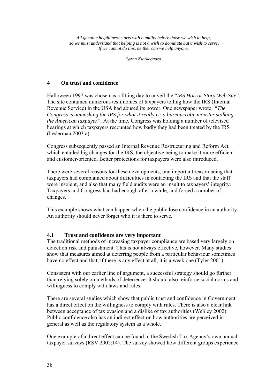*All genuine helpfulness starts with humility before those we wish to help, so we must understand that helping is not a wish to dominate but a wish to serve. If we cannot do this, neither can we help anyone.* 

*Søren Kierkegaard* 

### **4 On trust and confidence**

Halloween 1997 was chosen as a fitting day to unveil the "*IRS Horror Story Web Site*". The site contained numerous testimonies of taxpayers telling how the IRS (Internal Revenue Service) in the USA had abused its power. One newspaper wrote: *"The Congress is unmasking the IRS for what it really is: a bureaucratic monster stalking the American taxpayer"*. At the time, Congress was holding a number of televised hearings at which taxpayers recounted how badly they had been treated by the IRS (Lederman 2003 a).

Congress subsequently passed an Internal Revenue Restructuring and Reform Act, which entailed big changes for the IRS, the objective being to make it more efficient and customer-oriented. Better protections for taxpayers were also introduced.

There were several reasons for these developments, one important reason being that taxpayers had complained about difficulties in contacting the IRS and that the staff were insolent, and also that many field audits were an insult to taxpayers' integrity. Taxpayers and Congress had had enough after a while, and forced a number of changes.

This example shows what can happen when the public lose confidence in an authority. An authority should never forget who it is there to serve.

## **4.1 Trust and confidence are very important**

The traditional methods of increasing taxpayer compliance are based very largely on detection risk and punishment. This is not always effective, however. Many studies show that measures aimed at deterring people from a particular behaviour sometimes have no effect and that, if there is any effect at all, it is a weak one (Tyler 2001).

Consistent with our earlier line of argument, a successful strategy should go further than relying solely on methods of deterrence: it should also reinforce social norms and willingness to comply with laws and rules.

There are several studies which show that public trust and confidence in Government has a direct effect on the willingness to comply with rules. There is also a clear link between acceptance of tax evasion and a dislike of tax authorities (Webley 2002). Public confidence also has an indirect effect on how authorities are perceived in general as well as the regulatory system as a whole.

One example of a direct effect can be found in the Swedish Tax Agency's own annual taxpayer surveys (RSV 2002:14). The survey showed how different groups experience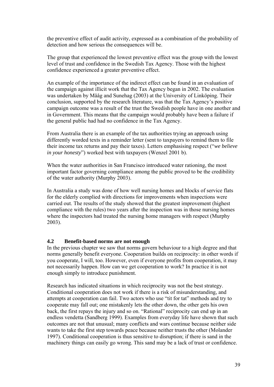the preventive effect of audit activity, expressed as a combination of the probability of detection and how serious the consequences will be.

The group that experienced the lowest preventive effect was the group with the lowest level of trust and confidence in the Swedish Tax Agency. Those with the highest confidence experienced a greater preventive effect.

An example of the importance of the indirect effect can be found in an evaluation of the campaign against illicit work that the Tax Agency began in 2002. The evaluation was undertaken by Mååg and Sunehag (2003) at the University of Linköping. Their conclusion, supported by the research literature, was that the Tax Agency's positive campaign outcome was a result of the trust the Swedish people have in one another and in Government. This means that the campaign would probably have been a failure if the general public had had no confidence in the Tax Agency.

From Australia there is an example of the tax authorities trying an approach using differently worded texts in a reminder letter (sent to taxpayers to remind them to file their income tax returns and pay their taxes). Letters emphasising respect ("*we believe in your honesty*") worked best with taxpayers (Wenzel 2001 b).

When the water authorities in San Francisco introduced water rationing, the most important factor governing compliance among the public proved to be the credibility of the water authority (Murphy 2003).

In Australia a study was done of how well nursing homes and blocks of service flats for the elderly complied with directions for improvements when inspections were carried out. The results of the study showed that the greatest improvement (highest compliance with the rules) two years after the inspection was in those nursing homes where the inspectors had treated the nursing home managers with respect (Murphy 2003).

### **4.2 Benefit-based norms are not enough**

In the previous chapter we saw that norms govern behaviour to a high degree and that norms generally benefit everyone. Cooperation builds on reciprocity: in other words if you cooperate, I will, too. However, even if everyone profits from cooperation, it may not necessarily happen. How can we get cooperation to work? In practice it is not enough simply to introduce punishment.

Research has indicated situations in which reciprocity was not the best strategy. Conditional cooperation does not work if there is a risk of misunderstanding, and attempts at cooperation can fail. Two actors who use "tit for tat" methods and try to cooperate may fall out; one mistakenly lets the other down, the other gets his own back, the first repays the injury and so on. "Rational" reciprocity can end up in an endless vendetta (Sandberg 1999). Examples from everyday life have shown that such outcomes are not that unusual; many conflicts and wars continue because neither side wants to take the first step towards peace because neither trusts the other (Molander 1997). Conditional cooperation is thus sensitive to disruption; if there is sand in the machinery things can easily go wrong. This sand may be a lack of trust or confidence.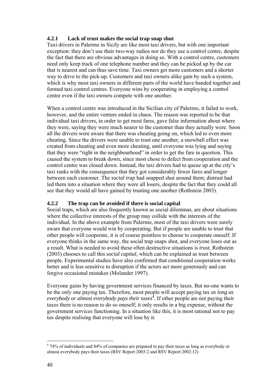# **4.2.1 Lack of trust makes the social trap snap shut**

Taxi drivers in Palermo in Sicily are like most taxi drivers, but with one important exception: they don't use their two-way radios nor do they use a control centre, despite the fact that there are obvious advantages in doing so. With a control centre, customers need only keep track of one telephone number and they can be picked up by the car that is nearest and can thus save time. Taxi owners get more customers and a shorter way to drive to the pick-up. Customers and taxi owners alike gain by such a system, which is why most taxi owners in different parts of the world have banded together and formed taxi control centres. Everyone wins by cooperating in employing a control centre even if the taxi owners compete with one another.

When a control centre was introduced in the Sicilian city of Palermo, it failed to work, however, and the entire venture ended in chaos. The reason was reported to be that individual taxi drivers, in order to get most fares, gave false information about where they were, saying they were much nearer to the customer than they actually were. Soon all the drivers were aware that there was cheating going on, which led to even more cheating. Since the drivers were unable to trust one another, a snowball effect was created from cheating and even more cheating, until everyone was lying and saying that they were "right in the neighbourhood" in order to get the fare in question. This caused the system to break down, since most chose to defect from cooperation and the control centre was closed down. Instead, the taxi drivers had to queue up at the city's taxi ranks with the consequence that they got considerably fewer fares and longer between each customer. The *social trap* had snapped shut around them; distrust had led them into a situation where they were all losers, despite the fact that they could all see that they would all have gained by trusting one another (Rothstein 2003).

## **4.2.2 The trap can be avoided if there is social capital**

Social traps, which are also frequently known as social dilemmas, are about situations where the collective interests of the group may collide with the interests of the individual. In the above example from Palermo, most of the taxi drivers were surely aware that everyone would win by cooperating. But if people are unable to trust that other people will cooperate, it is of course pointless to choose to cooperate oneself. If everyone thinks in the same way, the social trap snaps shut, and everyone loses out as a result. What is needed to avoid these often destructive situations is *trust*. Rothstein (2003) chooses to call this *social capital,* which can be explained as trust between people. Experimental studies have also confirmed that conditional cooperation works better and is less sensitive to disruption if the actors act more generously and can forgive occasional mistakes (Molander 1997).

Everyone gains by having government services financed by taxes. But no-one wants to be the only one paying tax. Therefore, most people will accept paying tax *as long as*  everybody or almost everybody pays their taxes<sup>4</sup>. If other people are not paying their taxes there is no reason to do so oneself; it only results in a big expense, without the government services functioning. In a situation like this, it is most rational not to pay tax despite realising that everyone will lose by it.

i<br>L

<sup>&</sup>lt;sup>4</sup> 74% of individuals and 84% of companies are prepared to pay their taxes as long as everybody or almost everybody pays their taxes (RSV Report  $2003:2$  and RSV Report  $2002:12$ )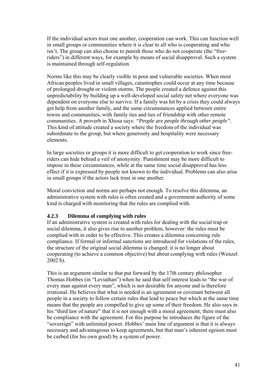If the individual actors trust one another, cooperation can work. This can function well in small groups or communities where it is clear to all who is cooperating and who isn't. The group can also choose to punish those who do not cooperate (the "freeriders") in different ways, for example by means of social disapproval. Such a system is maintained through self-regulation.

Norms like this may be clearly visible in poor and vulnerable societies. When most African peoples lived in small villages, catastrophes could occur at any time because of prolonged drought or violent storms. The people created a defence against this unpredictability by building up a well-developed social safety net where everyone was dependent on everyone else to survive. If a family was hit by a crisis they could always get help from another family, and the same circumstances applied between entire towns and communities, with family ties and ties of friendship with other remote communities. A proverb in Xhosa says: *"People are people through other people"*. This kind of attitude created a society where the freedom of the individual was subordinate to the group, but where generosity and hospitality were necessary elements.

In large societies or groups it is more difficult to get cooperation to work since freeriders can hide behind a veil of anonymity. Punishment may be more difficult to impose in these circumstances, while at the same time social disapproval has less effect if it is expressed by people not known to the individual. Problems can also arise in small groups if the actors lack trust in one another.

Moral conviction and norms are perhaps not enough. To resolve this dilemma, an administrative system with rules is often created and a government authority of some kind is charged with monitoring that the rules are complied with.

## **4.2.3 Dilemma of complying with rules**

If an administrative system is created with rules for dealing with the social trap or social dilemma, it also gives rise to another problem, however: the rules must be complied with in order to be effective. This creates a dilemma concerning rule compliance. If formal or informal sanctions are introduced for violations of the rules, the structure of the original social dilemma is changed: it is no longer about cooperating (to achieve a common objective) but about complying with rules (Wenzel 2002 b).

This is an argument similar to that put forward by the 17th century philosopher Thomas Hobbes (in "Leviathan") when he said that self-interest leads to "the war of every man against every man", which is not desirable for anyone and is therefore irrational. He believes that what is needed is an agreement or covenant between all people in a society to follow certain rules that lead to peace but which at the same time means that the people are compelled to give up some of their freedom. He also says in his "third law of nature" that it is not enough with a moral agreement; there must also be compliance with the agreement. For this purpose he introduces the figure of the "sovereign" with unlimited power. Hobbes' main line of argument is that it is always necessary and advantageous to keep agreements, but that man's inherent egoism must be curbed (for his own good) by a system of power.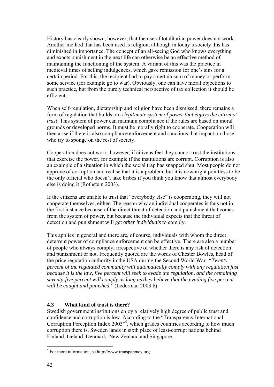History has clearly shown, however, that the use of totalitarian power does not work. Another method that has been used is religion, although in today's society this has diminished in importance. The concept of an all-seeing God who knows everything and exacts punishment in the next life can otherwise be an effective method of maintaining the functioning of the system. A variant of this was the practice in medieval times of selling indulgences, which gave remission for one's sins for a certain period. For this, the recipient had to pay a certain sum of money or perform some service (for example go to war). Obviously, one can have moral objections to such practice, but from the purely technical perspective of tax collection it should be efficient.

When self-regulation, dictatorship and religion have been dismissed, there remains a form of regulation that builds on a *legitimate system of power that enjoys the citizens' trust*. This system of power can maintain compliance if the rules are based on moral grounds or developed norms. It must be morally right to cooperate. Cooperation will then arise if there is also compliance enforcement and sanctions that impact on those who try to sponge on the rest of society.

Cooperation does not work, however, if citizens feel they cannot trust the institutions that exercise the power, for example if the institutions are corrupt. Corruption is also an example of a situation in which the social trap has snapped shut. Most people do not approve of corruption and realise that it is a problem, but it is downright pointless to be the only official who doesn't take bribes if you think you know that almost everybody else is doing it (Rothstein 2003).

If the citizens are unable to trust that "everybody else" is cooperating, they will not cooperate themselves, either. The reason why an individual cooperates is thus not in the first instance because of the direct threat of detection and punishment that comes from the system of power, but because the individual expects that the threat of detection and punishment will get *other individuals* to comply.

This applies in general and there are, of course, individuals with whom the direct deterrent power of compliance enforcement can be effective. There are also a number of people who always comply, irrespective of whether there is any risk of detection and punishment or not. Frequently quoted are the words of Chester Bowles, head of the price regulation authority in the USA during the Second World War: *"Twenty percent of the regulated community will automatically comply with any regulation just because it is the law, five percent will seek to evade the regulation, and the remaining seventy-five percent will comply as long as they believe that the evading five percent will be caught and punished.*" (Lederman 2003 b).

## **4.3 What kind of trust is there?**

Swedish government institutions enjoy a relatively high degree of public trust and confidence and corruption is low. According to the "Transparency International Corruption Perception Index 2003<sup>"5</sup>, which grades countries according to how much corruption there is, Sweden lands in sixth place of least-corrupt nations behind Finland, Iceland, Denmark, New Zealand and Singapore.

 5 For more information, se http://www.transparency.org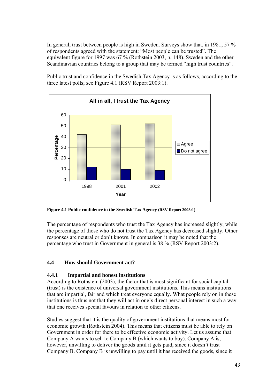In general, trust between people is high in Sweden. Surveys show that, in 1981, 57 % of respondents agreed with the statement: "Most people can be trusted". The equivalent figure for 1997 was 67 % (Rothstein 2003, p. 148). Sweden and the other Scandinavian countries belong to a group that may be termed "high trust countries".

Public trust and confidence in the Swedish Tax Agency is as follows, according to the three latest polls; see Figure 4.1 (RSV Report 2003:1).



**Figure 4.1 Public confidence in the Swedish Tax Agency (RSV Report 2003:1)** 

The percentage of respondents who trust the Tax Agency has increased slightly, while the percentage of those who do not trust the Tax Agency has decreased slightly. Other responses are neutral or don't knows. In comparison it may be noted that the percentage who trust in Government in general is 38 % (RSV Report 2003:2).

# **4.4 How should Government act?**

## **4.4.1 Impartial and honest institutions**

According to Rothstein (2003), the factor that is most significant for social capital (trust) is the existence of universal government institutions. This means institutions that are impartial, fair and which treat everyone equally. What people rely on in these institutions is thus not that they will act in one's direct personal interest in such a way that one receives special favours in relation to other citizens.

Studies suggest that it is the quality of government institutions that means most for economic growth (Rothstein 2004). This means that citizens must be able to rely on Government in order for there to be effective economic activity. Let us assume that Company A wants to sell to Company B (which wants to buy). Company A is, however, unwilling to deliver the goods until it gets paid, since it doesn't trust Company B. Company B is unwilling to pay until it has received the goods, since it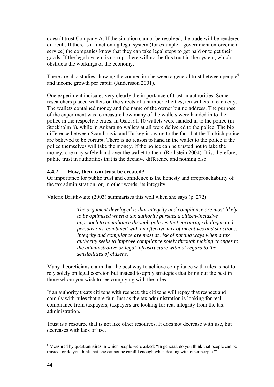doesn't trust Company A. If the situation cannot be resolved, the trade will be rendered difficult. If there is a functioning legal system (for example a government enforcement service) the companies know that they can take legal steps to get paid or to get their goods. If the legal system is corrupt there will not be this trust in the system, which obstructs the workings of the economy.

There are also studies showing the connection between a general trust between people<sup>6</sup> and income growth per capita (Andersson 2001).

One experiment indicates very clearly the importance of trust in authorities. Some researchers placed wallets on the streets of a number of cities, ten wallets in each city. The wallets contained money and the name of the owner but no address. The purpose of the experiment was to measure how many of the wallets were handed in to the police in the respective cities. In Oslo, all 10 wallets were handed in to the police (in Stockholm 8), while in Ankara no wallets at all were delivered to the police. The big difference between Scandinavia and Turkey is owing to the fact that the Turkish police are believed to be corrupt. There is no reason to hand in the wallet to the police if the police themselves will take the money. If the police can be trusted not to take the money, one may safely hand over the wallet to them (Rothstein 2004). It is, therefore, public trust in authorities that is the decisive difference and nothing else.

## **4.4.2 How, then, can trust be created?**

Of importance for public trust and confidence is the honesty and irreproachability of the tax administration, or, in other words, its integrity.

Valerie Braithwaite (2003) summarises this well when she says (p. 272):

*The argument developed is that integrity and compliance are most likely to be optimised when a tax authority pursues a citizen-inclusive approach to compliance through policies that encourage dialogue and persuasions, combined with an effective mix of incentives and sanctions. Integrity and compliance are most at risk of parting ways when a tax authority seeks to improve compliance solely through making changes to the administrative or legal infrastructure without regard to the sensibilities of citizens.* 

Many theoreticians claim that the best way to achieve compliance with rules is not to rely solely on legal coercion but instead to apply strategies that bring out the best in those whom you wish to see complying with the rules.

If an authority treats citizens with respect, the citizens will repay that respect and comply with rules that are fair. Just as the tax administration is looking for real compliance from taxpayers, taxpayers are looking for real integrity from the tax administration.

Trust is a resource that is not like other resources. It does not decrease with use, but decreases with lack of use.

i<br>L

<sup>&</sup>lt;sup>6</sup> Measured by questionnaires in which people were asked: "In general, do you think that people can be trusted, or do you think that one cannot be careful enough when dealing with other people?"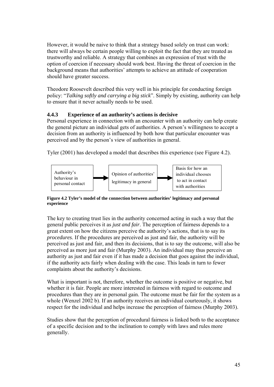However, it would be naive to think that a strategy based solely on trust can work: there will always be certain people willing to exploit the fact that they are treated as trustworthy and reliable. A strategy that combines an expression of trust with the option of coercion if necessary should work best. Having the threat of coercion in the background means that authorities' attempts to achieve an attitude of cooperation should have greater success.

Theodore Roosevelt described this very well in his principle for conducting foreign policy: "*Talking softly and carrying a big stick*". Simply by existing, authority can help to ensure that it never actually needs to be used.

# **4.4.3 Experience of an authority's actions is decisive**

Personal experience in connection with an encounter with an authority can help create the general picture an individual gets of authorities. A person's willingness to accept a decision from an authority is influenced by both how that particular encounter was perceived and by the person's view of authorities in general.

Tyler (2001) has developed a model that describes this experience (see Figure 4.2).



**Figure 4.2 Tyler's model of the connection between authorities' legitimacy and personal experience** 

The key to creating trust lies in the authority concerned acting in such a way that the general public perceives it as *just and fair*. The perception of fairness depends to a great extent on how the citizens perceive the authority's actions, that is to say its *procedures*. If the procedures are perceived as just and fair, the authority will be perceived as just and fair, and then its decisions, that is to say the outcome, will also be perceived as more just and fair (Murphy 2003). An individual may thus perceive an authority as just and fair even if it has made a decision that goes against the individual, if the authority acts fairly when dealing with the case. This leads in turn to fewer complaints about the authority's decisions.

What is important is not, therefore, whether the outcome is positive or negative, but whether it is fair. People are more interested in fairness with regard to outcome and procedures than they are in personal gain. The outcome must be fair for the system as a whole (Wenzel 2002 b). If an authority receives an individual courteously, it shows respect for the individual and helps increase the perception of fairness (Murphy 2003).

Studies show that the perception of procedural fairness is linked both to the acceptance of a specific decision and to the inclination to comply with laws and rules more generally.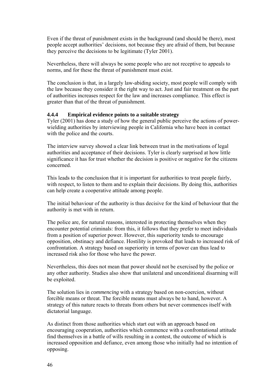Even if the threat of punishment exists in the background (and should be there), most people accept authorities' decisions, not because they are afraid of them, but because they perceive the decisions to be legitimate (Tyler 2001).

Nevertheless, there will always be some people who are not receptive to appeals to norms, and for these the threat of punishment must exist.

The conclusion is that, in a largely law-abiding society, most people will comply with the law because they consider it the right way to act. Just and fair treatment on the part of authorities increases respect for the law and increases compliance. This effect is greater than that of the threat of punishment.

### **4.4.4 Empirical evidence points to a suitable strategy**

Tyler (2001) has done a study of how the general public perceive the actions of powerwielding authorities by interviewing people in California who have been in contact with the police and the courts.

The interview survey showed a clear link between trust in the motivations of legal authorities and acceptance of their decisions. Tyler is clearly surprised at how little significance it has for trust whether the decision is positive or negative for the citizens concerned.

This leads to the conclusion that it is important for authorities to treat people fairly, with respect, to listen to them and to explain their decisions. By doing this, authorities can help create a cooperative attitude among people.

The initial behaviour of the authority is thus decisive for the kind of behaviour that the authority is met with in return.

The police are, for natural reasons, interested in protecting themselves when they encounter potential criminals: from this, it follows that they prefer to meet individuals from a position of superior power. However, this superiority tends to encourage opposition, obstinacy and defiance. Hostility is provoked that leads to increased risk of confrontation. A strategy based on superiority in terms of power can thus lead to increased risk also for those who have the power.

Nevertheless, this does not mean that power should not be exercised by the police or any other authority. Studies also show that unilateral and unconditional disarming will be exploited.

The solution lies in *commencing* with a strategy based on non-coercion, without forcible means or threat. The forcible means must always be to hand, however. A strategy of this nature reacts to threats from others but never commences itself with dictatorial language.

As distinct from those authorities which start out with an approach based on encouraging cooperation, authorities which commence with a confrontational attitude find themselves in a battle of wills resulting in a contest, the outcome of which is increased opposition and defiance, even among those who initially had no intention of opposing.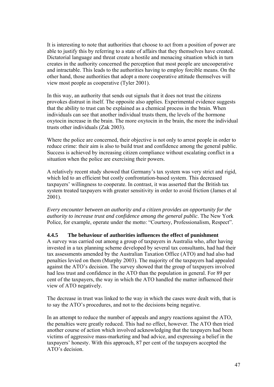It is interesting to note that authorities that choose to act from a position of power are able to justify this by referring to a state of affairs that they themselves have created. Dictatorial language and threat create a hostile and menacing situation which in turn creates in the authority concerned the perception that most people are uncooperative and intractable. This leads to the authorities having to employ forcible means. On the other hand, those authorities that adopt a more cooperative attitude themselves will view most people as cooperative (Tyler 2001).

In this way, an authority that sends out signals that it does not trust the citizens provokes distrust in itself. The opposite also applies. Experimental evidence suggests that the ability to trust can be explained as a chemical process in the brain. When individuals can see that another individual trusts them, the levels of the hormone oxytocin increase in the brain. The more oxytocin in the brain, the more the individual trusts other individuals (Zak 2003).

Where the police are concerned, their objective is not only to arrest people in order to reduce crime: their aim is also to build trust and confidence among the general public. Success is achieved by increasing citizen compliance without escalating conflict in a situation when the police are exercising their powers.

A relatively recent study showed that Germany's tax system was very strict and rigid, which led to an efficient but costly confrontation-based system. This decreased taxpayers' willingness to cooperate. In contrast, it was asserted that the British tax system treated taxpayers with greater sensitivity in order to avoid friction (James et al 2001).

*Every encounter between an authority and a citizen provides an opportunity for the authority to increase trust and confidence among the general public*. The New York Police, for example, operate under the motto: "Courtesy, Professionalism, Respect".

## **4.4.5 The behaviour of authorities influences the effect of punishment**

A survey was carried out among a group of taxpayers in Australia who, after having invested in a tax planning scheme developed by several tax consultants, had had their tax assessments amended by the Australian Taxation Office (ATO) and had also had penalties levied on them (Murphy 2003). The majority of the taxpayers had appealed against the ATO's decision. The survey showed that the group of taxpayers involved had less trust and confidence in the ATO than the population in general. For 89 per cent of the taxpayers, the way in which the ATO handled the matter influenced their view of ATO negatively.

The decrease in trust was linked to the way in which the cases were dealt with, that is to say the ATO's procedures, and not to the decisions being negative.

In an attempt to reduce the number of appeals and angry reactions against the ATO, the penalties were greatly reduced. This had no effect, however. The ATO then tried another course of action which involved acknowledging that the taxpayers had been victims of aggressive mass-marketing and bad advice, and expressing a belief in the taxpayers' honesty. With this approach, 87 per cent of the taxpayers accepted the ATO's decision.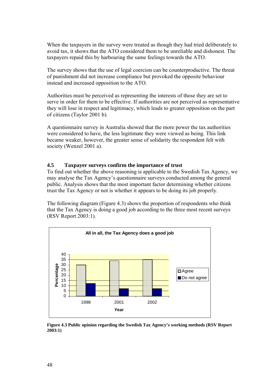When the taxpayers in the survey were treated as though they had tried deliberately to avoid tax, it shows that the ATO considered them to be unreliable and dishonest. The taxpayers repaid this by harbouring the same feelings towards the ATO.

The survey shows that the use of legal coercion can be counterproductive. The threat of punishment did not increase compliance but provoked the opposite behaviour instead and increased opposition to the ATO.

Authorities must be perceived as representing the interests of those they are set to serve in order for them to be effective. If authorities are not perceived as representative they will lose in respect and legitimacy, which leads to greater opposition on the part of citizens (Taylor 2001 b).

A questionnaire survey in Australia showed that the more power the tax authorities were considered to have, the less legitimate they were viewed as being. This link became weaker, however, the greater sense of solidarity the respondent felt with society (Wenzel 2001 a).

### **4.5 Taxpayer surveys confirm the importance of trust**

To find out whether the above reasoning is applicable to the Swedish Tax Agency, we may analyse the Tax Agency's questionnaire surveys conducted among the general public. Analysis shows that the most important factor determining whether citizens trust the Tax Agency or not is whether it appears to be doing its job properly.

The following diagram (Figure 4.3) shows the proportion of respondents who think that the Tax Agency is doing a good job according to the three most recent surveys (RSV Report 2003:1).



**Figure 4.3 Public opinion regarding the Swedish Tax Agency's working methods (RSV Report 2003:1)**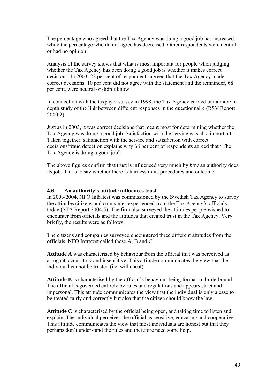The percentage who agreed that the Tax Agency was doing a good job has increased, while the percentage who do not agree has decreased. Other respondents were neutral or had no opinion.

Analysis of the survey shows that what is most important for people when judging whether the Tax Agency has been doing a good job is whether it makes correct decisions. In 2003, 22 per cent of respondents agreed that the Tax Agency made correct decisions. 10 per cent did not agree with the statement and the remainder, 68 per cent, were neutral or didn't know.

In connection with the taxpayer survey in 1998, the Tax Agency carried out a more indepth study of the link between different responses in the questionnaire (RSV Report 2000:2).

Just as in 2003, it was correct decisions that meant most for determining whether the Tax Agency was doing a good job. Satisfaction with the service was also important. Taken together, satisfaction with the service and satisfaction with correct decisions/fraud detection explains why 68 per cent of respondents agreed that "The Tax Agency is doing a good job".

The above figures confirm that trust is influenced very much by *how* an authority does its job, that is to say whether there is fairness in its procedures and outcome.

### **4.6 An authority's attitude influences trust**

In 2003/2004, NFO Infratest was commissioned by the Swedish Tax Agency to survey the attitudes citizens and companies experienced from the Tax Agency's officials today (STA Report 2004:5). The firm also surveyed the attitudes people wished to encounter from officials and the attitudes that created trust in the Tax Agency. Very briefly, the results were as follows:

The citizens and companies surveyed encountered three different attitudes from the officials. NFO Infratest called these A, B and C.

**Attitude A** was characterised by behaviour from the official that was perceived as arrogant, accusatory and insensitive. This attitude communicates the view that the individual cannot be trusted (i.e. will cheat).

**Attitude B** is characterised by the official's behaviour being formal and rule-bound. The official is governed entirely by rules and regulations and appears strict and impersonal. This attitude communicates the view that the individual is only a case to be treated fairly and correctly but also that the citizen should know the law.

**Attitude C** is characterised by the official being open, and taking time to listen and explain. The individual perceives the official as sensitive, educating and cooperative. This attitude communicates the view that most individuals are honest but that they perhaps don't understand the rules and therefore need some help.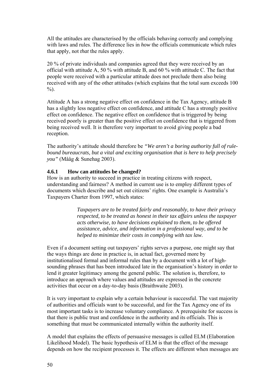All the attitudes are characterised by the officials behaving correctly and complying with laws and rules. The difference lies in *how* the officials communicate which rules that apply, not *that* the rules apply.

20 % of private individuals and companies agreed that they were received by an official with attitude A, 50 % with attitude B, and 60 % with attitude C. The fact that people were received with a particular attitude does not preclude them also being received with any of the other attitudes (which explains that the total sum exceeds 100  $\%$ ).

Attitude A has a strong negative effect on confidence in the Tax Agency, attitude B has a slightly less negative effect on confidence, and attitude C has a strongly positive effect on confidence. The negative effect on confidence that is triggered by being received poorly is greater than the positive effect on confidence that is triggered from being received well. It is therefore very important to avoid giving people a bad reception.

The authority's attitude should therefore be *"We aren't a boring authority full of rulebound bureaucrats, but a vital and exciting organisation that is here to help precisely you"* (Mååg & Sunehag 2003).

## **4.6.1 How can attitudes be changed?**

How is an authority to succeed in practice in treating citizens with respect, understanding and fairness? A method in current use is to employ different types of documents which describe and set out citizens' rights. One example is Australia's Taxpayers Charter from 1997, which states:

> *Taxpayers are to be treated fairly and reasonably, to have their privacy respected, to be treated as honest in their tax affairs unless the taxpayer acts otherwise, to have decisions explained to them, to be offered assistance, advice, and information in a professional way, and to be helped to minimize their costs in complying with tax law.*

Even if a document setting out taxpayers' rights serves a purpose, one might say that the ways things are done in practice is, in actual fact, governed more by institutionalised formal and informal rules than by a document with a lot of highsounding phrases that has been introduced late in the organisation's history in order to lend it greater legitimacy among the general public. The solution is, therefore, to introduce an approach where values and attitudes are expressed in the concrete activities that occur on a day-to-day basis (Braithwaite 2003).

It is very important to explain *why* a certain behaviour is successful. The vast majority of authorities and officials want to be successful, and for the Tax Agency one of its most important tasks is to increase voluntary compliance. A prerequisite for success is that there is public trust and confidence in the authority and its officials. This is something that must be communicated internally within the authority itself.

A model that explains the effects of persuasive messages is called ELM (Elaboration Likelihood Model). The basic hypothesis of ELM is that the effect of the message depends on how the recipient processes it. The effects are different when messages are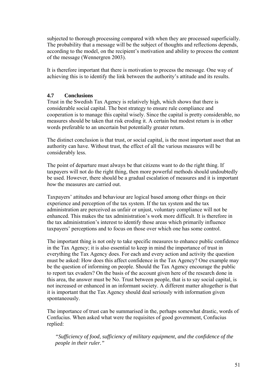subjected to thorough processing compared with when they are processed superficially. The probability that a message will be the subject of thoughts and reflections depends, according to the model, on the recipient's motivation and ability to process the content of the message (Wennergren 2003).

It is therefore important that there is motivation to process the message. One way of achieving this is to identify the link between the authority's attitude and its results.

## **4.7 Conclusions**

Trust in the Swedish Tax Agency is relatively high, which shows that there is considerable social capital. The best strategy to ensure rule compliance and cooperation is to manage this capital wisely. Since the capital is pretty considerable, no measures should be taken that risk eroding it. A certain but modest return is in other words preferable to an uncertain but potentially greater return.

The distinct conclusion is that trust, or social capital, is the most important asset that an authority can have. Without trust, the effect of all the various measures will be considerably less.

The point of departure must always be that citizens want to do the right thing. If taxpayers will not do the right thing, then more powerful methods should undoubtedly be used. However, there should be a gradual escalation of measures and it is important *how* the measures are carried out.

Taxpayers' attitudes and behaviour are logical based among other things on their experience and perception of the tax system. If the tax system and the tax administration are perceived as unfair or unjust, voluntary compliance will not be enhanced. This makes the tax administration's work more difficult. It is therefore in the tax administration's interest to identify those areas which primarily influence taxpayers' perceptions and to focus on those over which one has some control.

The important thing is not only to take specific measures to enhance public confidence in the Tax Agency; it is also essential to keep in mind the importance of trust in everything the Tax Agency does. For each and every action and activity the question must be asked: How does this affect confidence in the Tax Agency? One example may be the question of informing on people. Should the Tax Agency encourage the public to report tax evaders? On the basis of the account given here of the research done in this area, the answer must be No. Trust between people, that is to say social capital, is not increased or enhanced in an informant society. A different matter altogether is that it is important that the Tax Agency should deal seriously with information given spontaneously.

The importance of trust can be summarised in the, perhaps somewhat drastic, words of Confucius. When asked what were the requisites of good government, Confucius replied:

*"Sufficiency of food, sufficiency of military equipment, and the confidence of the people in their ruler."*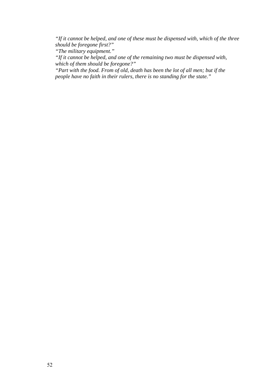*"If it cannot be helped, and one of these must be dispensed with, which of the three should be foregone first?"* 

*"The military equipment."* 

*"If it cannot be helped, and one of the remaining two must be dispensed with, which of them should be foregone?"* 

*"Part with the food. From of old, death has been the lot of all men; but if the people have no faith in their rulers, there is no standing for the state."*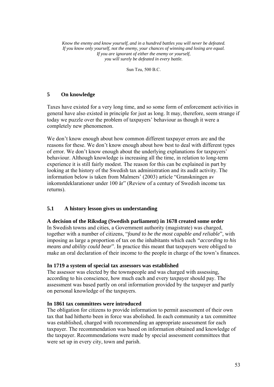*Know the enemy and know yourself, and in a hundred battles you will never be defeated. If you know only yourself, not the enemy, your chances of winning and losing are equal. If you are ignorant of either the enemy or yourself, you will surely be defeated in every battle.* 

Sun Tzu, 500 B.C.

## **5 On knowledge**

Taxes have existed for a very long time, and so some form of enforcement activities in general have also existed in principle for just as long. It may, therefore, seem strange if today we puzzle over the problem of taxpayers' behaviour as though it were a completely new phenomenon.

We don't know enough about how common different taxpayer errors are and the reasons for these. We don't know enough about how best to deal with different types of error. We don't know enough about the underlying explanations for taxpayers' behaviour. Although knowledge is increasing all the time, in relation to long-term experience it is still fairly modest. The reason for this can be explained in part by looking at the history of the Swedish tax administration and its audit activity. The information below is taken from Malmers' (2003) article "Granskningen av inkomstdeklarationer under 100 år" (Review of a century of Swedish income tax returns).

## **5.1 A history lesson gives us understanding**

### **A decision of the Riksdag (Swedish parliament) in 1678 created some order**

In Swedish towns and cities, a Government authority (magistrate) was charged, together with a number of citizens, "*found to be the most capable and reliable*", with imposing as large a proportion of tax on the inhabitants which each *"according to his means and ability could bear*". In practice this meant that taxpayers were obliged to make an oral declaration of their income to the people in charge of the town's finances.

## **In 1719 a system of special tax assessors was established**

The assessor was elected by the townspeople and was charged with assessing, according to his conscience, how much each and every taxpayer should pay. The assessment was based partly on oral information provided by the taxpayer and partly on personal knowledge of the taxpayers.

### **In 1861 tax committees were introduced**

The obligation for citizens to provide information to permit assessment of their own tax that had hitherto been in force was abolished. In each community a tax committee was established, charged with recommending an appropriate assessment for each taxpayer. The recommendation was based on information obtained and knowledge of the taxpayer. Recommendations were made by special assessment committees that were set up in every city, town and parish.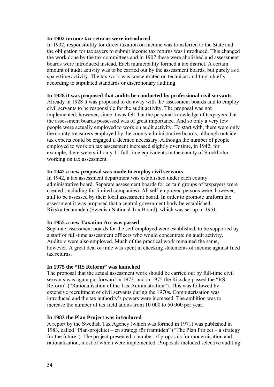### **In 1902 income tax returns were introduced**

In 1902, responsibility for direct taxation on income was transferred to the State and the obligation for taxpayers to submit income tax returns was introduced. This changed the work done by the tax committees and in 1907 these were abolished and assessment boards were introduced instead. Each municipality formed a tax district. A certain amount of audit activity was to be carried out by the assessment boards, but purely as a spare time activity. The tax work was concentrated on technical auditing, chiefly according to stipulated standards or discretionary auditing.

#### **In 1928 it was proposed that audits be conducted by professional civil servants**

Already in 1928 it was proposed to do away with the assessment boards and to employ civil servants to be responsible for the audit activity. The proposal was not implemented, however, since it was felt that the personal knowledge of taxpayers that the assessment boards possessed was of great importance. And so only a very few people were actually employed to work on audit activity. To start with, there were only the county treasurers employed by the county administrative boards, although outside tax experts could be engaged if deemed necessary. Although the number of people employed to work on tax assessment increased slightly over time, in 1942, for example, there were still only 11 full-time equivalents in the county of Stockholm working on tax assessment.

#### **In 1942 a new proposal was made to employ civil servants**

In 1942, a tax assessment department was established under each county administrative board. Separate assessment boards for certain groups of taxpayers were created (including for limited companies). All self-employed persons were, however, still to be assessed by their local assessment board. In order to promote uniform tax assessment it was proposed that a central government body be established, Rikskattenämnden (Swedish National Tax Board), which was set up in 1951.

#### **In 1955 a new Taxation Act was passed**

Separate assessment boards for the self-employed were established, to be supported by a staff of full-time assessment officers who would concentrate on audit activity. Auditors were also employed. Much of the practical work remained the same, however. A great deal of time was spent in checking statements of income against filed tax returns.

### **In 1975 the "RS Reform" was launched**

The proposal that the actual assessment work should be carried out by full-time civil servants was again put forward in 1973, and in 1975 the Riksdag passed the "RS Reform" ("Rationalisation of the Tax Administration"). This was followed by extensive recruitment of civil servants during the 1970s. Computerisation was introduced and the tax authority's powers were increased. The ambition was to increase the number of tax field audits from 10 000 to 50 000 per year.

#### **In 1983 the Plan Project was introduced**

A report by the Swedish Tax Agency (which was formed in 1971) was published in 1983, called "Plan-projektet – en strategi för framtiden" ("The Plan Project – a strategy for the future"). The project presented a number of proposals for modernisation and rationalisation, most of which were implemented. Proposals included selective auditing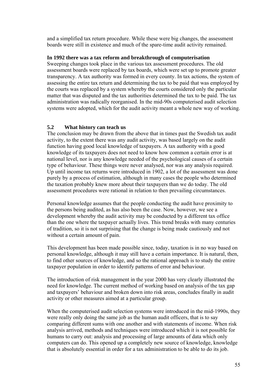and a simplified tax return procedure. While these were big changes, the assessment boards were still in existence and much of the spare-time audit activity remained.

### **In 1992 there was a tax reform and breakthrough of computerisation**

Sweeping changes took place in the various tax assessment procedures. The old assessment boards were replaced by tax boards, which were set up to promote greater transparency. A tax authority was formed in every county. In tax actions, the system of assessing the entire tax return and determining the tax to be paid that was employed by the courts was replaced by a system whereby the courts considered only the particular matter that was disputed and the tax authorities determined the tax to be paid. The tax administration was radically reorganised. In the mid-90s computerised audit selection systems were adopted, which for the audit activity meant a whole new way of working.

## **5.2 What history can teach us**

The conclusion may be drawn from the above that in times past the Swedish tax audit activity, to the extent there was any audit activity, was based largely on the audit function having good local knowledge of taxpayers. A tax authority with a good knowledge of its taxpayers does not need to know how common a certain error is at national level, nor is any knowledge needed of the psychological causes of a certain type of behaviour. These things were never analysed, nor was any analysis required. Up until income tax returns were introduced in 1902, a lot of the assessment was done purely by a process of estimation, although in many cases the people who determined the taxation probably knew more about their taxpayers than we do today. The old assessment procedures were rational in relation to then prevailing circumstances.

Personal knowledge assumes that the people conducting the audit have proximity to the persons being audited, as has also been the case. Now, however, we see a development whereby the audit activity may be conducted by a different tax office than the one where the taxpayer actually lives. This trend breaks with many centuries of tradition, so it is not surprising that the change is being made cautiously and not without a certain amount of pain.

This development has been made possible since, today, taxation is in no way based on personal knowledge, although it may still have a certain importance. It is natural, then, to find other sources of knowledge, and so the rational approach is to study the entire taxpayer population in order to identify patterns of error and behaviour.

The introduction of risk management in the year 2000 has very clearly illustrated the need for knowledge. The current method of working based on analysis of the tax gap and taxpayers' behaviour and broken down into risk areas, concludes finally in audit activity or other measures aimed at a particular group.

When the computerised audit selection systems were introduced in the mid-1990s, they were really only doing the same job as the human audit officers, that is to say comparing different sums with one another and with statements of income. When risk analysis arrived, methods and techniques were introduced which it is not possible for humans to carry out: analysis and processing of large amounts of data which only computers can do. This opened up a completely new source of knowledge, knowledge that is absolutely essential in order for a tax administration to be able to do its job.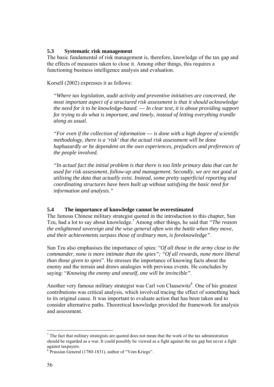### **5.3 Systematic risk management**

The basic fundamental of risk management is, therefore, knowledge of the tax gap and the effects of measures taken to close it. Among other things, this requires a functioning business intelligence analysis and evaluation.

Korsell (2002) expresses it as follows:

*"Where tax legislation, audit activity and preventive initiatives are concerned, the most important aspect of a structured risk assessment is that it should acknowledge the need for it to be knowledge-based. --- In clear text, it is about providing support for trying to do what is important, and timely, instead of letting everything trundle along as usual.* 

*"For even if the collection of information --- is done with a high degree of scientific methodology, there is a 'risk' that the actual risk assessment will be done haphazardly or be dependent on the own experiences, prejudices and preferences of the people involved.* 

*"In actual fact the initial problem is that there is too little primary data that can be used for risk assessment, follow-up and management. Secondly, we are not good at utilising the data that actually exist. Instead, some pretty superficial reporting and coordinating structures have been built up without satisfying the basic need for information and analysis."* 

## **5.4 The importance of knowledge cannot be overestimated**

The famous Chinese military strategist quoted in the introduction to this chapter, Sun Tzu, had a lot to say about knowledge.7 Among other things, he said that *"The reason the enlightened sovereign and the wise general often win the battle when they move, and their achievements surpass those of ordinary men, is foreknowledge"*.

Sun Tzu also emphasises the importance of spies: "*Of all those in the army close to the commander, none is more intimate than the spies"; "Of all rewards, none more liberal than those given to spies*". He stresses the importance of knowing facts about the enemy and the terrain and draws analogies with previous events. He concludes by saying: "*Knowing the enemy and oneself, one will be invincible"*.

Another very famous military strategist was Carl von Clausewitz<sup>8</sup>. One of his greatest contributions was critical analysis, which involved tracing the effect of something back to its original cause. It was important to evaluate action that has been taken and to consider alternative paths. Theoretical knowledge provided the framework for analysis and assessment.

i<br>L

 $<sup>7</sup>$  The fact that military strategists are quoted does not mean that the work of the tax administration</sup> should be regarded as a war. It could possibly be viewed as a fight against the tax gap but never a fight against taxpayers.

<sup>&</sup>lt;sup>8</sup> Prussian General (1780-1831), author of "Vom Kriege".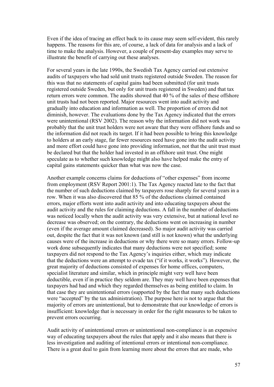Even if the idea of tracing an effect back to its cause may seem self-evident, this rarely happens. The reasons for this are, of course, a lack of data for analysis and a lack of time to make the analysis. However, a couple of present-day examples may serve to illustrate the benefit of carrying out these analyses.

For several years in the late 1990s, the Swedish Tax Agency carried out extensive audits of taxpayers who had sold unit trusts registered outside Sweden. The reason for this was that no statements of capital gains had been submitted (for unit trusts registered outside Sweden, but only for unit trusts registered in Sweden) and that tax return errors were common. The audits showed that 40 % of the sales of these offshore unit trusts had not been reported. Major resources went into audit activity and gradually into education and information as well. The proportion of errors did not diminish, however. The evaluations done by the Tax Agency indicated that the errors were unintentional (RSV 2002). The reason why the information did not work was probably that the unit trust holders were not aware that they were offshore funds and so the information did not reach its target. If it had been possible to bring this knowledge to holders at an early stage, far fewer resources need have gone into the audit activity and more effort could have gone into providing information, not that the unit trust must be declared but that the holder had invested in an offshore unit trust. One might speculate as to whether such knowledge might also have helped make the entry of capital gains statements quicker than what was now the case.

Another example concerns claims for deductions of "other expenses" from income from employment (RSV Report 2001:1). The Tax Agency reacted late to the fact that the number of such deductions claimed by taxpayers rose sharply for several years in a row. When it was also discovered that 85 % of the deductions claimed contained errors, major efforts went into audit activity and into educating taxpayers about the audit activity and the rules for claiming deductions. A fall in the number of deductions was noticed locally when the audit activity was very extensive, but at national level no decrease was observed; on the contrary, the deductions went on increasing in number (even if the average amount claimed decreased). So major audit activity was carried out, despite the fact that it was not known (and still is not known) what the underlying causes were of the increase in deductions or why there were so many errors. Follow-up work done subsequently indicates that many deductions were not specified; some taxpayers did not respond to the Tax Agency's inquiries either, which may indicate that the deductions were an attempt to evade tax ("if it works, it works"). However, the great majority of deductions consisted of expenses for home offices, computers, specialist literature and similar, which in principle might very well have been deductible, even if in practice they seldom are. They may well have been expenses that taxpayers had had and which they regarded themselves as being entitled to claim. In that case they are unintentional errors (supported by the fact that many such deductions were "accepted" by the tax administration). The purpose here is not to argue that the majority of errors are unintentional, but to demonstrate that our knowledge of errors is insufficient: knowledge that is necessary in order for the right measures to be taken to prevent errors occurring.

Audit activity of unintentional errors or unintentional non-compliance is an expensive way of educating taxpayers about the rules that apply and it also means that there is less investigation and auditing of intentional errors or intentional non-compliance. There is a great deal to gain from learning more about the errors that are made, who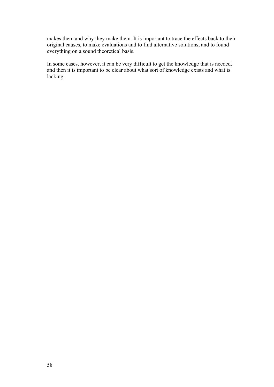makes them and why they make them. It is important to trace the effects back to their original causes, to make evaluations and to find alternative solutions, and to found everything on a sound theoretical basis.

In some cases, however, it can be very difficult to get the knowledge that is needed, and then it is important to be clear about what sort of knowledge exists and what is lacking.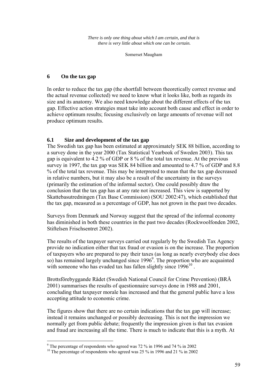*There is only one thing about which I am certain, and that is there is very little about which one can be certain.* 

Somerset Maugham

### **6 On the tax gap**

In order to reduce the tax gap (the shortfall between theoretically correct revenue and the actual revenue collected) we need to know what it looks like, both as regards its size and its anatomy. We also need knowledge about the different effects of the tax gap. Effective action strategies must take into account both cause and effect in order to achieve optimum results; focusing exclusively on large amounts of revenue will not produce optimum results.

## **6.1 Size and development of the tax gap**

The Swedish tax gap has been estimated at approximately SEK 88 billion, according to a survey done in the year 2000 (Tax Statistical Yearbook of Sweden 2003). This tax gap is equivalent to 4.2 % of GDP or 8 % of the total tax revenue. At the previous survey in 1997, the tax gap was SEK 84 billion and amounted to 4.7 % of GDP and 8.8 % of the total tax revenue. This may be interpreted to mean that the tax gap decreased in relative numbers, but it may also be a result of the uncertainty in the surveys (primarily the estimation of the informal sector). One could possibly draw the conclusion that the tax gap has at any rate not increased. This view is supported by Skattebasutredningen (Tax Base Commission) (SOU 2002:47), which established that the tax gap, measured as a percentage of GDP, has not grown in the past two decades.

Surveys from Denmark and Norway suggest that the spread of the informal economy has diminished in both these countries in the past two decades (Rockwoolfonden 2002, Stiftelsen Frischsentret 2002).

The results of the taxpayer surveys carried out regularly by the Swedish Tax Agency provide no indication either that tax fraud or evasion is on the increase. The proportion of taxpayers who are prepared to pay their taxes (as long as nearly everybody else does so) has remained largely unchanged since 1996<sup>9</sup>. The proportion who are acquainted with someone who has evaded tax has fallen slightly since  $1996^{10}$ .

Brottsförebyggande Rådet (Swedish National Council for Crime Prevention) (BRÅ 2001) summarises the results of questionnaire surveys done in 1988 and 2001, concluding that taxpayer morale has increased and that the general public have a less accepting attitude to economic crime.

The figures show that there are no certain indications that the tax gap will increase; instead it remains unchanged or possibly decreasing. This is not the impression we normally get from public debate; frequently the impression given is that tax evasion and fraud are increasing all the time. There is much to indicate that this is a myth. At

i<br>L

<sup>&</sup>lt;sup>9</sup> The percentage of respondents who agreed was 72 % in 1996 and 74 % in 2002

<sup>&</sup>lt;sup>10</sup> The percentage of respondents who agreed was 25 % in 1996 and 21 % in 2002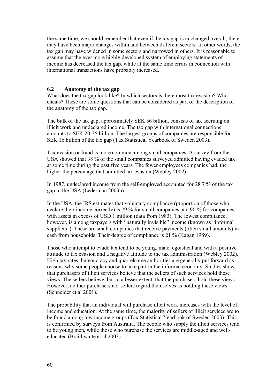the same time, we should remember that even if the tax gap is unchanged overall, there may have been major changes within and between different sectors. In other words, the tax gap may have widened in some sectors and narrowed in others. It is reasonable to assume that the ever more highly developed system of employing statements of income has decreased the tax gap, while at the same time errors in connection with international transactions have probably increased.

### **6.2 Anatomy of the tax gap**

What does the tax gap look like? In which sectors is there most tax evasion? Who cheats? These are some questions that can be considered as part of the description of the anatomy of the tax gap.

The bulk of the tax gap, approximately SEK 56 billion, consists of tax accruing on illicit work and undeclared income. The tax gap with international connections amounts to SEK 20-35 billion. The largest groups of companies are responsible for SEK 16 billion of the tax gap (Tax Statistical Yearbook of Sweden 2003).

Tax evasion or fraud is more common among small companies. A survey from the USA showed that 38 % of the small companies surveyed admitted having evaded tax at some time during the past five years. The fewer employees companies had, the higher the percentage that admitted tax evasion (Webley 2002).

In 1987, undeclared income from the self-employed accounted for 28.7 % of the tax gap in the USA (Lederman 2003b).

In the USA, the IRS estimates that voluntary compliance (proportion of those who declare their income correctly) is 79 % for small companies and 90 % for companies with assets in excess of USD 1 million (data from 1983). The lowest compliance, however, is among taxpayers with "naturally invisible" income (known as "informal suppliers"). These are small companies that receive payments (often small amounts) in cash from households. Their degree of compliance is 21 % (Kagan 1989).

Those who attempt to evade tax tend to be young, male, egoistical and with a positive attitude to tax evasion and a negative attitude to the tax administration (Webley 2002). High tax rates, bureaucracy and quarrelsome authorities are generally put forward as reasons why some people choose to take part in the informal economy. Studies show that purchasers of illicit services believe that the sellers of such services hold these views. The sellers believe, but to a lesser extent, that the purchasers hold these views. However, neither purchasers nor sellers regard themselves as holding these views (Schneider et al 2001).

The probability that an individual will purchase illicit work increases with the level of income and education. At the same time, the majority of sellers of illicit services are to be found among low income groups (Tax Statistical Yearbook of Sweden 2003). This is confirmed by surveys from Australia. The people who supply the illicit services tend to be young men, while those who purchase the services are middle-aged and welleducated (Braithwaite et al 2003).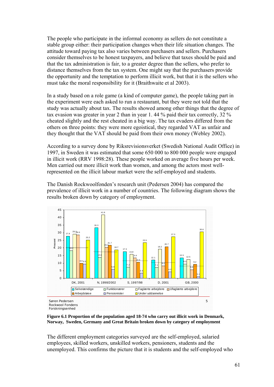The people who participate in the informal economy as sellers do not constitute a stable group either: their participation changes when their life situation changes. The attitude toward paying tax also varies between purchasers and sellers. Purchasers consider themselves to be honest taxpayers, and believe that taxes should be paid and that the tax administration is fair, to a greater degree than the sellers, who prefer to distance themselves from the tax system. One might say that the purchasers provide the opportunity and the temptation to perform illicit work, but that it is the sellers who must take the moral responsibility for it (Braithwaite et al 2003).

In a study based on a role game (a kind of computer game), the people taking part in the experiment were each asked to run a restaurant, but they were not told that the study was actually about tax. The results showed among other things that the degree of tax evasion was greater in year 2 than in year 1. 44 % paid their tax correctly, 32 % cheated slightly and the rest cheated in a big way. The tax evaders differed from the others on three points: they were more egoistical, they regarded VAT as unfair and they thought that the VAT should be paid from their own money (Webley 2002).

According to a survey done by Riksrevisionsverket (Swedish National Audit Office) in 1997, in Sweden it was estimated that some 650 000 to 800 000 people were engaged in illicit work (RRV 1998:28). These people worked on average five hours per week. Men carried out more illicit work than women, and among the actors most wellrepresented on the illicit labour market were the self-employed and students.

The Danish Rockwoolfonden's research unit (Pedersen 2004) has compared the prevalence of illicit work in a number of countries. The following diagram shows the results broken down by category of employment.



**Figure 6.1 Proportion of the population aged 18-74 who carry out illicit work in Denmark, Norway, Sweden, Germany and Great Britain broken down by category of employment** 

The different employment categories surveyed are the self-employed, salaried employees, skilled workers, unskilled workers, pensioners, students and the unemployed. This confirms the picture that it is students and the self-employed who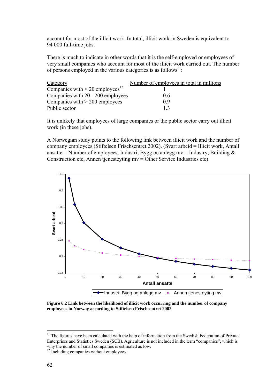account for most of the illicit work. In total, illicit work in Sweden is equivalent to 94 000 full-time jobs.

There is much to indicate in other words that it is the self-employed or employees of very small companies who account for most of the illicit work carried out. The number of persons employed in the various categories is as follows<sup>11</sup>:

| Category                                         | Number of employees in total in millions |
|--------------------------------------------------|------------------------------------------|
| Companies with $\leq$ 20 employees <sup>12</sup> |                                          |
| Companies with 20 - 200 employees                | 06                                       |
| Companies with $> 200$ employees                 | 09                                       |
| Public sector                                    |                                          |

It is unlikely that employees of large companies or the public sector carry out illicit work (in these jobs).

A Norwegian study points to the following link between illicit work and the number of company employees (Stiftelsen Frischsentret 2002). (Svart arbeid = Illicit work, Antall ansatte = Number of employees, Industri, Bygg oc anlegg mv = Industry, Building  $\&$ Construction etc. Annen tienestevting  $mv =$  Other Service Industries etc)



**Figure 6.2 Link between the likelihood of illicit work occurring and the number of company employees in Norway according to Stiftelsen Frischsentret 2002** 

i<br>L

 $11$  The figures have been calculated with the help of information from the Swedish Federation of Private Enterprises and Statistics Sweden (SCB). Agriculture is not included in the term "companies", which is why the number of small companies is estimated as low.

 $12$  Including companies without employees.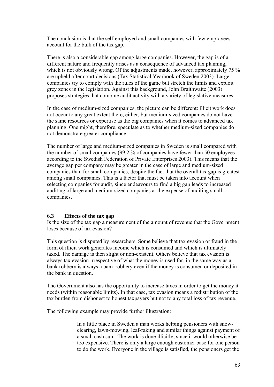The conclusion is that the self-employed and small companies with few employees account for the bulk of the tax gap.

There is also a considerable gap among large companies. However, the gap is of a different nature and frequently arises as a consequence of advanced tax planning, which is not obviously wrong. Of the adjustments made, however, approximately 75 % are upheld after court decisions (Tax Statistical Yearbook of Sweden 2003). Large companies try to comply with the rules of the game but stretch the limits and exploit grey zones in the legislation. Against this background, John Braithwaite (2003) proposes strategies that combine audit activity with a variety of legislative measures.

In the case of medium-sized companies, the picture can be different: illicit work does not occur to any great extent there, either, but medium-sized companies do not have the same resources or expertise as the big companies when it comes to advanced tax planning. One might, therefore, speculate as to whether medium-sized companies do not demonstrate greater compliance.

The number of large and medium-sized companies in Sweden is small compared with the number of small companies (99.2 % of companies have fewer than 50 employees according to the Swedish Federation of Private Enterprises 2003). This means that the average gap per company may be greater in the case of large and medium-sized companies than for small companies, despite the fact that the overall tax gap is greatest among small companies. This is a factor that must be taken into account when selecting companies for audit, since endeavours to find a big gap leads to increased auditing of large and medium-sized companies at the expense of auditing small companies.

### **6.3 Effects of the tax gap**

Is the size of the tax gap a measurement of the amount of revenue that the Government loses because of tax evasion?

This question is disputed by researchers. Some believe that tax evasion or fraud in the form of illicit work generates income which is consumed and which is ultimately taxed. The damage is then slight or non-existent. Others believe that tax evasion is always tax evasion irrespective of what the money is used for, in the same way as a bank robbery is always a bank robbery even if the money is consumed or deposited in the bank in question.

The Government also has the opportunity to increase taxes in order to get the money it needs (within reasonable limits). In that case, tax evasion means a redistribution of the tax burden from dishonest to honest taxpayers but not to any total loss of tax revenue.

The following example may provide further illustration:

In a little place in Sweden a man works helping pensioners with snowclearing, lawn-mowing, leaf-raking and similar things against payment of a small cash sum. The work is done illicitly, since it would otherwise be too expensive. There is only a large enough customer base for one person to do the work. Everyone in the village is satisfied, the pensioners get the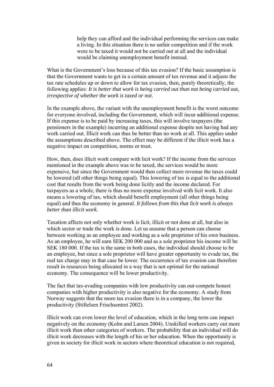help they can afford and the individual performing the services can make a living. In this situation there is no unfair competition and if the work were to be taxed it would not be carried out at all and the individual would be claiming unemployment benefit instead.

What is the Government's loss because of this tax evasion? If the basic assumption is that the Government wants to get in a certain amount of tax revenue and it adjusts the tax rate schedules up or down to allow for tax evasion, then, purely theoretically, the following applies: *It is better that work is being carried out than not being carried out, irrespective of whether the work is taxed or not*.

In the example above, the variant with the unemployment benefit is the worst outcome for everyone involved, including the Government, which will incur additional expense. If this expense is to be paid by increasing taxes, this will involve taxpayers (the pensioners in the example) incurring an additional expense despite not having had any work carried out. Illicit work can thus be better than no work at all. This applies under the assumptions described above. The effect may be different if the illicit work has a negative impact on competition, norms or trust.

How, then, does illicit work compare with licit work? If the income from the services mentioned in the example above was to be taxed, the services would be more expensive, but since the Government would then collect more revenue the taxes could be lowered (all other things being equal). This lowering of tax is equal to the additional cost that results from the work being done licitly and the income declared. For taxpayers as a whole, there is thus no more expense involved with licit work. It also means a lowering of tax, which should benefit employment (all other things being equal) and thus the economy in general. *It follows from this that licit work is always better than illicit work*.

Taxation affects not only whether work is licit, illicit or not done at all, but also in which sector or trade the work is done. Let us assume that a person can choose between working as an employee and working as a sole proprietor of his own business. As an employee, he will earn SEK 200 000 and as a sole proprietor his income will be SEK 180 000. If the tax is the same in both cases, the individual should choose to be an employee, but since a sole proprietor will have greater opportunity to evade tax, the real tax charge may in that case be lower. The occurrence of tax evasion can therefore result in resources being allocated in a way that is not optimal for the national economy. The consequence will be lower productivity.

The fact that tax-evading companies with low productivity can out-compete honest companies with higher productivity is also negative for the economy. A study from Norway suggests that the more tax evasion there is in a company, the lower the productivity (Stiftelsen Frischsentret 2002).

Illicit work can even lower the level of education, which in the long term can impact negatively on the economy (Kolm and Larsen 2004). Unskilled workers carry out more illicit work than other categories of workers. The probability that an individual will do illicit work decreases with the length of his or her education. When the opportunity is given in society for illicit work in sectors where theoretical education is not required,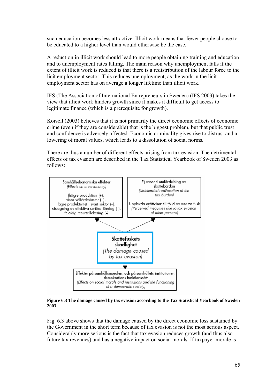such education becomes less attractive. Illicit work means that fewer people choose to be educated to a higher level than would otherwise be the case.

A reduction in illicit work should lead to more people obtaining training and education and to unemployment rates falling. The main reason why unemployment falls if the extent of illicit work is reduced is that there is a redistribution of the labour force to the licit employment sector. This reduces unemployment, as the work in the licit employment sector has on average a longer lifetime than illicit work.

IFS (The Association of International Entrepreneurs in Sweden) (IFS 2003) takes the view that illicit work hinders growth since it makes it difficult to get access to legitimate finance (which is a prerequisite for growth).

Korsell (2003) believes that it is not primarily the direct economic effects of economic crime (even if they are considerable) that is the biggest problem, but that public trust and confidence is adversely affected. Economic criminality gives rise to distrust and a lowering of moral values, which leads to a dissolution of social norms.

There are thus a number of different effects arising from tax evasion. The detrimental effects of tax evasion are described in the Tax Statistical Yearbook of Sweden 2003 as follows:



**Figure 6.3 The damage caused by tax evasion according to the Tax Statistical Yearbook of Sweden 2003** 

Fig. 6.3 above shows that the damage caused by the direct economic loss sustained by the Government in the short term because of tax evasion is not the most serious aspect. Considerably more serious is the fact that tax evasion reduces growth (and thus also future tax revenues) and has a negative impact on social morals. If taxpayer morale is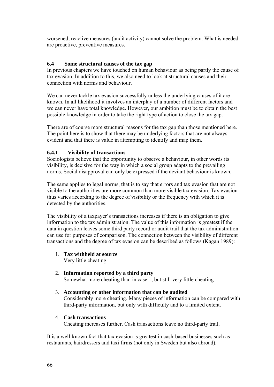worsened, reactive measures (audit activity) cannot solve the problem. What is needed are proactive, preventive measures.

### **6.4 Some structural causes of the tax gap**

In previous chapters we have touched on human behaviour as being partly the cause of tax evasion. In addition to this, we also need to look at structural causes and their connection with norms and behaviour.

We can never tackle tax evasion successfully unless the underlying causes of it are known. In all likelihood it involves an interplay of a number of different factors and we can never have total knowledge. However, our ambition must be to obtain the best possible knowledge in order to take the right type of action to close the tax gap.

There are of course more structural reasons for the tax gap than those mentioned here. The point here is to show that there may be underlying factors that are not always evident and that there is value in attempting to identify and map them.

### **6.4.1 Visibility of transactions**

Sociologists believe that the opportunity to observe a behaviour, in other words its visibility, is decisive for the way in which a social group adapts to the prevailing norms. Social disapproval can only be expressed if the deviant behaviour is known.

The same applies to legal norms, that is to say that errors and tax evasion that are not visible to the authorities are more common than more visible tax evasion. Tax evasion thus varies according to the degree of visibility or the frequency with which it is detected by the authorities.

The visibility of a taxpayer's transactions increases if there is an obligation to give information to the tax administration. The value of this information is greatest if the data in question leaves some third party record or audit trail that the tax administration can use for purposes of comparison. The connection between the visibility of different transactions and the degree of tax evasion can be described as follows (Kagan 1989):

- 1. **Tax withheld at source** Very little cheating
- 2. **Information reported by a third party** Somewhat more cheating than in case 1, but still very little cheating
- 3. **Accounting or other information that can be audited** Considerably more cheating. Many pieces of information can be compared with third-party information, but only with difficulty and to a limited extent.
- 4. **Cash transactions**

Cheating increases further. Cash transactions leave no third-party trail.

It is a well-known fact that tax evasion is greatest in cash-based businesses such as restaurants, hairdressers and taxi firms (not only in Sweden but also abroad).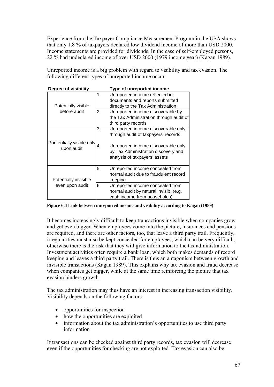Experience from the Taxpayer Compliance Measurement Program in the USA shows that only 1.8 % of taxpayers declared low dividend income of more than USD 2000. Income statements are provided for dividends. In the case of self-employed persons, 22 % had undeclared income of over USD 2000 (1979 income year) (Kagan 1989).

Unreported income is a big problem with regard to visibility and tax evasion. The following different types of unreported income occur:

| <b>Degree of visibility</b>              |    | Type of unreported income                                                                                   |
|------------------------------------------|----|-------------------------------------------------------------------------------------------------------------|
| Potentially visible<br>before audit      | 1. | Unreported income reflected in<br>documents and reports submitted<br>directly to the Tax Administration     |
|                                          | 2. | Unreported income discoverable by<br>the Tax Administration through audit of<br>third party records         |
| Pontentially visible only<br>upon audit  | 3. | Unreported income discoverable only<br>through audit of taxpayers' records                                  |
|                                          | 4. | Unreported income discoverable only<br>by Tax Administration discovery and<br>analysis of taxpayers' assets |
| Potentially invisible<br>even upon audit | 5. | Unreported income concealed from<br>normal audit due to fraudulent record<br>keeping                        |
|                                          | 6. | Unreported income concealed from<br>normal audit by natural invisib. (e.g.<br>cash income from households)  |

**Figure 6.4 Link between unreported income and visibility according to Kagan (1989)** 

It becomes increasingly difficult to keep transactions invisible when companies grow and get even bigger. When employees come into the picture, insurances and pensions are required, and there are other factors, too, that leave a third party trail. Frequently, irregularities must also be kept concealed for employees, which can be very difficult, otherwise there is the risk that they will give information to the tax administration. Investment activities often require a bank loan, which both makes demands of record keeping and leaves a third party trail. There is thus an antagonism between growth and invisible transactions (Kagan 1989). This explains why tax evasion and fraud decrease when companies get bigger, while at the same time reinforcing the picture that tax evasion hinders growth.

The tax administration may thus have an interest in increasing transaction visibility. Visibility depends on the following factors:

- opportunities for inspection
- how the opportunities are exploited
- information about the tax administration's opportunities to use third party information

If transactions can be checked against third party records, tax evasion will decrease even if the opportunities for checking are not exploited. Tax evasion can also be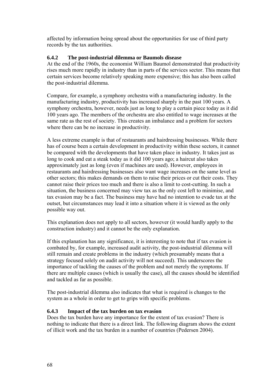affected by information being spread about the opportunities for use of third party records by the tax authorities.

# **6.4.2 The post-industrial dilemma or Baumols disease**

At the end of the 1960s, the economist William Baumol demonstrated that productivity rises much more rapidly in industry than in parts of the services sector. This means that certain services become relatively speaking more expensive; this has also been called the post-industrial dilemma.

Compare, for example, a symphony orchestra with a manufacturing industry. In the manufacturing industry, productivity has increased sharply in the past 100 years. A symphony orchestra, however, needs just as long to play a certain piece today as it did 100 years ago. The members of the orchestra are also entitled to wage increases at the same rate as the rest of society. This creates an imbalance and a problem for sectors where there can be no increase in productivity.

A less extreme example is that of restaurants and hairdressing businesses. While there has of course been a certain development in productivity within these sectors, it cannot be compared with the developments that have taken place in industry. It takes just as long to cook and eat a steak today as it did 100 years ago; a haircut also takes approximately just as long (even if machines are used). However, employees in restaurants and hairdressing businesses also want wage increases on the same level as other sectors; this makes demands on them to raise their prices or cut their costs. They cannot raise their prices too much and there is also a limit to cost-cutting. In such a situation, the business concerned may view tax as the only cost left to minimise, and tax evasion may be a fact. The business may have had no intention to evade tax at the outset, but circumstances may lead it into a situation where it is viewed as the only possible way out.

This explanation does not apply to all sectors, however (it would hardly apply to the construction industry) and it cannot be the only explanation.

If this explanation has any significance, it is interesting to note that if tax evasion is combated by, for example, increased audit activity, the post-industrial dilemma will still remain and create problems in the industry (which presumably means that a strategy focused solely on audit activity will not succeed). This underscores the importance of tackling the causes of the problem and not merely the symptoms. If there are multiple causes (which is usually the case), all the causes should be identified and tackled as far as possible.

The post-industrial dilemma also indicates that what is required is changes to the system as a whole in order to get to grips with specific problems.

## **6.4.3 Impact of the tax burden on tax evasion**

Does the tax burden have any importance for the extent of tax evasion? There is nothing to indicate that there is a direct link. The following diagram shows the extent of illicit work and the tax burden in a number of countries (Pedersen 2004).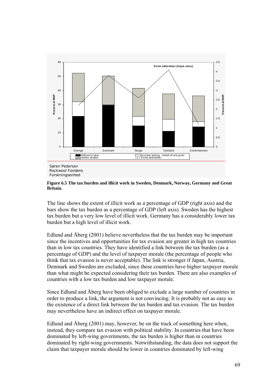

**Figure 6.5 The tax burden and illicit work in Sweden, Denmark, Norway, Germany and Great Britain.** 

The line shows the extent of illicit work as a percentage of GDP (right axis) and the bars show the tax burden as a percentage of GDP (left axis). Sweden has the highest tax burden but a very low level of illicit work. Germany has a considerably lower tax burden but a high level of illicit work.

Edlund and Åberg (2001) believe nevertheless that the tax burden may be important since the incentives and opportunities for tax evasion are greater in high tax countries than in low tax countries. They have identified a link between the tax burden (as a percentage of GDP) and the level of taxpayer morale (the percentage of people who think that tax evasion is never acceptable). The link is stronger if Japan, Austria, Denmark and Sweden are excluded, since these countries have higher taxpayer morale than what might be expected considering their tax burden. There are also examples of countries with a low tax burden and low taxpayer morale.

Since Edlund and Åberg have been obliged to exclude a large number of countries in order to produce a link, the argument is not convincing. It is probably not as easy as the existence of a direct link between the tax burden and tax evasion. The tax burden may nevertheless have an indirect effect on taxpayer morale.

Edlund and Åberg (2001) may, however, be on the track of something here when, instead, they compare tax evasion with political stability. In countries that have been dominated by left-wing governments, the tax burden is higher than in countries dominated by right-wing governments. Notwithstanding, the data does not support the claim that taxpayer morale should be lower in countries dominated by left-wing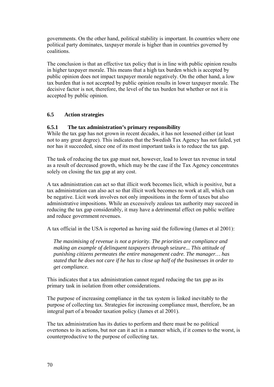governments. On the other hand, political stability is important. In countries where one political party dominates, taxpayer morale is higher than in countries governed by coalitions.

The conclusion is that an effective tax policy that is in line with public opinion results in higher taxpayer morale. This means that a high tax burden which is accepted by public opinion does not impact taxpayer morale negatively. On the other hand, a low tax burden that is not accepted by public opinion results in lower taxpayer morale. The decisive factor is not, therefore, the level of the tax burden but whether or not it is accepted by public opinion.

## **6.5 Action strategies**

## **6.5.1 The tax administration's primary responsibility**

While the tax gap has not grown in recent decades, it has not lessened either (at least not to any great degree). This indicates that the Swedish Tax Agency has not failed, yet nor has it succeeded, since one of its most important tasks is to reduce the tax gap.

The task of reducing the tax gap must not, however, lead to lower tax revenue in total as a result of decreased growth, which may be the case if the Tax Agency concentrates solely on closing the tax gap at any cost.

A tax administration can act so that illicit work becomes licit, which is positive, but a tax administration can also act so that illicit work becomes no work at all, which can be negative. Licit work involves not only impositions in the form of taxes but also administrative impositions. While an excessively zealous tax authority may succeed in reducing the tax gap considerably, it may have a detrimental effect on public welfare and reduce government revenues.

A tax official in the USA is reported as having said the following (James et al 2001):

*The maximising of revenue is not a priority. The priorities are compliance and making an example of delinquent taxpayers through seizure... This attitude of punishing citizens permeates the entire management cadre. The manager… has stated that he does not care if he has to close up half of the businesses in order to get compliance.* 

This indicates that a tax administration cannot regard reducing the tax gap as its primary task in isolation from other considerations.

The purpose of increasing compliance in the tax system is linked inevitably to the purpose of collecting tax. Strategies for increasing compliance must, therefore, be an integral part of a broader taxation policy (James et al 2001).

The tax administration has its duties to perform and there must be no political overtones to its actions, but nor can it act in a manner which, if it comes to the worst, is counterproductive to the purpose of collecting tax.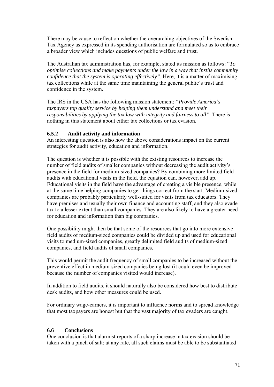There may be cause to reflect on whether the overarching objectives of the Swedish Tax Agency as expressed in its spending authorisation are formulated so as to embrace a broader view which includes questions of public welfare and trust.

The Australian tax administration has, for example, stated its mission as follows: "*To optimise collections and make payments under the law in a way that instils community confidence that the system is operating effectively"*. Here, it is a matter of maximising tax collections while at the same time maintaining the general public's trust and confidence in the system.

The IRS in the USA has the following mission statement: *"Provide America's taxpayers top quality service by helping them understand and meet their responsibilities by applying the tax law with integrity and fairness to all"*. There is nothing in this statement about either tax collections or tax evasion.

## **6.5.2 Audit activity and information**

An interesting question is also how the above considerations impact on the current strategies for audit activity, education and information.

The question is whether it is possible with the existing resources to increase the number of field audits of smaller companies without decreasing the audit activity's presence in the field for medium-sized companies? By combining more limited field audits with educational visits in the field, the equation can, however, add up. Educational visits in the field have the advantage of creating a visible presence, while at the same time helping companies to get things correct from the start. Medium-sized companies are probably particularly well-suited for visits from tax educators. They have premises and usually their own finance and accounting staff, and they also evade tax to a lesser extent than small companies. They are also likely to have a greater need for education and information than big companies.

One possibility might then be that some of the resources that go into more extensive field audits of medium-sized companies could be divided up and used for educational visits to medium-sized companies, greatly delimited field audits of medium-sized companies, and field audits of small companies.

This would permit the audit frequency of small companies to be increased without the preventive effect in medium-sized companies being lost (it could even be improved because the number of companies visited would increase).

In addition to field audits, it should naturally also be considered how best to distribute desk audits, and how other measures could be used.

For ordinary wage-earners, it is important to influence norms and to spread knowledge that most taxpayers are honest but that the vast majority of tax evaders are caught.

## **6.6 Conclusions**

One conclusion is that alarmist reports of a sharp increase in tax evasion should be taken with a pinch of salt: at any rate, all such claims must be able to be substantiated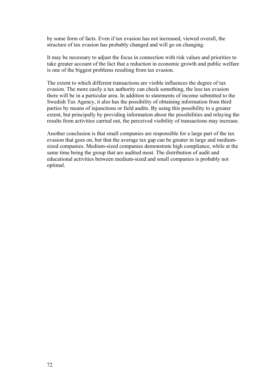by some form of facts. Even if tax evasion has not increased, viewed overall, the structure of tax evasion has probably changed and will go on changing.

It may be necessary to adjust the focus in connection with risk values and priorities to take greater account of the fact that a reduction in economic growth and public welfare is one of the biggest problems resulting from tax evasion.

The extent to which different transactions are visible influences the degree of tax evasion. The more easily a tax authority can check something, the less tax evasion there will be in a particular area. In addition to statements of income submitted to the Swedish Tax Agency, it also has the possibility of obtaining information from third parties by means of injunctions or field audits. By using this possibility to a greater extent, but principally by providing information about the possibilities and relaying the results from activities carried out, the perceived visibility of transactions may increase.

Another conclusion is that small companies are responsible for a large part of the tax evasion that goes on, but that the average tax gap can be greater in large and mediumsized companies. Medium-sized companies demonstrate high compliance, while at the same time being the group that are audited most. The distribution of audit and educational activities between medium-sized and small companies is probably not optimal.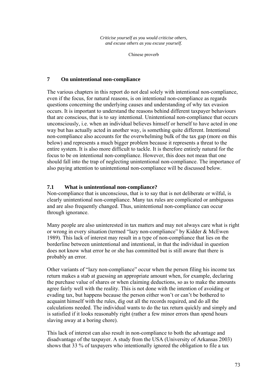Chinese proverb

#### **7 On unintentional non-compliance**

The various chapters in this report do not deal solely with intentional non-compliance, even if the focus, for natural reasons, is on intentional non-compliance as regards questions concerning the underlying causes and understanding of why tax evasion occurs. It is important to understand the reasons behind different taxpayer behaviours that are conscious, that is to say intentional. Unintentional non-compliance that occurs unconsciously, i.e. when an individual believes himself or herself to have acted in one way but has actually acted in another way, is something quite different. Intentional non-compliance also accounts for the overwhelming bulk of the tax gap (more on this below) and represents a much bigger problem because it represents a threat to the entire system. It is also more difficult to tackle. It is therefore entirely natural for the focus to be on intentional non-compliance. However, this does not mean that one should fall into the trap of neglecting unintentional non-compliance. The importance of also paying attention to unintentional non-compliance will be discussed below.

## **7.1 What is unintentional non-compliance?**

Non-compliance that is unconscious, that is to say that is not deliberate or wilful, is clearly unintentional non-compliance. Many tax rules are complicated or ambiguous and are also frequently changed. Thus, unintentional non-compliance can occur through ignorance.

Many people are also uninterested in tax matters and may not always care what is right or wrong in every situation (termed "lazy non-compliance" by Kidder & McEwen 1989). This lack of interest may result in a type of non-compliance that lies on the borderline between unintentional and intentional, in that the individual in question does not know what error he or she has committed but is still aware that there is probably an error.

Other variants of "lazy non-compliance" occur when the person filing his income tax return makes a stab at guessing an appropriate amount when, for example, declaring the purchase value of shares or when claiming deductions, so as to make the amounts agree fairly well with the reality. This is not done with the intention of avoiding or evading tax, but happens because the person either won't or can't be bothered to acquaint himself with the rules, dig out all the records required, and do all the calculations needed. The individual wants to do the tax return quickly and simply and is satisfied if it looks reasonably right (rather a few minor errors than spend hours slaving away at a boring chore).

This lack of interest can also result in non-compliance to both the advantage and disadvantage of the taxpayer. A study from the USA (University of Arkansas 2003) shows that 33 % of taxpayers who intentionally ignored the obligation to file a tax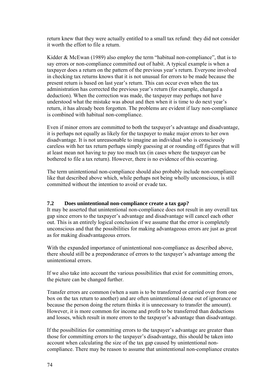return knew that they were actually entitled to a small tax refund: they did not consider it worth the effort to file a return.

Kidder & McEwan (1989) also employ the term "habitual non-compliance", that is to say errors or non-compliance committed out of habit. A typical example is when a taxpayer does a return on the pattern of the previous year's return. Everyone involved in checking tax returns knows that it is not unusual for errors to be made because the present return is based on last year's return. This can occur even when the tax administration has corrected the previous year's return (for example, changed a deduction). When the correction was made, the taxpayer may perhaps not have understood what the mistake was about and then when it is time to do next year's return, it has already been forgotten. The problems are evident if lazy non-compliance is combined with habitual non-compliance.

Even if minor errors are committed to both the taxpayer's advantage and disadvantage, it is perhaps not equally as likely for the taxpayer to make major errors to her own disadvantage. It is not unreasonable to imagine an individual who is consciously careless with her tax return perhaps simply guessing at or rounding off figures that will at least mean not having to pay too much tax (in cases where the taxpayer can be bothered to file a tax return). However, there is no evidence of this occurring.

The term unintentional non-compliance should also probably include non-compliance like that described above which, while perhaps not being wholly unconscious, is still committed without the intention to avoid or evade tax.

## **7.2 Does unintentional non-compliance create a tax gap?**

It may be asserted that unintentional non-compliance does not result in any overall tax gap since errors to the taxpayer's advantage and disadvantage will cancel each other out. This is an entirely logical conclusion if we assume that the error is completely unconscious and that the possibilities for making advantageous errors are just as great as for making disadvantageous errors.

With the expanded importance of unintentional non-compliance as described above, there should still be a preponderance of errors to the taxpayer's advantage among the unintentional errors.

If we also take into account the various possibilities that exist for committing errors, the picture can be changed further.

Transfer errors are common (when a sum is to be transferred or carried over from one box on the tax return to another) and are often unintentional (done out of ignorance or because the person doing the return thinks it is unnecessary to transfer the amount). However, it is more common for income and profit to be transferred than deductions and losses, which result in more errors to the taxpayer's advantage than disadvantage.

If the possibilities for committing errors to the taxpayer's advantage are greater than those for committing errors to the taxpayer's disadvantage, this should be taken into account when calculating the size of the tax gap caused by unintentional noncompliance. There may be reason to assume that unintentional non-compliance creates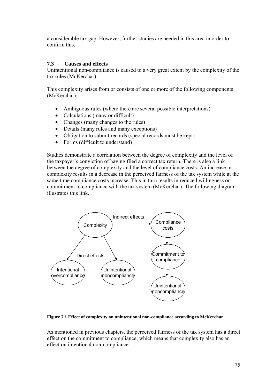a considerable tax gap. However, further studies are needed in this area in order to confirm this.

## **7.3 Causes and effects**

Unintentional non-compliance is caused to a very great extent by the complexity of the tax rules (McKerchar).

This complexity arises from or consists of one or more of the following components (McKerchar):

- Ambiguous rules (where there are several possible interpretations)
- Calculations (many or difficult)
- Changes (many changes to the rules)
- Details (many rules and many exceptions)
- Obligation to submit records (special records must be kept)
- Forms (difficult to understand)

Studies demonstrate a correlation between the degree of complexity and the level of the taxpayer's conviction of having filed a correct tax return. There is also a link between the degree of complexity and the level of compliance costs. An increase in complexity results in a decrease in the perceived fairness of the tax system while at the same time compliance costs increase. This in turn results in reduced willingness or commitment to compliance with the tax system (McKerchar). The following diagram illustrates this link.



**Figure 7.1 Effect of complexity on unintentional non-compliance according to McKerchar** 

As mentioned in previous chapters, the perceived fairness of the tax system has a direct effect on the commitment to compliance, which means that complexity also has an effect on intentional non-compliance.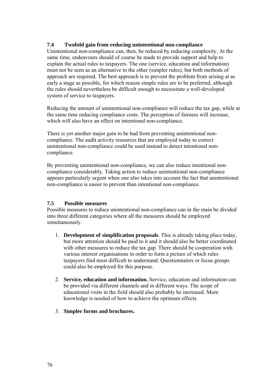## **7.4 Twofold gain from reducing unintentional non-compliance**

Unintentional non-compliance can, then, be reduced by reducing complexity. At the same time, endeavours should of course be made to provide support and help to explain the actual rules to taxpayers. The one (service, education and information) must not be seen as an alternative to the other (simpler rules), but both methods of approach are required. The best approach is to prevent the problem from arising at as early a stage as possible, for which reason simple rules are to be preferred, although the rules should nevertheless be difficult enough to necessitate a well-developed system of service to taxpayers.

Reducing the amount of unintentional non-compliance will reduce the tax gap, while at the same time reducing compliance costs. The perception of fairness will increase, which will also have an effect on intentional non-compliance.

There is yet another major gain to be had from preventing unintentional noncompliance. The audit activity resources that are employed today to correct unintentional non-compliance could be used instead to detect intentional noncompliance.

By preventing unintentional non-compliance, we can also reduce intentional noncompliance considerably. Taking action to reduce unintentional non-compliance appears particularly urgent when one also takes into account the fact that unintentional non-compliance is easier to prevent than intentional non-compliance.

## **7.5 Possible measures**

Possible measures to reduce unintentional non-compliance can in the main be divided into three different categories where all the measures should be employed simultaneously.

- 1. **Development of simplification proposals**. This is already taking place today, but more attention should be paid to it and it should also be better coordinated with other measures to reduce the tax gap. There should be cooperation with various interest organisations in order to form a picture of which rules taxpayers find most difficult to understand. Questionnaires or focus groups could also be employed for this purpose.
- 2. **Service, education and information.** Service, education and information can be provided via different channels and in different ways. The scope of educational visits in the field should also probably be increased. More knowledge is needed of how to achieve the optimum effects.
- 3. **Simpler forms and brochures.**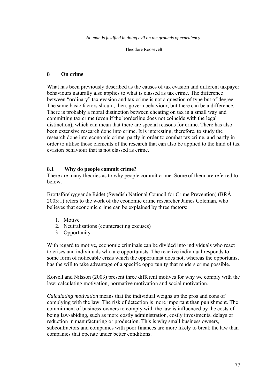Theodore Roosevelt

### **8 On crime**

What has been previously described as the causes of tax evasion and different taxpayer behaviours naturally also applies to what is classed as tax crime. The difference between "ordinary" tax evasion and tax crime is not a question of type but of degree. The same basic factors should, then, govern behaviour, but there can be a difference. There is probably a moral distinction between cheating on tax in a small way and committing tax crime (even if the borderline does not coincide with the legal distinction), which can mean that there are special reasons for crime. There has also been extensive research done into crime. It is interesting, therefore, to study the research done into economic crime, partly in order to combat tax crime, and partly in order to utilise those elements of the research that can also be applied to the kind of tax evasion behaviour that is not classed as crime.

### **8.1 Why do people commit crime?**

There are many theories as to why people commit crime. Some of them are referred to below.

Brottsförebyggande Rådet (Swedish National Council for Crime Prevention) (BRÅ 2003:1) refers to the work of the economic crime researcher James Coleman, who believes that economic crime can be explained by three factors:

- 1. Motive
- 2. Neutralisations (counteracting excuses)
- 3. Opportunity

With regard to motive, economic criminals can be divided into individuals who react to crises and individuals who are opportunists. The reactive individual responds to some form of noticeable crisis which the opportunist does not, whereas the opportunist has the will to take advantage of a specific opportunity that renders crime possible.

Korsell and Nilsson (2003) present three different motives for why we comply with the law: calculating motivation, normative motivation and social motivation.

*Calculating motivation* means that the individual weighs up the pros and cons of complying with the law. The risk of detection is more important than punishment. The commitment of business-owners to comply with the law is influenced by the costs of being law-abiding, such as more costly administration, costly investments, delays or reduction in manufacturing or production. This is why small business owners, subcontractors and companies with poor finances are more likely to break the law than companies that operate under better conditions.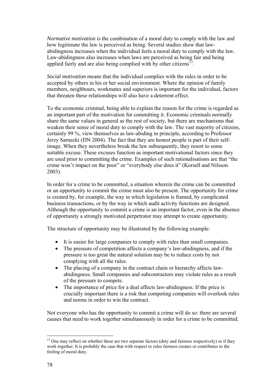*Normative motivation* is the combination of a moral duty to comply with the law and how legitimate the law is perceived as being. Several studies show that lawabidingness increases when the individual feels a moral duty to comply with the law. Law-abidingness also increases when laws are perceived as being fair and being applied fairly and are also being complied with by other citizens<sup>13</sup>.

*Social motivation* means that the individual complies with the rules in order to be accepted by others in his or her social environment. Where the opinion of family members, neighbours, workmates and superiors is important for the individual, factors that threaten these relationships will also have a deterrent effect.

To the economic criminal, being able to explain the reason for the crime is regarded as an important part of the motivation for committing it. Economic criminals normally share the same values in general as the rest of society, but there are mechanisms that weaken their sense of moral duty to comply with the law. The vast majority of citizens, certainly 99 %, view themselves as law-abiding in principle, according to Professor Jerzy Sarnecki (DN 2004). The fact that they are honest people is part of their selfimage. When they nevertheless break the law subsequently, they resort to some suitable excuse. These excuses function as important motivational factors since they are used prior to committing the crime. Examples of such rationalisations are that "the crime won't impact on the poor" or "everybody else does it" (Korsell and Nilsson 2003).

In order for a crime to be committed, a situation wherein the crime can be committed or an opportunity to commit the crime must also be present. The opportunity for crime is created by, for example, the way in which legislation is framed, by complicated business transactions, or by the way in which audit activity functions are designed. Although the opportunity to commit a crime is an important factor, even in the absence of opportunity a strongly motivated perpetrator may attempt to create opportunity.

The structure of opportunity may be illustrated by the following example:

- It is easier for large companies to comply with rules than small companies.
- The pressure of competition affects a company's law-abidingness, and if the pressure is too great the natural solution may be to reduce costs by not complying with all the rules.
- The placing of a company in the contract chain or hierarchy affects lawabidingness. Small companies and subcontractors may violate rules as a result of the pressure to compete.
- The importance of price for a deal affects law-abidingness. If the price is crucially important there is a risk that competing companies will overlook rules and norms in order to win the contract.

Not everyone who has the opportunity to commit a crime will do so: there are several causes that need to work together simultaneously in order for a crime to be committed.

<sup>&</sup>lt;sup>13</sup> One may reflect on whether these are two separate factors (duty and fairness respectively) or if they work together. It is probably the case that with respect to rules fairness creates or contributes to the feeling of moral duty.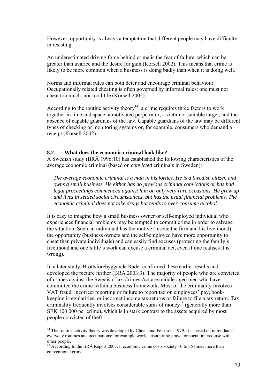However, opportunity is always a temptation that different people may have difficulty in resisting.

An underestimated driving force behind crime is the fear of failure, which can be greater than avarice and the desire for gain (Korsell 2002). This means that crime is likely to be more common when a business is doing badly than when it is doing well.

Norms and informal rules can both deter and encourage criminal behaviour. Occupationally related cheating is often governed by informal rules: one must not cheat too much, nor too little (Korsell 2002).

According to the routine activity theory<sup>14</sup>, a crime requires three factors to work together in time and space: a motivated perpetrator, a victim or suitable target, and the absence of capable guardians of the law. Capable guardians of the law may be different types of checking or monitoring systems or, for example, consumers who demand a receipt (Korsell 2002).

#### **8.2 What does the economic criminal look like?**

A Swedish study (BRÅ 1996:10) has established the following characteristics of the average economic criminal (based on *convicted* criminals in Sweden):

*The average economic criminal is a man in his forties. He is a Swedish citizen and owns a small business. He either has no previous criminal convictions or has had legal proceedings commenced against him on only very rare occasions. He grew up and lives in settled social circumstances, but has the usual financial problems. The economic criminal does not take drugs but tends to over-consume alcohol.* 

It is easy to imagine how a small business owner or self-employed individual who experiences financial problems may be tempted to commit crime in order to salvage the situation. Such an individual has the motive (rescue the firm and his livelihood), the opportunity (business owners and the self-employed have more opportunity to cheat than private individuals) and can easily find excuses (protecting the family's livelihood and one's life's work can excuse a criminal act, even if one realises it is wrong).

In a later study, Brottsförebyggande Rådet confirmed these earlier results and developed the picture further (BRÅ 2003:3). The majority of people who are convicted of crimes against the Swedish Tax Crimes Act are middle-aged men who have committed the crime within a business framework. Most of the criminality involves VAT fraud, incorrect reporting or failure to report tax on employees' pay, bookkeeping irregularities, or incorrect income tax returns or failure to file a tax return. Tax criminality frequently involves considerable sums of money<sup>15</sup> (generally more than SEK 100 000 per crime), which is in stark contrast to the assets acquired by most people convicted of theft.

i<br>L

<sup>&</sup>lt;sup>14</sup> The routine activity theory was developed by Choen and Felson in 1979. It is based on individuals' everyday routines and occupations: for example work, leisure time, travel or social intercourse with other people.

<sup>&</sup>lt;sup>15</sup> According to the BRÅ Report 2003:1, economic crime costs society 10 to 35 times more than conventional crime.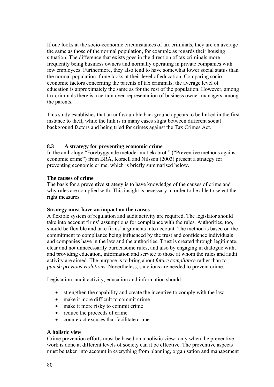If one looks at the socio-economic circumstances of tax criminals, they are on average the same as those of the normal population, for example as regards their housing situation. The difference that exists goes in the direction of tax criminals more frequently being business owners and normally operating in private companies with few employees. Furthermore, they also tend to have somewhat lower social status than the normal population if one looks at their level of education. Comparing socioeconomic factors concerning the parents of tax criminals, the average level of education is approximately the same as for the rest of the population. However, among tax criminals there is a certain over-representation of business owner-managers among the parents.

This study establishes that an unfavourable background appears to be linked in the first instance to theft, while the link is in many cases slight between different social background factors and being tried for crimes against the Tax Crimes Act.

### **8.3 A strategy for preventing economic crime**

In the anthology "Förebyggande metoder mot ekobrott" ("Preventive methods against economic crime") from BRÅ, Korsell and Nilsson (2003) present a strategy for preventing economic crime, which is briefly summarised below.

#### **The causes of crime**

The basis for a preventive strategy is to have knowledge of the causes of crime and why rules are complied with. This insight is necessary in order to be able to select the right measures.

#### **Strategy must have an impact on the causes**

A flexible system of regulation and audit activity are required. The legislator should take into account firms' assumptions for compliance with the rules. Authorities, too, should be flexible and take firms' arguments into account. The method is based on the commitment to compliance being influenced by the trust and confidence individuals and companies have in the law and the authorities. Trust is created through legitimate, clear and not unnecessarily burdensome rules, and also by engaging in dialogue with, and providing education, information and service to those at whom the rules and audit activity are aimed. The purpose is to bring about *future compliance* rather than to *punish previous violations*. Nevertheless, sanctions are needed to prevent crime.

Legislation, audit activity, education and information should:

- strengthen the capability and create the incentive to comply with the law
- make it more difficult to commit crime
- make it more risky to commit crime
- reduce the proceeds of crime
- counteract excuses that facilitate crime

#### **A holistic view**

Crime prevention efforts must be based on a holistic view; only when the preventive work is done at different levels of society can it be effective. The preventive aspects must be taken into account in everything from planning, organisation and management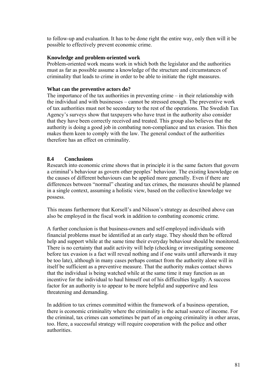to follow-up and evaluation. It has to be done right the entire way, only then will it be possible to effectively prevent economic crime.

### **Knowledge and problem-oriented work**

Problem-oriented work means work in which both the legislator and the authorities must as far as possible assume a knowledge of the structure and circumstances of criminality that leads to crime in order to be able to initiate the right measures.

### **What can the preventive actors do?**

The importance of the tax authorities in preventing crime – in their relationship with the individual and with businesses – cannot be stressed enough. The preventive work of tax authorities must not be secondary to the rest of the operations. The Swedish Tax Agency's surveys show that taxpayers who have trust in the authority also consider that they have been correctly received and treated. This group also believes that the authority is doing a good job in combating non-compliance and tax evasion. This then makes them keen to comply with the law. The general conduct of the authorities therefore has an effect on criminality.

### **8.4 Conclusions**

Research into economic crime shows that in principle it is the same factors that govern a criminal's behaviour as govern other peoples' behaviour. The existing knowledge on the causes of different behaviours can be applied more generally. Even if there are differences between "normal" cheating and tax crimes, the measures should be planned in a single context, assuming a holistic view, based on the collective knowledge we possess.

This means furthermore that Korsell's and Nilsson's strategy as described above can also be employed in the fiscal work in addition to combating economic crime.

A further conclusion is that business-owners and self-employed individuals with financial problems must be identified at an early stage. They should then be offered help and support while at the same time their everyday behaviour should be monitored. There is no certainty that audit activity will help (checking or investigating someone before tax evasion is a fact will reveal nothing and if one waits until afterwards it may be too late), although in many cases perhaps contact from the authority alone will in itself be sufficient as a preventive measure. That the authority makes contact shows that the individual is being watched while at the same time it may function as an incentive for the individual to haul himself out of his difficulties legally. A success factor for an authority is to appear to be more helpful and supportive and less threatening and demanding.

In addition to tax crimes committed within the framework of a business operation, there is economic criminality where the criminality is the actual source of income. For the criminal, tax crimes can sometimes be part of an ongoing criminality in other areas, too. Here, a successful strategy will require cooperation with the police and other authorities.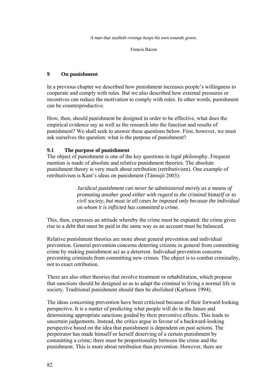Francis Bacon

### **9 On punishment**

In a previous chapter we described how punishment increases people's willingness to cooperate and comply with rules. But we also described how external pressures or incentives can reduce the motivation to comply with rules. In other words, punishment can be counterproductive.

How, then, should punishment be designed in order to be effective, what does the empirical evidence say as well as the research into the function and results of punishment? We shall seek to answer these questions below. First, however, we must ask ourselves the question: what is the purpose of punishment?

## **9.1 The purpose of punishment**

The object of punishment is one of the key questions in legal philosophy. Frequent mention is made of absolute and relative punishment theories. The absolute punishment theory is very much about retribution (retributivism). One example of retributivism is Kant's ideas on punishment (Tännsjö 2003):

> *Juridical punishment can never be administered merely as a means of promoting another good either with regard to the criminal himself or to civil society, but must in all cases be imposed only because the individual on whom it is inflicted has committed a crime.*

This, then, expresses an attitude whereby the crime must be expiated: the crime gives rise to a debt that must be paid in the same way as an account must be balanced.

Relative punishment theories are more about general prevention and individual prevention. General prevention concerns deterring citizens in general from committing crime by making punishment act as a deterrent. Individual prevention concerns preventing criminals from committing new crimes. The object is to combat criminality, not to exact retribution.

There are also other theories that involve treatment or rehabilitation, which propose that sanctions should be designed so as to adapt the criminal to living a normal life in society. Traditional punishment should then be abolished (Karlsson 1994).

The ideas concerning prevention have been criticised because of their forward-looking perspective. It is a matter of predicting what people will do in the future and determining appropriate sanctions guided by their preventive effects. This leads to uncertain judgements. Instead, the critics argue in favour of a backward-looking perspective based on the idea that punishment is dependent on past actions. The perpetrator has made himself or herself deserving of a certain punishment by committing a crime; there must be proportionality between the crime and the punishment. This is more about retribution than prevention. However, there are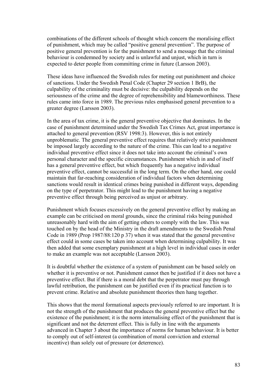combinations of the different schools of thought which concern the moralising effect of punishment, which may be called "positive general prevention". The purpose of positive general prevention is for the punishment to send a message that the criminal behaviour is condemned by society and is unlawful and unjust, which in turn is expected to deter people from committing crime in future (Larsson 2003).

These ideas have influenced the Swedish rules for meting out punishment and choice of sanctions. Under the Swedish Penal Code (Chapter 29 section 1 BrB), the culpability of the criminality must be decisive: the culpability depends on the seriousness of the crime and the degree of reprehensibility and blameworthiness. These rules came into force in 1989. The previous rules emphasised general prevention to a greater degree (Larsson 2003).

In the area of tax crime, it is the general preventive objective that dominates. In the case of punishment determined under the Swedish Tax Crimes Act, great importance is attached to general prevention (RSV 1998:3). However, this is not entirely unproblematic. The general preventive effect requires that relatively strict punishment be imposed largely according to the nature of the crime. This can lead to a negative individual preventive effect since it does not take into account the criminal's own personal character and the specific circumstances. Punishment which in and of itself has a general preventive effect, but which frequently has a negative individual preventive effect, cannot be successful in the long term. On the other hand, one could maintain that far-reaching consideration of individual factors when determining sanctions would result in identical crimes being punished in different ways, depending on the type of perpetrator. This might lead to the punishment having a negative preventive effect through being perceived as unjust or arbitrary.

Punishment which focuses excessively on the general preventive effect by making an example can be criticised on moral grounds, since the criminal risks being punished unreasonably hard with the aim of getting others to comply with the law. This was touched on by the head of the Ministry in the draft amendments to the Swedish Penal Code in 1989 (Prop 1987/88:120 p 37) when it was stated that the general preventive effect could in some cases be taken into account when determining culpability. It was then added that some exemplary punishment at a high level in individual cases in order to make an example was not acceptable (Larsson 2003).

It is doubtful whether the existence of a system of punishment can be based solely on whether it is preventive or not. Punishment cannot then be justified if it does not have a preventive effect. But if there is a moral debt that the perpetrator must pay through lawful retribution, the punishment can be justified even if its practical function is to prevent crime. Relative and absolute punishment theories then hang together.

This shows that the moral formational aspects previously referred to are important. It is not the strength of the punishment that produces the general preventive effect but the existence of the punishment; it is the norm internalising effect of the punishment that is significant and not the deterrent effect. This is fully in line with the arguments advanced in Chapter 3 about the importance of norms for human behaviour. It is better to comply out of self-interest (a combination of moral conviction and external incentive) than solely out of pressure (or deterrence).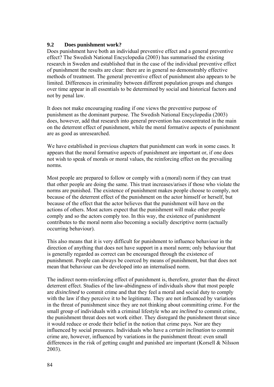### **9.2 Does punishment work?**

Does punishment have both an individual preventive effect and a general preventive effect? The Swedish National Encyclopedia (2003) has summarised the existing research in Sweden and established that in the case of the individual preventive effect of punishment the results are clear: there are in general no demonstrably effective methods of treatment. The general preventive effect of punishment also appears to be limited. Differences in criminality between different population groups and changes over time appear in all essentials to be determined by social and historical factors and not by penal law.

It does not make encouraging reading if one views the preventive purpose of punishment as the dominant purpose. The Swedish National Encyclopedia (2003) does, however, add that research into general prevention has concentrated in the main on the deterrent effect of punishment, while the moral formative aspects of punishment are as good as unresearched.

We have established in previous chapters that punishment can work in some cases. It appears that the moral formative aspects of punishment are important or, if one does not wish to speak of morals or moral values, the reinforcing effect on the prevailing norms.

Most people are prepared to follow or comply with a (moral) norm if they can trust that other people are doing the same. This trust increases/arises if those who violate the norms are punished. The existence of punishment makes people choose to comply, not because of the deterrent effect of the punishment on the actor himself or herself, but because of the effect that the actor believes that the punishment will have on the actions of others. Most actors expect that the punishment will make other people comply and so the actors comply too. In this way, the existence of punishment contributes to the moral norm also becoming a socially descriptive norm (actually occurring behaviour).

This also means that it is very difficult for punishment to influence behaviour in the direction of anything that does not have support in a moral norm; only behaviour that is generally regarded as correct can be encouraged through the existence of punishment. People can always be coerced by means of punishment, but that does not mean that behaviour can be developed into an internalised norm.

The indirect norm-reinforcing effect of punishment is, therefore, greater than the direct deterrent effect. Studies of the law-abidingness of individuals show that most people are *disinclined* to commit crime and that they feel a moral and social duty to comply with the law if they perceive it to be legitimate. They are not influenced by variations in the threat of punishment since they are not thinking about committing crime. For the small group of individuals with a criminal lifestyle who are *inclined* to commit crime, the punishment threat does not work either. They disregard the punishment threat since it would reduce or erode their belief in the notion that crime pays. Nor are they influenced by social pressures. Individuals who have a *certain inclination* to commit crime are, however, influenced by variations in the punishment threat: even small differences in the risk of getting caught and punished are important (Korsell & Nilsson 2003).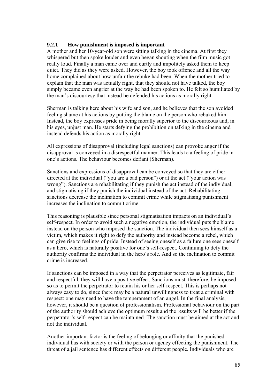# **9.2.1 How punishment is imposed is important**

A mother and her 10-year-old son were sitting talking in the cinema. At first they whispered but then spoke louder and even began shouting when the film music got really loud. Finally a man came over and curtly and impolitely asked them to keep quiet. They did as they were asked. However, the boy took offence and all the way home complained about how unfair the rebuke had been. When the mother tried to explain that the man was actually right, that they should not have talked, the boy simply became even angrier at the way he had been spoken to. He felt so humiliated by the man's discourtesy that instead he defended his actions as morally right.

Sherman is talking here about his wife and son, and he believes that the son avoided feeling shame at his actions by putting the blame on the person who rebuked him. Instead, the boy expresses pride in being morally superior to the discourteous and, in his eyes, unjust man. He starts defying the prohibition on talking in the cinema and instead defends his action as morally right.

All expressions of disapproval (including legal sanctions) can provoke anger if the disapproval is conveyed in a disrespectful manner. This leads to a feeling of pride in one's actions. The behaviour becomes defiant (Sherman).

Sanctions and expressions of disapproval can be conveyed so that they are either directed at the individual ("you are a bad person") or at the act ("your action was wrong"). Sanctions are rehabilitating if they punish the act instead of the individual, and stigmatising if they punish the individual instead of the act. Rehabilitating sanctions decrease the inclination to commit crime while stigmatising punishment increases the inclination to commit crime.

This reasoning is plausible since personal stigmatisation impacts on an individual's self-respect. In order to avoid such a negative emotion, the individual puts the blame instead on the person who imposed the sanction. The individual then sees himself as a victim, which makes it right to defy the authority and instead become a rebel, which can give rise to feelings of pride. Instead of seeing oneself as a failure one sees oneself as a hero, which is naturally positive for one's self-respect. Continuing to defy the authority confirms the individual in the hero's role. And so the inclination to commit crime is increased.

If sanctions can be imposed in a way that the perpetrator perceives as legitimate, fair and respectful, they will have a positive effect. Sanctions must, therefore, be imposed so as to permit the perpetrator to retain his or her self-respect. This is perhaps not always easy to do, since there may be a natural unwillingness to treat a criminal with respect: one may need to have the temperament of an angel. In the final analysis, however, it should be a question of professionalism. Professional behaviour on the part of the authority should achieve the optimum result and the results will be better if the perpetrator's self-respect can be maintained. The sanction must be aimed at the act and not the individual.

Another important factor is the feeling of belonging or affinity that the punished individual has with society or with the person or agency effecting the punishment. The threat of a jail sentence has different effects on different people. Individuals who are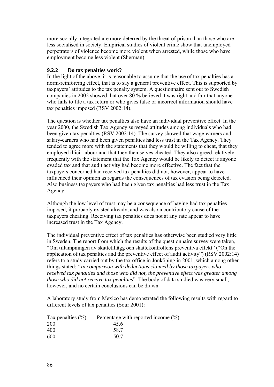more socially integrated are more deterred by the threat of prison than those who are less socialised in society. Empirical studies of violent crime show that unemployed perpetrators of violence become more violent when arrested, while those who have employment become less violent (Sherman).

# **9.2.2 Do tax penalties work?**

In the light of the above, it is reasonable to assume that the use of tax penalties has a norm-reinforcing effect, that is to say a general preventive effect. This is supported by taxpayers' attitudes to the tax penalty system. A questionnaire sent out to Swedish companies in 2002 showed that over 80 % believed it was right and fair that anyone who fails to file a tax return or who gives false or incorrect information should have tax penalties imposed (RSV 2002:14).

The question is whether tax penalties also have an individual preventive effect. In the year 2000, the Swedish Tax Agency surveyed attitudes among individuals who had been given tax penalties (RSV 2002:14). The survey showed that wage-earners and salary-earners who had been given penalties had less trust in the Tax Agency. They tended to agree more with the statements that they would be willing to cheat, that they employed illicit labour and that they themselves cheated. They also agreed relatively frequently with the statement that the Tax Agency would be likely to detect if anyone evaded tax and that audit activity had become more effective. The fact that the taxpayers concerned had received tax penalties did not, however, appear to have influenced their opinion as regards the consequences of tax evasion being detected. Also business taxpayers who had been given tax penalties had less trust in the Tax Agency.

Although the low level of trust may be a consequence of having had tax penalties imposed, it probably existed already, and was also a contributory cause of the taxpayers cheating. Receiving tax penalties does not at any rate appear to have increased trust in the Tax Agency.

The individual preventive effect of tax penalties has otherwise been studied very little in Sweden. The report from which the results of the questionnaire survey were taken, "Om tillämpningen av skattetillägg och skattekontrollens preventiva effekt" ("On the application of tax penalties and the preventive effect of audit activity") (RSV 2002:14) refers to a study carried out by the tax office in Jönköping in 2001, which among other things stated: *"In comparison with deductions claimed by those taxpayers who received tax penalties and those who did not, the preventive effect was greater among those who did not receive tax penalties*". The body of data studied was very small, however, and no certain conclusions can be drawn.

A laboratory study from Mexico has demonstrated the following results with regard to different levels of tax penalties (Sour 2001):

| Tax penalties $(\% )$ | Percentage with reported income $(\% )$ |
|-----------------------|-----------------------------------------|
| 200                   | 45.6                                    |
| 400                   | 58.7                                    |
| 600                   | 50.7                                    |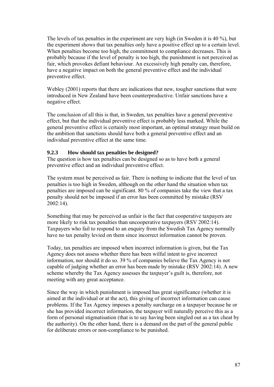The levels of tax penalties in the experiment are very high (in Sweden it is 40 %), but the experiment shows that tax penalties only have a positive effect up to a certain level. When penalties become too high, the commitment to compliance decreases. This is probably because if the level of penalty is too high, the punishment is not perceived as fair, which provokes defiant behaviour. An excessively high penalty can, therefore, have a negative impact on both the general preventive effect and the individual preventive effect.

Webley (2001) reports that there are indications that new, tougher sanctions that were introduced in New Zealand have been counterproductive. Unfair sanctions have a negative effect.

The conclusion of all this is that, in Sweden, tax penalties have a general preventive effect, but that the individual preventive effect is probably less marked. While the general preventive effect is certainly most important, an optimal strategy must build on the ambition that sanctions should have both a general preventive effect and an individual preventive effect at the same time.

### **9.2.3 How should tax penalties be designed?**

The question is how tax penalties can be designed so as to have both a general preventive effect and an individual preventive effect.

The system must be perceived as fair. There is nothing to indicate that the level of tax penalties is too high in Sweden, although on the other hand the situation when tax penalties are imposed can be significant. 80 % of companies take the view that a tax penalty should not be imposed if an error has been committed by mistake (RSV 2002:14).

Something that may be perceived as unfair is the fact that cooperative taxpayers are more likely to risk tax penalties than uncooperative taxpayers (RSV 2002:14). Taxpayers who fail to respond to an enquiry from the Swedish Tax Agency normally have no tax penalty levied on them since incorrect information cannot be proven.

Today, tax penalties are imposed when incorrect information is given, but the Tax Agency does not assess whether there has been wilful intent to give incorrect information, nor should it do so. 39 % of companies believe the Tax Agency is not capable of judging whether an error has been made by mistake (RSV 2002:14). A new scheme whereby the Tax Agency assesses the taxpayer's guilt is, therefore, not meeting with any great acceptance.

Since the way in which punishment is imposed has great significance (whether it is aimed at the individual or at the act), this giving of incorrect information can cause problems. If the Tax Agency imposes a penalty surcharge on a taxpayer because he or she has provided incorrect information, the taxpayer will naturally perceive this as a form of personal stigmatisation (that is to say having been singled out as a tax cheat by the authority). On the other hand, there is a demand on the part of the general public for deliberate errors or non-compliance to be punished.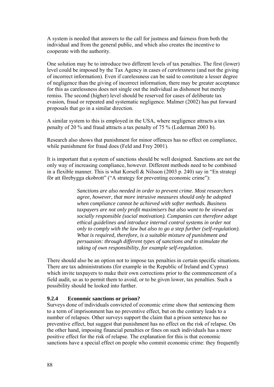A system is needed that answers to the call for justness and fairness from both the individual and from the general public, and which also creates the incentive to cooperate with the authority.

One solution may be to introduce two different levels of tax penalties. The first (lower) level could be imposed by the Tax Agency in cases of *carelessness* (and not the giving of incorrect information). Even if carelessness can be said to constitute a lesser degree of negligence than the giving of incorrect information, there may be greater acceptance for this as carelessness does not single out the individual as dishonest but merely remiss. The second (higher) level should be reserved for cases of deliberate tax evasion, fraud or repeated and systematic negligence. Malmer (2002) has put forward proposals that go in a similar direction.

A similar system to this is employed in the USA, where negligence attracts a tax penalty of 20 % and fraud attracts a tax penalty of 75 % (Lederman 2003 b).

Research also shows that punishment for minor offences has no effect on compliance, while punishment for fraud does (Feld and Frey 2001).

It is important that a system of sanctions should be well designed. Sanctions are not the only way of increasing compliance, however. Different methods need to be combined in a flexible manner. This is what Korsell & Nilsson (2003 p. 240) say in "En strategi för att förebygga ekobrott" ("A strategy for preventing economic crime"):

> *Sanctions are also needed in order to prevent crime. Most researchers agree, however, that more intrusive measures should only be adopted when compliance cannot be achieved with softer methods. Business taxpayers are not only profit maximisers but also want to be viewed as socially responsible (social motivation). Companies can therefore adopt ethical guidelines and introduce internal control systems in order not only to comply with the law but also to go a step further (self-regulation). What is required, therefore, is a suitable mixture of punishment and persuasion: through different types of sanctions and to stimulate the taking of own responsibility, for example self-regulation.*

There should also be an option not to impose tax penalties in certain specific situations. There are tax administrations (for example in the Republic of Ireland and Cyprus) which invite taxpayers to make their own corrections prior to the commencement of a field audit, so as to permit them to avoid, or to be given lower, tax penalties. Such a possibility should be looked into further.

#### **9.2.4 Economic sanctions or prison?**

Surveys done of individuals convicted of economic crime show that sentencing them to a term of imprisonment has no preventive effect, but on the contrary leads to a number of relapses. Other surveys support the claim that a prison sentence has no preventive effect, but suggest that punishment has no effect on the risk of relapse. On the other hand, imposing financial penalties or fines on such individuals has a more positive effect for the risk of relapse. The explanation for this is that economic sanctions have a special effect on people who commit economic crime: they frequently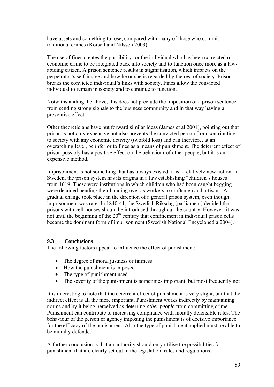have assets and something to lose, compared with many of those who commit traditional crimes (Korsell and Nilsson 2003).

The use of fines creates the possibility for the individual who has been convicted of economic crime to be integrated back into society and to function once more as a lawabiding citizen. A prison sentence results in stigmatisation, which impacts on the perpetrator's self-image and how he or she is regarded by the rest of society. Prison breaks the convicted individual's links with society. Fines allow the convicted individual to remain in society and to continue to function.

Notwithstanding the above, this does not preclude the imposition of a prison sentence from sending strong signals to the business community and in that way having a preventive effect.

Other theoreticians have put forward similar ideas (James et al 2001), pointing out that prison is not only expensive but also prevents the convicted person from contributing to society with any economic activity (twofold loss) and can therefore, at an overarching level, be inferior to fines as a means of punishment. The deterrent effect of prison possibly has a positive effect on the behaviour of other people, but it is an expensive method.

Imprisonment is not something that has always existed: it is a relatively new notion. In Sweden, the prison system has its origins in a law establishing "children's houses" from 1619. These were institutions in which children who had been caught begging were detained pending their handing over as workers to craftsmen and artisans. A gradual change took place in the direction of a general prison system, even though imprisonment was rare. In 1840-41, the Swedish Riksdag (parliament) decided that prisons with cell-houses should be introduced throughout the country. However, it was not until the beginning of the  $20<sup>th</sup>$  century that confinement in individual prison cells became the dominant form of imprisonment (Swedish National Encyclopedia 2004).

#### **9.3 Conclusions**

The following factors appear to influence the effect of punishment:

- The degree of moral justness or fairness
- How the punishment is imposed
- The type of punishment used
- The severity of the punishment is sometimes important, but most frequently not

It is interesting to note that the deterrent effect of punishment is very slight, but that the indirect effect is all the more important. Punishment works indirectly by maintaining norms and by it being perceived as deterring *other people* from committing crime. Punishment can contribute to increasing compliance with morally defensible rules. The behaviour of the person or agency imposing the punishment is of decisive importance for the efficacy of the punishment. Also the type of punishment applied must be able to be morally defended.

A further conclusion is that an authority should only utilise the possibilities for punishment that are clearly set out in the legislation, rules and regulations.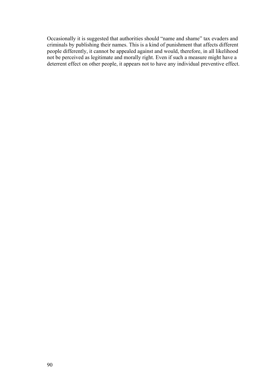Occasionally it is suggested that authorities should "name and shame" tax evaders and criminals by publishing their names. This is a kind of punishment that affects different people differently, it cannot be appealed against and would, therefore, in all likelihood not be perceived as legitimate and morally right. Even if such a measure might have a deterrent effect on other people, it appears not to have any individual preventive effect.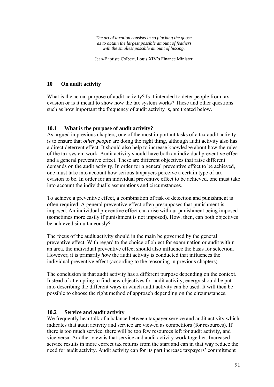*The art of taxation consists in so plucking the goose as to obtain the largest possible amount of feathers with the smallest possible amount of hissing.* 

Jean-Baptiste Colbert, Louis XIV's Finance Minister

### **10 On audit activity**

What is the actual purpose of audit activity? Is it intended to deter people from tax evasion or is it meant to show how the tax system works? These and other questions such as how important the frequency of audit activity is, are treated below.

### **10.1 What is the purpose of audit activity?**

As argued in previous chapters, one of the most important tasks of a tax audit activity is to ensure that *other people* are doing the right thing, although audit activity also has a direct deterrent effect. It should also help to increase knowledge about how the rules of the tax system work. Audit activity should have both an individual preventive effect and a general preventive effect. These are different objectives that raise different demands on the audit activity. In order for a general preventive effect to be achieved, one must take into account how serious taxpayers perceive a certain type of tax evasion to be. In order for an individual preventive effect to be achieved, one must take into account the individual's assumptions and circumstances.

To achieve a preventive effect, a combination of risk of detection and punishment is often required. A general preventive effect often presupposes that punishment is imposed. An individual preventive effect can arise without punishment being imposed (sometimes more easily if punishment is not imposed). How, then, can both objectives be achieved simultaneously?

The focus of the audit activity should in the main be governed by the general preventive effect. With regard to the choice of object for examination or audit within an area, the individual preventive effect should also influence the basis for selection. However, it is primarily *how* the audit activity is conducted that influences the individual preventive effect (according to the reasoning in previous chapters).

The conclusion is that audit activity has a different purpose depending on the context. Instead of attempting to find new objectives for audit activity, energy should be put into describing the different ways in which audit activity can be used. It will then be possible to choose the right method of approach depending on the circumstances.

## **10.2 Service and audit activity**

We frequently hear talk of a balance between taxpayer service and audit activity which indicates that audit activity and service are viewed as competitors (for resources). If there is too much service, there will be too few resources left for audit activity, and vice versa. Another view is that service and audit activity work together. Increased service results in more correct tax returns from the start and can in that way reduce the need for audit activity. Audit activity can for its part increase taxpayers' commitment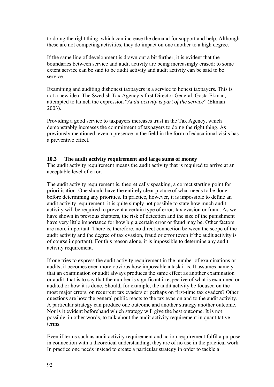to doing the right thing, which can increase the demand for support and help. Although these are not competing activities, they do impact on one another to a high degree.

If the same line of development is drawn out a bit further, it is evident that the boundaries between service and audit activity are being increasingly erased: to some extent service can be said to be audit activity and audit activity can be said to be service.

Examining and auditing dishonest taxpayers is a service to honest taxpayers. This is not a new idea. The Swedish Tax Agency's first Director General, Gösta Ekman, attempted to launch the expression "*Audit activity is part of the service*" (Ekman 2003).

Providing a good service to taxpayers increases trust in the Tax Agency, which demonstrably increases the commitment of taxpayers to doing the right thing. As previously mentioned, even a presence in the field in the form of educational visits has a preventive effect.

#### **10.3 The audit activity requirement and large sums of money**

The audit activity requirement means the audit activity that is required to arrive at an acceptable level of error.

The audit activity requirement is, theoretically speaking, a correct starting point for prioritisation. One should have the entirely clear picture of what needs to be done before determining any priorities. In practice, however, it is impossible to define an audit activity requirement: it is quite simply not possible to state how much audit activity will be required to prevent a certain type of error, tax evasion or fraud. As we have shown in previous chapters, the risk of detection and the size of the punishment have very little importance for how big a certain error or fraud may be. Other factors are more important. There is, therefore, no direct connection between the scope of the audit activity and the degree of tax evasion, fraud or error (even if the audit activity is of course important). For this reason alone, it is impossible to determine any audit activity requirement.

If one tries to express the audit activity requirement in the number of examinations or audits, it becomes even more obvious how impossible a task it is. It assumes namely that an examination or audit always produces the same effect as another examination or audit, that is to say that the number is significant irrespective of what is examined or audited or how it is done. Should, for example, the audit activity be focused on the most major errors, on recurrent tax evaders or perhaps on first-time tax evaders? Other questions are how the general public reacts to the tax evasion and to the audit activity. A particular strategy can produce one outcome and another strategy another outcome. Nor is it evident beforehand which strategy will give the best outcome. It is not possible, in other words, to talk about the audit activity requirement in quantitative terms.

Even if terms such as audit activity requirement and action requirement fulfil a purpose in connection with a theoretical understanding, they are of no use in the practical work. In practice one needs instead to create a particular strategy in order to tackle a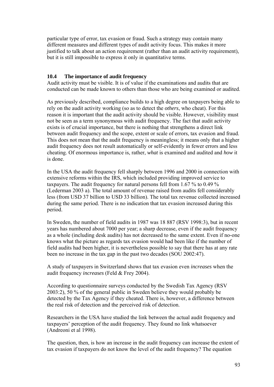particular type of error, tax evasion or fraud. Such a strategy may contain many different measures and different types of audit activity focus. This makes it more justified to talk about an action requirement (rather than an audit activity requirement), but it is still impossible to express it only in quantitative terms.

### **10.4 The importance of audit frequency**

Audit activity must be visible. It is of value if the examinations and audits that are conducted can be made known to others than those who are being examined or audited.

As previously described, compliance builds to a high degree on taxpayers being able to rely on the audit activity working (so as to detect the *others*, who cheat). For this reason it is important that the audit activity should be visible. However, visibility must not be seen as a term synonymous with audit frequency. The fact that audit activity exists is of crucial importance, but there is nothing that strengthens a direct link between audit frequency and the scope, extent or scale of errors, tax evasion and fraud. This does not mean that the audit frequency is meaningless; it means only that a higher audit frequency does not result automatically or self-evidently in fewer errors and less cheating. Of enormous importance is, rather, *what* is examined and audited and *how* it is done.

In the USA the audit frequency fell sharply between 1996 and 2000 in connection with extensive reforms within the IRS, which included providing improved service to taxpayers. The audit frequency for natural persons fell from 1.67 % to 0.49 % (Lederman 2003 a). The total amount of revenue raised from audits fell considerably less (from USD 37 billion to USD 33 billion). The total tax revenue collected increased during the same period. There is no indication that tax evasion increased during this period.

In Sweden, the number of field audits in 1987 was 18 887 (RSV 1998:3), but in recent years has numbered about 7000 per year; a sharp decrease, even if the audit frequency as a whole (including desk audits) has not decreased to the same extent. Even if no-one knows what the picture as regards tax evasion would had been like if the number of field audits had been higher, it is nevertheless possible to say that there has at any rate been no increase in the tax gap in the past two decades (SOU 2002:47).

A study of taxpayers in Switzerland shows that tax evasion even *increases* when the audit frequency *increases* (Feld & Frey 2004).

According to questionnaire surveys conducted by the Swedish Tax Agency (RSV 2003:2), 50 % of the general public in Sweden believe they would probably be detected by the Tax Agency if they cheated. There is, however, a difference between the real risk of detection and the perceived risk of detection.

Researchers in the USA have studied the link between the actual audit frequency and taxpayers' perception of the audit frequency. They found no link whatsoever (Andreoni et al 1998).

The question, then, is how an increase in the audit frequency can increase the extent of tax evasion if taxpayers do not know the level of the audit frequency? The equation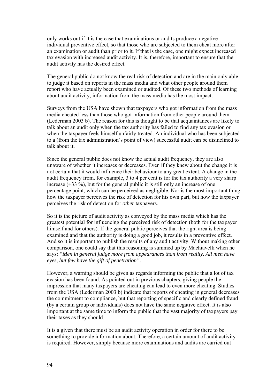only works out if it is the case that examinations or audits produce a negative individual preventive effect, so that those who are subjected to them cheat more after an examination or audit than prior to it. If that is the case, one might expect increased tax evasion with increased audit activity. It is, therefore, important to ensure that the audit activity has the desired effect.

The general public do not know the real risk of detection and are in the main only able to judge it based on reports in the mass media and what other people around them report who have actually been examined or audited. Of these two methods of learning about audit activity, information from the mass media has the most impact.

Surveys from the USA have shown that taxpayers who got information from the mass media cheated less than those who got information from other people around them (Lederman 2003 b). The reason for this is thought to be that acquaintances are likely to talk about an audit only when the tax authority has failed to find any tax evasion or when the taxpayer feels himself unfairly treated. An individual who has been subjected to a (from the tax administration's point of view) successful audit can be disinclined to talk about it.

Since the general public does not know the actual audit frequency, they are also unaware of whether it increases or decreases. Even if they knew about the change it is not certain that it would influence their behaviour to any great extent. A change in the audit frequency from, for example, 3 to 4 per cent is for the tax authority a very sharp increase  $(+33\%)$ , but for the general public it is still only an increase of one percentage point, which can be perceived as negligible. Nor is the most important thing how the taxpayer perceives the risk of detection for his own part, but how the taxpayer perceives the risk of detection for *other* taxpayers.

So it is the picture of audit activity as conveyed by the mass media which has the greatest potential for influencing the perceived risk of detection (both for the taxpayer himself and for others). If the general public perceives that the right area is being examined and that the authority is doing a good job, it results in a preventive effect. And so it is important to publish the results of any audit activity. Without making other comparison, one could say that this reasoning is summed up by Machiavelli when he says: *"Men in general judge more from appearances than from reality. All men have eyes, but few have the gift of penetration".*

However, a warning should be given as regards informing the public that a lot of tax evasion has been found. As pointed out in previous chapters, giving people the impression that many taxpayers are cheating can lead to even more cheating. Studies from the USA (Lederman 2003 b) indicate that reports of cheating in general decreases the commitment to compliance, but that reporting of specific and clearly defined fraud (by a certain group or individuals) does not have the same negative effect. It is also important at the same time to inform the public that the vast majority of taxpayers pay their taxes as they should.

It is a given that there must be an audit activity operation in order for there to be something to provide information about. Therefore, a certain amount of audit activity is required. However, simply because more examinations and audits are carried out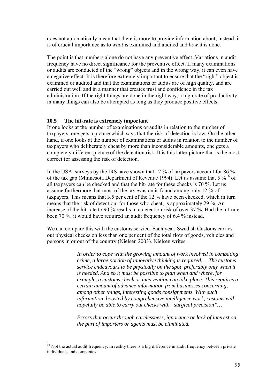does not automatically mean that there is more to provide information about; instead, it is of crucial importance as to *what* is examined and audited and *how* it is done.

The point is that numbers alone do not have any preventive effect. Variations in audit frequency have no direct significance for the preventive effect. If many examinations or audits are conducted of the "wrong" objects and in the wrong way, it can even have a negative effect. It is therefore extremely important to ensure that the "right" object is examined or audited and that the examinations or audits are of high quality, and are carried out well and in a manner that creates trust and confidence in the tax administration. If the right things are done in the right way, a high rate of productivity in many things can also be attempted as long as they produce positive effects.

### **10.5 The hit-rate is extremely important**

i<br>L

If one looks at the number of examinations or audits in relation to the number of taxpayers, one gets a picture which says that the risk of detection is low. On the other hand, if one looks at the number of examinations or audits in relation to the number of taxpayers who deliberately cheat by more than inconsiderable amounts, one gets a completely different picture of the detection risk. It is this latter picture that is the most correct for assessing the risk of detection.

In the USA, surveys by the IRS have shown that 12 % of taxpayers account for 86 % of the tax gap (Minnesota Department of Revenue 1994). Let us assume that  $5\%$ <sup>16</sup> of all taxpayers can be checked and that the hit-rate for these checks is 70 %. Let us assume furthermore that most of the tax evasion is found among only 12 % of taxpayers. This means that 3.5 per cent of the 12 % have been checked, which in turn means that the risk of detection, for those who cheat, is approximately 29 %. An increase of the hit-rate to 90 % results in a detection risk of over 37 %. Had the hit-rate been 70 %, it would have required an audit frequency of 6.4 % instead.

We can compare this with the customs service. Each year, Swedish Customs carries out physical checks on less than one per cent of the total flow of goods, vehicles and persons in or out of the country (Nielsen 2003). Nielsen writes:

> *In order to cope with the growing amount of work involved in combating crime, a large portion of innovative thinking is required. …The customs service endeavours to be physically on the spot, preferably only when it is needed. And so it must be possible to plan when and where, for example, a customs check or intervention can take place. This requires a certain amount of advance information from businesses concerning, among other things, interesting goods consignments. With such information, boosted by comprehensive intelligence work, customs will hopefully be able to carry out checks with "surgical precision"…*

*Errors that occur through carelessness, ignorance or lack of interest on the part of importers or agents must be eliminated.* 

<sup>&</sup>lt;sup>16</sup> Not the actual audit frequency. In reality there is a big difference in audit frequency between private individuals and companies.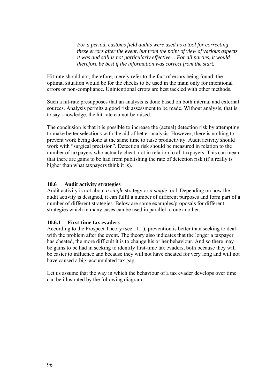*For a period, customs field audits were used as a tool for correcting these errors after the event, but from the point of view of various aspects it was and still is not particularly effective… For all parties, it would therefore be best if the information was correct from the start.* 

Hit-rate should not, therefore, merely refer to the fact of errors being found; the optimal situation would be for the checks to be used in the main only for intentional errors or non-compliance. Unintentional errors are best tackled with other methods.

Such a hit-rate presupposes that an analysis is done based on both internal and external sources. Analysis permits a good risk assessment to be made. Without analysis, that is to say knowledge, the hit-rate cannot be raised.

The conclusion is that it is possible to increase the (actual) detection risk by attempting to make better selections with the aid of better analysis. However, there is nothing to prevent work being done at the same time to raise productivity. Audit activity should work with "surgical precision". Detection risk should be measured in relation to the number of taxpayers who actually cheat, not in relation to all taxpayers. This can mean that there are gains to be had from publishing the rate of detection risk (if it really is higher than what taxpayers think it is).

#### **10.6 Audit activity strategies**

Audit activity is not about *a single* strategy or *a single* tool. Depending on how the audit activity is designed, it can fulfil a number of different purposes and form part of a number of different strategies. Below are some examples/proposals for different strategies which in many cases can be used in parallel to one another.

#### **10.6.1 First-time tax evaders**

According to the Prospect Theory (see 11.1), prevention is better than seeking to deal with the problem after the event. The theory also indicates that the longer a taxpayer has cheated, the more difficult it is to change his or her behaviour. And so there may be gains to be had in seeking to identify first-time tax evaders, both because they will be easier to influence and because they will not have cheated for very long and will not have caused a big, accumulated tax gap.

Let us assume that the way in which the behaviour of a tax evader develops over time can be illustrated by the following diagram: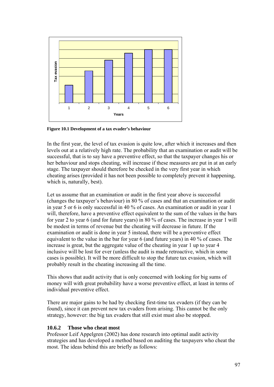

**Figure 10.1 Development of a tax evader's behaviour** 

In the first year, the level of tax evasion is quite low, after which it increases and then levels out at a relatively high rate. The probability that an examination or audit will be successful, that is to say have a preventive effect, so that the taxpayer changes his or her behaviour and stops cheating, will increase if these measures are put in at an early stage. The taxpayer should therefore be checked in the very first year in which cheating arises (provided it has not been possible to completely prevent it happening, which is, naturally, best).

Let us assume that an examination or audit in the first year above is successful (changes the taxpayer's behaviour) in 80 % of cases and that an examination or audit in year 5 or 6 is only successful in 40 % of cases. An examination or audit in year 1 will, therefore, have a preventive effect equivalent to the sum of the values in the bars for year 2 to year 6 (and for future years) in 80 % of cases. The increase in year 1 will be modest in terms of revenue but the cheating will decrease in future. If the examination or audit is done in year 5 instead, there will be a preventive effect equivalent to the value in the bar for year 6 (and future years) in 40 % of cases. The increase is great, but the aggregate value of the cheating in year 1 up to year 4 inclusive will be lost for ever (unless the audit is made retroactive, which in some cases is possible). It will be more difficult to stop the future tax evasion, which will probably result in the cheating increasing all the time.

This shows that audit activity that is only concerned with looking for big sums of money will with great probability have a worse preventive effect, at least in terms of individual preventive effect.

There are major gains to be had by checking first-time tax evaders (if they can be found), since it can prevent new tax evaders from arising. This cannot be the only strategy, however: the big tax evaders that still exist must also be stopped.

### **10.6.2 Those who cheat most**

Professor Leif Appelgren (2002) has done research into optimal audit activity strategies and has developed a method based on auditing the taxpayers who cheat the most. The ideas behind this are briefly as follows: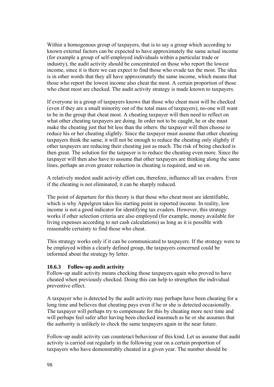Within a homogenous group of taxpayers, that is to say a group which according to known external factors can be expected to have approximately the same actual income (for example a group of self-employed individuals within a particular trade or industry), the audit activity should be concentrated on those who report the lowest income, since it is there we can expect to find those who evade tax the most. The idea is in other words that they all have approximately the same income, which means that those who report the lowest income also cheat the most. A certain proportion of those who cheat most are checked. The audit activity strategy is made known to taxpayers.

If everyone in a group of taxpayers knows that those who cheat most will be checked (even if they are a small minority out of the total mass of taxpayers), no-one will want to be in the group that cheat most. A cheating taxpayer will then need to reflect on what other cheating taxpayers are doing. In order not to be caught, he or she must make the cheating just that bit less than the others: the taxpayer will then choose to reduce his or her cheating slightly. Since the taxpayer must assume that other cheating taxpayers think the same, it will not be enough to reduce the cheating only slightly if other taxpayers are reducing their cheating just as much. The risk of being checked is then great. The solution for the taxpayer is to reduce the cheating even more. Since the taxpayer will then also have to assume that other taxpayers are thinking along the same lines, perhaps an even greater reduction in cheating is required, and so on.

A relatively modest audit activity effort can, therefore, influence all tax evaders. Even if the cheating is not eliminated, it can be sharply reduced.

The point of departure for this theory is that those who cheat most are identifiable, which is why Appelgren takes his starting point in reported income. In reality, low income is not a good indicator for identifying tax evaders. However, this strategy works if other selection criteria are also employed (for example, money available for living expenses according to net cash calculations) as long as it is possible with reasonable certainty to find those who cheat.

This strategy works only if it can be communicated to taxpayers. If the strategy were to be employed within a clearly defined group, the taxpayers concerned could be informed about the strategy by letter.

#### **10.6.3 Follow-up audit activity**

Follow-up audit activity means checking those taxpayers again who proved to have cheated when previously checked. Doing this can help to strengthen the individual preventive effect.

A taxpayer who is detected by the audit activity may perhaps have been cheating for a long time and believes that cheating pays even if he or she is detected occasionally. The taxpayer will perhaps try to compensate for this by cheating more next time and will perhaps feel safer after having been checked inasmuch as he or she assumes that the authority is unlikely to check the same taxpayers again in the near future.

Follow-up audit activity can counteract behaviour of this kind. Let us assume that audit activity is carried out regularly in the following year on a certain proportion of taxpayers who have demonstrably cheated in a given year. The number should be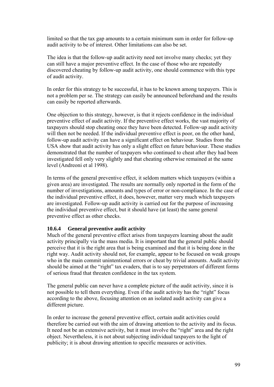limited so that the tax gap amounts to a certain minimum sum in order for follow-up audit activity to be of interest. Other limitations can also be set.

The idea is that the follow-up audit activity need not involve many checks; yet they can still have a major preventive effect. In the case of those who are repeatedly discovered cheating by follow-up audit activity, one should commence with this type of audit activity.

In order for this strategy to be successful, it has to be known among taxpayers. This is not a problem per se. The strategy can easily be announced beforehand and the results can easily be reported afterwards.

One objection to this strategy, however, is that it rejects confidence in the individual preventive effect of audit activity. If the preventive effect works, the vast majority of taxpayers should stop cheating once they have been detected. Follow-up audit activity will then not be needed. If the individual preventive effect is poor, on the other hand, follow-up audit activity can have a significant effect on behaviour. Studies from the USA show that audit activity has only a slight effect on future behaviour. These studies demonstrated that the number of taxpayers who continued to cheat after they had been investigated fell only very slightly and that cheating otherwise remained at the same level (Andreoni et al 1998).

In terms of the general preventive effect, it seldom matters which taxpayers (within a given area) are investigated. The results are normally only reported in the form of the number of investigations, amounts and types of error or non-compliance. In the case of the individual preventive effect, it does, however, matter very much which taxpayers are investigated. Follow-up audit activity is carried out for the purpose of increasing the individual preventive effect, but it should have (at least) the same general preventive effect as other checks.

## **10.6.4 General preventive audit activity**

Much of the general preventive effect arises from taxpayers learning about the audit activity principally via the mass media. It is important that the general public should perceive that it is the right area that is being examined and that it is being done in the right way. Audit activity should not, for example, appear to be focused on weak groups who in the main commit unintentional errors or cheat by trivial amounts. Audit activity should be aimed at the "right" tax evaders, that is to say perpetrators of different forms of serious fraud that threaten confidence in the tax system.

The general public can never have a complete picture of the audit activity, since it is not possible to tell them everything. Even if the audit activity has the "right" focus according to the above, focusing attention on an isolated audit activity can give a different picture.

In order to increase the general preventive effect, certain audit activities could therefore be carried out with the aim of drawing attention to the activity and its focus. It need not be an extensive activity, but it must involve the "right" area and the right object. Nevertheless, it is not about subjecting individual taxpayers to the light of publicity; it is about drawing attention to specific measures or activities.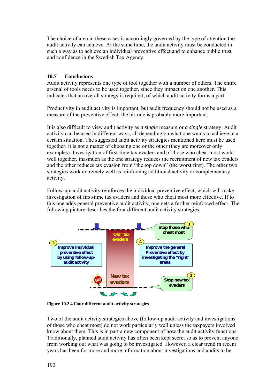The choice of area in these cases is accordingly governed by the type of attention the audit activity can achieve. At the same time, the audit activity must be conducted in such a way as to achieve an individual preventive effect and to enhance public trust and confidence in the Swedish Tax Agency.

# **10.7 Conclusions**

Audit activity represents one type of tool together with a number of others. The entire arsenal of tools needs to be used together, since they impact on one another. This indicates that an overall strategy is required, of which audit activity forms a part.

Productivity in audit activity is important, but audit frequency should not be used as a measure of the preventive effect: the hit-rate is probably more important.

It is also difficult to view audit activity as *a single* measure or *a single* strategy. Audit activity can be used in different ways, all depending on what one wants to achieve in a certain situation. The suggested audit activity strategies mentioned here must be used together; it is not a matter of choosing one or the other (they are moreover only examples). Investigation of first-time tax evaders and of those who cheat most work well together, inasmuch as the one strategy reduces the recruitment of new tax evaders and the other reduces tax evasion from "the top down" (the worst first). The other two strategies work extremely well as reinforcing additional activity or complementary activity.

Follow-up audit activity reinforces the individual preventive effect, which will make investigation of first-time tax evaders and those who cheat most more effective. If to this one adds general preventive audit activity, one gets a further reinforced effect. The following picture describes the four different audit activity strategies.



**Figure 10.2 4 Four different audit activity strategies** 

Two of the audit activity strategies above (follow-up audit activity and investigations of those who cheat most) do not work particularly well unless the taxpayers involved know about them. This is in part a new component of how the audit activity functions. Traditionally, planned audit activity has often been kept secret so as to prevent anyone from working out what was going to be investigated. However, a clear trend in recent years has been for more and more information about investigations and audits to be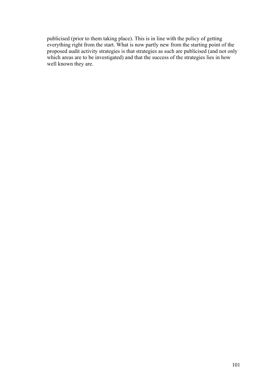publicised (prior to them taking place). This is in line with the policy of getting everything right from the start. What is now partly new from the starting point of the proposed audit activity strategies is that strategies as such are publicised (and not only which areas are to be investigated) and that the success of the strategies lies in how well known they are.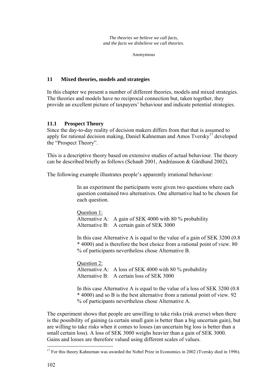*The theories we believe we call facts, and the facts we disbelieve we call theories.* 

Anonymous

#### **11 Mixed theories, models and strategies**

In this chapter we present a number of different theories, models and mixed strategies. The theories and models have no reciprocal connection but, taken together, they provide an excellent picture of taxpayers' behaviour and indicate potential strategies.

#### **11.1 Prospect Theory**

Since the day-to-day reality of decision makers differs from that that is assumed to apply for rational decision making, Daniel Kahneman and Amos Tversky<sup>17</sup> developed the "Prospect Theory".

This is a descriptive theory based on extensive studies of actual behaviour. The theory can be described briefly as follows (Schaub 2001, Andréasson & Gårdlund 2002).

The following example illustrates people's apparently irrational behaviour:

In an experiment the participants were given two questions where each question contained two alternatives. One alternative had to be chosen for each question.

Question 1: Alternative A: A gain of SEK 4000 with 80 % probability Alternative B: A certain gain of SEK 3000

In this case Alternative A is equal to the value of a gain of SEK 3200 (0.8 \* 4000) and is therefore the best choice from a rational point of view. 80 % of participants nevertheless chose Alternative B.

Question 2: Alternative A: A loss of SEK 4000 with 80 % probability Alternative B: A certain loss of SEK 3000

In this case Alternative A is equal to the value of a loss of SEK 3200 (0.8 \* 4000) and so B is the best alternative from a rational point of view. 92 % of participants nevertheless chose Alternative A.

The experiment shows that people are unwilling to take risks (risk averse) when there is the possibility of gaining (a certain small gain is better than a big uncertain gain), but are willing to take risks when it comes to losses (an uncertain big loss is better than a small certain loss). A loss of SEK 3000 weighs heavier than a gain of SEK 3000. Gains and losses are therefore valued using different scales of values.

i<br>L

 $17$  For this theory Kahneman was awarded the Nobel Prize in Economics in 2002 (Tversky died in 1996).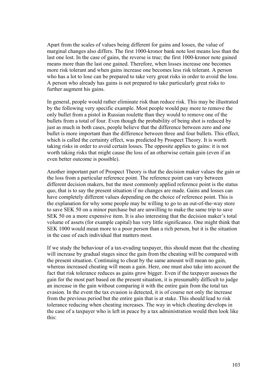Apart from the scales of values being different for gains and losses, the value of marginal changes also differs. The first 1000-kronor bank note lost means less than the last one lost. In the case of gains, the reverse is true; the first 1000-kronor note gained means more than the last one gained. Therefore, when losses increase one becomes more risk tolerant and when gains increase one becomes less risk tolerant. A person who has a lot to lose can be prepared to take very great risks in order to avoid the loss. A person who already has gains is not prepared to take particularly great risks to further augment his gains.

In general, people would rather eliminate risk than reduce risk. This may be illustrated by the following very specific example. Most people would pay more to remove the only bullet from a pistol in Russian roulette than they would to remove one of the bullets from a total of four. Even though the probability of being shot is reduced by just as much in both cases, people believe that the difference between zero and one bullet is more important than the difference between three and four bullets. This effect, which is called the certainty effect, was predicted by Prospect Theory. It is worth taking risks in order to avoid certain losses. The opposite applies to gains: it is not worth taking risks that might cause the loss of an otherwise certain gain (even if an even better outcome is possible).

Another important part of Prospect Theory is that the decision maker values the gain or the loss from a particular reference point. The reference point can vary between different decision makers, but the most commonly applied reference point is the status quo, that is to say the present situation if no changes are made. Gains and losses can have completely different values depending on the choice of reference point. This is the explanation for why some people may be willing to go to an out-of-the-way store to save SEK 50 on a minor purchase but are unwilling to make the same trip to save SEK 50 on a more expensive item. It is also interesting that the decision maker's total volume of assets (for example capital) has very little significance. One might think that SEK 1000 would mean more to a poor person than a rich person, but it is the situation in the case of each individual that matters most.

If we study the behaviour of a tax-evading taxpayer, this should mean that the cheating will increase by gradual stages since the gain from the cheating will be compared with the present situation. Continuing to cheat by the same amount will mean no gain, whereas increased cheating will mean a gain. Here, one must also take into account the fact that risk tolerance reduces as gains grow bigger. Even if the taxpayer assesses the gain for the most part based on the present situation, it is presumably difficult to judge an increase in the gain without comparing it with the entire gain from the total tax evasion. In the event the tax evasion is detected, it is of course not only the increase from the previous period but the entire gain that is at stake. This should lead to risk tolerance reducing when cheating increases. The way in which cheating develops in the case of a taxpayer who is left in peace by a tax administration would then look like this: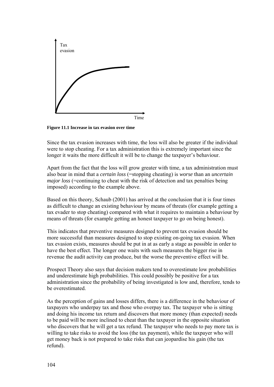

**Figure 11.1 Increase in tax evasion over time** 

Since the tax evasion increases with time, the loss will also be greater if the individual were to stop cheating. For a tax administration this is extremely important since the longer it waits the more difficult it will be to change the taxpayer's behaviour.

Apart from the fact that the loss will grow greater with time, a tax administration must also bear in mind that a *certain loss* (=stopping cheating) is *worse* than an *uncertain major loss* (=continuing to cheat with the risk of detection and tax penalties being imposed) according to the example above.

Based on this theory, Schaub (2001) has arrived at the conclusion that it is four times as difficult to change an existing behaviour by means of threats (for example getting a tax evader to stop cheating) compared with what it requires to maintain a behaviour by means of threats (for example getting an honest taxpayer to go on being honest).

This indicates that preventive measures designed to prevent tax evasion should be more successful than measures designed to stop existing on-going tax evasion. When tax evasion exists, measures should be put in at as early a stage as possible in order to have the best effect. The longer one waits with such measures the bigger rise in revenue the audit activity can produce, but the worse the preventive effect will be.

Prospect Theory also says that decision makers tend to overestimate low probabilities and underestimate high probabilities. This could possibly be positive for a tax administration since the probability of being investigated is low and, therefore, tends to be overestimated.

As the perception of gains and losses differs, there is a difference in the behaviour of taxpayers who underpay tax and those who overpay tax. The taxpayer who is sitting and doing his income tax return and discovers that more money (than expected) needs to be paid will be more inclined to cheat than the taxpayer in the opposite situation who discovers that he will get a tax refund. The taxpayer who needs to pay more tax is willing to take risks to avoid the loss (the tax payment), while the taxpayer who will get money back is not prepared to take risks that can jeopardise his gain (the tax refund).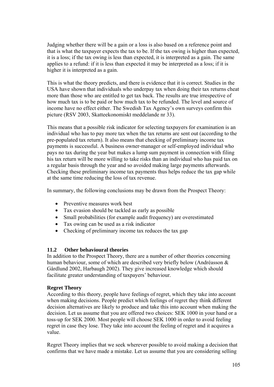Judging whether there will be a gain or a loss is also based on a reference point and that is what the taxpayer expects the tax to be. If the tax owing is higher than expected, it is a loss; if the tax owing is less than expected, it is interpreted as a gain. The same applies to a refund: if it is less than expected it may be interpreted as a loss; if it is higher it is interpreted as a gain.

This is what the theory predicts, and there is evidence that it is correct. Studies in the USA have shown that individuals who underpay tax when doing their tax returns cheat more than those who are entitled to get tax back. The results are true irrespective of how much tax is to be paid or how much tax to be refunded. The level and source of income have no effect either. The Swedish Tax Agency's own surveys confirm this picture (RSV 2003, Skatteekonomiskt meddelande nr 33).

This means that a possible risk indicator for selecting taxpayers for examination is an individual who has to pay more tax when the tax returns are sent out (according to the pre-populated tax return). It also means that checking of preliminary income tax payments is successful. A business owner-manager or self-employed individual who pays no tax during the year but makes a lump sum payment in connection with filing his tax return will be more willing to take risks than an individual who has paid tax on a regular basis through the year and so avoided making large payments afterwards. Checking these preliminary income tax payments thus helps reduce the tax gap while at the same time reducing the loss of tax revenue.

In summary, the following conclusions may be drawn from the Prospect Theory:

- Preventive measures work best
- Tax evasion should be tackled as early as possible
- Small probabilities (for example audit frequency) are overestimated
- Tax owing can be used as a risk indicator
- Checking of preliminary income tax reduces the tax gap

#### **11.2 Other behavioural theories**

In addition to the Prospect Theory, there are a number of other theories concerning human behaviour, some of which are described very briefly below (Andréasson & Gårdlund 2002, Harbaugh 2002). They give increased knowledge which should facilitate greater understanding of taxpayers' behaviour.

#### **Regret Theory**

According to this theory, people have feelings of regret, which they take into account when making decisions. People predict which feelings of regret they think different decision alternatives are likely to produce and take this into account when making the decision. Let us assume that you are offered two choices: SEK 1000 in your hand or a toss-up for SEK 2000. Most people will choose SEK 1000 in order to avoid feeling regret in case they lose. They take into account the feeling of regret and it acquires a value.

Regret Theory implies that we seek wherever possible to avoid making a decision that confirms that we have made a mistake. Let us assume that you are considering selling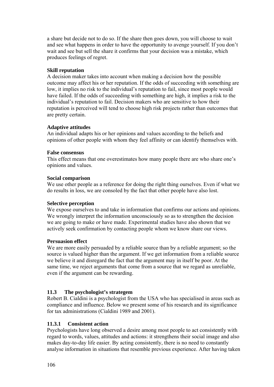a share but decide not to do so. If the share then goes down, you will choose to wait and see what happens in order to have the opportunity to avenge yourself. If you don't wait and see but sell the share it confirms that your decision was a mistake, which produces feelings of regret.

## **Skill reputation**

A decision maker takes into account when making a decision how the possible outcome may affect his or her reputation. If the odds of succeeding with something are low, it implies no risk to the individual's reputation to fail, since most people would have failed. If the odds of succeeding with something are high, it implies a risk to the individual's reputation to fail. Decision makers who are sensitive to how their reputation is perceived will tend to choose high risk projects rather than outcomes that are pretty certain.

### **Adaptive attitudes**

An individual adapts his or her opinions and values according to the beliefs and opinions of other people with whom they feel affinity or can identify themselves with.

### **False consensus**

This effect means that one overestimates how many people there are who share one's opinions and values.

### **Social comparison**

We use other people as a reference for doing the right thing ourselves. Even if what we do results in loss, we are consoled by the fact that other people have also lost.

#### **Selective perception**

We expose ourselves to and take in information that confirms our actions and opinions. We wrongly interpret the information unconsciously so as to strengthen the decision we are going to make or have made. Experimental studies have also shown that we actively seek confirmation by contacting people whom we know share our views.

## **Persuasion effect**

We are more easily persuaded by a reliable source than by a reliable argument; so the source is valued higher than the argument. If we get information from a reliable source we believe it and disregard the fact that the argument may in itself be poor. At the same time, we reject arguments that come from a source that we regard as unreliable, even if the argument can be rewarding.

## **11.3 The psychologist's strategem**

Robert B. Cialdini is a psychologist from the USA who has specialised in areas such as compliance and influence. Below we present some of his research and its significance for tax administrations (Cialdini 1989 and 2001).

## **11.3.1 Consistent action**

Psychologists have long observed a desire among most people to act consistently with regard to words, values, attitudes and actions: it strengthens their social image and also makes day-to-day life easier. By acting consistently, there is no need to constantly analyse information in situations that resemble previous experience. After having taken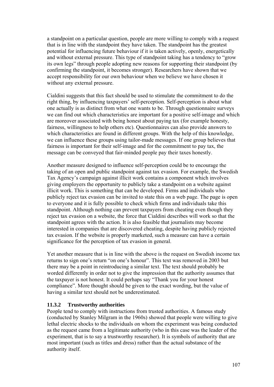a standpoint on a particular question, people are more willing to comply with a request that is in line with the standpoint they have taken. The standpoint has the greatest potential for influencing future behaviour if it is taken actively, openly, energetically and without external pressure. This type of standpoint taking has a tendency to "grow its own legs" through people adopting new reasons for supporting their standpoint (by confirming the standpoint, it becomes stronger). Researchers have shown that we accept responsibility for our own behaviour when we believe we have chosen it without any external pressure.

Cialdini suggests that this fact should be used to stimulate the commitment to do the right thing, by influencing taxpayers' self-perception. Self-perception is about what one actually is as distinct from what one wants to be. Through questionnaire surveys we can find out which characteristics are important for a positive self-image and which are moreover associated with being honest about paying tax (for example honesty, fairness, willingness to help others etc). Questionnaires can also provide answers to which characteristics are found in different groups. With the help of this knowledge, we can influence these groups using tailor-made messages. If one group believes that fairness is important for their self-image and for the commitment to pay tax, the message can be conveyed that fair-minded people pay their taxes honestly.

Another measure designed to influence self-perception could be to encourage the taking of an open and public standpoint against tax evasion. For example, the Swedish Tax Agency's campaign against illicit work contains a component which involves giving employers the opportunity to publicly take a standpoint on a website against illicit work. This is something that can be developed. Firms and individuals who publicly reject tax evasion can be invited to state this on a web page. The page is open to everyone and it is fully possible to check which firms and individuals take this standpoint. Although nothing can prevent taxpayers from cheating even though they reject tax evasion on a website, the force that Cialdini describes will work so that the standpoint agrees with the action. It is also feasible that journalists may become interested in companies that are discovered cheating, despite having publicly rejected tax evasion. If the website is properly marketed, such a measure can have a certain significance for the perception of tax evasion in general.

Yet another measure that is in line with the above is the request on Swedish income tax returns to sign one's return "on one's honour". This text was removed in 2003 but there may be a point in reintroducing a similar text. The text should probably be worded differently in order not to give the impression that the authority assumes that the taxpayer is not honest. It could perhaps say "Thank you for your honest compliance". More thought should be given to the exact wording, but the value of having a similar text should not be underestimated.

## **11.3.2 Trustworthy authorities**

People tend to comply with instructions from trusted authorities. A famous study (conducted by Stanley Milgram in the 1960s) showed that people were willing to give lethal electric shocks to the individuals on whom the experiment was being conducted as the request came from a legitimate authority (who in this case was the leader of the experiment, that is to say a trustworthy researcher). It is symbols of authority that are most important (such as titles and dress) rather than the actual substance of the authority itself.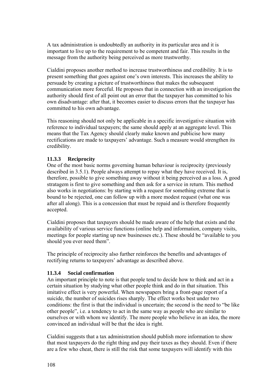A tax administration is undoubtedly an authority in its particular area and it is important to live up to the requirement to be competent and fair. This results in the message from the authority being perceived as more trustworthy.

Cialdini proposes another method to increase trustworthiness and credibility. It is to present something that goes against one's own interests. This increases the ability to persuade by creating a picture of trustworthiness that makes the subsequent communication more forceful. He proposes that in connection with an investigation the authority should first of all point out an error that the taxpayer has committed to his own disadvantage: after that, it becomes easier to discuss errors that the taxpayer has committed to his own advantage.

This reasoning should not only be applicable in a specific investigative situation with reference to individual taxpayers; the same should apply at an aggregate level. This means that the Tax Agency should clearly make known and publicise how many rectifications are made to taxpayers' advantage. Such a measure would strengthen its credibility.

## **11.3.3 Reciprocity**

One of the most basic norms governing human behaviour is reciprocity (previously described in 3.5.1). People always attempt to repay what they have received. It is, therefore, possible to give something away without it being perceived as a loss. A good stratagem is first to give something and then ask for a service in return. This method also works in negotiations: by starting with a request for something extreme that is bound to be rejected, one can follow up with a more modest request (what one was after all along). This is a concession that must be repaid and is therefore frequently accepted.

Cialdini proposes that taxpayers should be made aware of the help that exists and the availability of various service functions (online help and information, company visits, meetings for people starting up new businesses etc.). These should be "available to you should you ever need them".

The principle of reciprocity also further reinforces the benefits and advantages of rectifying returns to taxpayers' advantage as described above.

## **11.3.4 Social confirmation**

An important principle to note is that people tend to decide how to think and act in a certain situation by studying what other people think and do in that situation. This imitative effect is very powerful. When newspapers bring a front-page report of a suicide, the number of suicides rises sharply. The effect works best under two conditions: the first is that the individual is uncertain; the second is the need to "be like other people", i.e. a tendency to act in the same way as people who are similar to ourselves or with whom we identify. The more people who believe in an idea, the more convinced an individual will be that the idea is right.

Cialdini suggests that a tax administration should publish more information to show that most taxpayers do the right thing and pay their taxes as they should. Even if there are a few who cheat, there is still the risk that some taxpayers will identify with this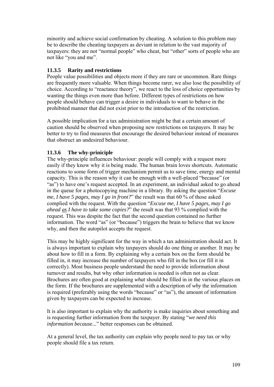minority and achieve social confirmation by cheating. A solution to this problem may be to describe the cheating taxpayers as deviant in relation to the vast majority of taxpayers: they are not "normal people" who cheat, but "other" sorts of people who are not like "you and me".

# **11.3.5 Rarity and restrictions**

People value possibilities and objects more if they are rare or uncommon. Rare things are frequently more valuable. When things become rarer, we also lose the possibility of choice. According to "reactance theory", we react to the loss of choice opportunities by wanting the things even more than before. Different types of restrictions on how people should behave can trigger a desire in individuals to want to behave in the prohibited manner that did not exist prior to the introduction of the restriction.

A possible implication for a tax administration might be that a certain amount of caution should be observed when proposing new restrictions on taxpayers. It may be better to try to find measures that encourage the desired behaviour instead of measures that obstruct an undesired behaviour.

## **11.3.6 The why-priniciple**

The why-principle influences behaviour: people will comply with a request more easily if they know why it is being made. The human brain loves shortcuts. Automatic reactions to some form of trigger mechanism permit us to save time, energy and mental capacity. This is the reason why it can be enough with a well-placed "because" (or "as") to have one's request accepted. In an experiment, an individual asked to go ahead in the queue for a photocopying machine in a library. By asking the question "*Excuse me, I have 5 pages, may I go in front?*" the result was that 60 % of those asked complied with the request. With the question "*Excuse me, I have 5 pages, may I go ahead as I have to take some copies?*" the result was that 93 % complied with the request. This was despite the fact that the second question contained no further information. The word "as" (or "because") triggers the brain to believe that we know why, and then the autopilot accepts the request.

This may be highly significant for the way in which a tax administration should act. It is always important to explain why taxpayers should do one thing or another. It may be about how to fill in a form. By explaining why a certain box on the form should be filled in, it may increase the number of taxpayers who fill in the box (or fill it in correctly). Most business people understand the need to provide information about turnover and results, but why other information is needed is often not as clear. Brochures are often good at explaining *what* should be filled in in the various places on the form. If the brochures are supplemented with a description of *why* the information is required (preferably using the words "because" or "as"), the amount of information given by taxpayers can be expected to increase.

It is also important to explain why the authority is make inquiries about something and is requesting further information from the taxpayer. By stating "*we need this information because...*" better responses can be obtained.

At a general level, the tax authority can explain why people need to pay tax or why people should file a tax return.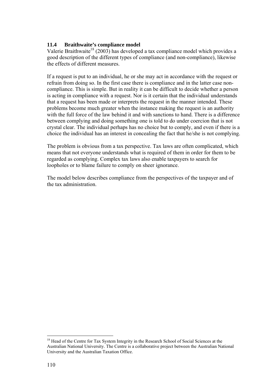## **11.4 Braithwaite's compliance model**

Valerie Braithwaite<sup>18</sup> (2003) has developed a tax compliance model which provides a good description of the different types of compliance (and non-compliance), likewise the effects of different measures.

If a request is put to an individual, he or she may act in accordance with the request or refrain from doing so. In the first case there is compliance and in the latter case noncompliance. This is simple. But in reality it can be difficult to decide whether a person is acting in compliance with a request. Nor is it certain that the individual understands that a request has been made or interprets the request in the manner intended. These problems become much greater when the instance making the request is an authority with the full force of the law behind it and with sanctions to hand. There is a difference between complying and doing something one is told to do under coercion that is not crystal clear. The individual perhaps has no choice but to comply, and even if there is a choice the individual has an interest in concealing the fact that he/she is not complying.

The problem is obvious from a tax perspective. Tax laws are often complicated, which means that not everyone understands what is required of them in order for them to be regarded as complying. Complex tax laws also enable taxpayers to search for loopholes or to blame failure to comply on sheer ignorance.

The model below describes compliance from the perspectives of the taxpayer and of the tax administration.

<sup>&</sup>lt;sup>18</sup> Head of the Centre for Tax System Integrity in the Research School of Social Sciences at the Australian National University. The Centre is a collaborative project between the Australian National University and the Australian Taxation Office.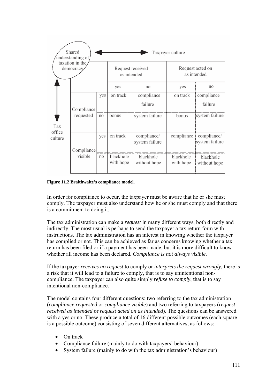| Shared<br>understanding of<br>taxation in the<br>democracy |                       |     | Taxpayer culture                |                               |                                 |                               |
|------------------------------------------------------------|-----------------------|-----|---------------------------------|-------------------------------|---------------------------------|-------------------------------|
|                                                            |                       |     | Request received<br>as intended |                               | Request acted on<br>as intended |                               |
|                                                            |                       |     | yes                             | no                            | yes                             | no                            |
|                                                            | Compliance            | yes | on track                        | compliance<br>failure         | on track                        | compliance<br>failure         |
| Tax<br>office                                              | requested             | no  | bonus                           | system failure                | bonus                           | system failure                |
| culture                                                    | Compliance<br>visible | yes | on track                        | compliance/<br>system failure | compliance                      | compliance/<br>system failure |
|                                                            |                       | no  | blackhole<br>with hope          | blackhole<br>without hope     | blackhole<br>with hope          | blackhole<br>without hope     |

**Figure 11.2 Braithwaite's compliance model.** 

In order for compliance to occur, the taxpayer must be aware that he or she must comply. The taxpayer must also understand how he or she must comply and that there is a commitment to doing it.

The tax administration can make a *request* in many different ways, both directly and indirectly. The most usual is perhaps to send the taxpayer a tax return form with instructions. The tax administration has an interest in knowing whether the taxpayer has complied or not. This can be achieved as far as concerns knowing whether a tax return has been filed or if a payment has been made, but it is more difficult to know whether all income has been declared. *Compliance is not always visible*.

If the taxpayer *receives no request* to comply or *interprets the request wrongly,* there is a risk that it will lead to a failure to comply, that is to say unintentional noncompliance. The taxpayer can also quite simply *refuse to comply*, that is to say intentional non-compliance.

The model contains four different questions: two referring to the tax administration (*compliance requested* or *compliance visible*) and two referring to taxpayers (*request received as intended* or *request acted on as intended*). The questions can be answered with a yes or no. These produce a total of 16 different possible outcomes (each square is a possible outcome) consisting of seven different alternatives, as follows:

- On track
- Compliance failure (mainly to do with taxpayers' behaviour)
- System failure (mainly to do with the tax administration's behaviour)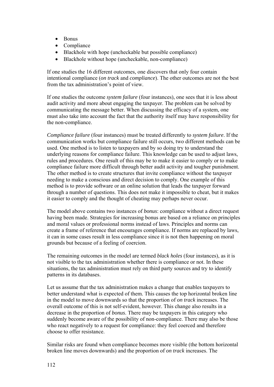- Bonus
- Compliance
- Blackhole with hope (uncheckable but possible compliance)
- Blackhole without hope (uncheckable, non-compliance)

If one studies the 16 different outcomes, one discovers that only four contain intentional compliance (*on track* and *compliance*). The other outcomes are not the best from the tax administration's point of view.

If one studies the outcome *system failure* (four instances), one sees that it is less about audit activity and more about engaging the taxpayer. The problem can be solved by communicating the message better. When discussing the efficacy of a system, one must also take into account the fact that the authority itself may have responsibility for the non-compliance.

*Compliance failure* (four instances) must be treated differently to *system failure*. If the communication works but compliance failure still occurs, two different methods can be used. One method is to listen to taxpayers and by so doing try to understand the underlying reasons for compliance failure. This knowledge can be used to adjust laws, rules and procedures. One result of this may be to make it easier to comply or to make compliance failure more difficult through better audit activity and tougher punishment. The other method is to create structures that invite compliance without the taxpayer needing to make a conscious and direct decision to comply. One example of this method is to provide software or an online solution that leads the taxpayer forward through a number of questions. This does not make it impossible to cheat, but it makes it easier to comply and the thought of cheating may perhaps never occur.

The model above contains two instances of *bonus*: compliance without a direct request having been made. Strategies for increasing bonus are based on a reliance on principles and moral values or professional norms instead of laws. Principles and norms can create a frame of reference that encourages compliance. If norms are replaced by laws, it can in some cases result in less compliance since it is not then happening on moral grounds but because of a feeling of coercion.

The remaining outcomes in the model are termed *black holes* (four instances), as it is not visible to the tax administration whether there is compliance or not. In these situations, the tax administration must rely on third party sources and try to identify patterns in its databases.

Let us assume that the tax administration makes a change that enables taxpayers to better understand what is expected of them. This causes the top horizontal broken line in the model to move downwards so that the proportion of *on track* increases. The overall outcome of this is not self-evident, however. This change also results in a decrease in the proportion of *bonus*. There may be taxpayers in this category who suddenly become aware of the possibility of non-compliance. There may also be those who react negatively to a request for compliance: they feel coerced and therefore choose to offer resistance.

Similar risks are found when compliance becomes more visible (the bottom horizontal broken line moves downwards) and the proportion of *on track* increases. The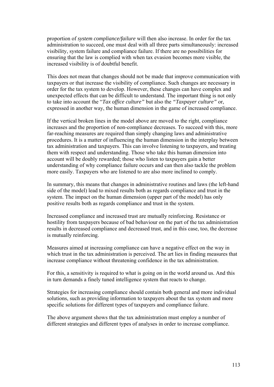proportion of *system compliance/failure* will then also increase. In order for the tax administration to succeed, one must deal with all three parts simultaneously: increased visibility, system failure and compliance failure. If there are no possibilities for ensuring that the law is complied with when tax evasion becomes more visible, the increased visibility is of doubtful benefit.

This does not mean that changes should not be made that improve communication with taxpayers or that increase the visibility of compliance. Such changes are necessary in order for the tax system to develop. However, these changes can have complex and unexpected effects that can be difficult to understand. The important thing is not only to take into account the "*Tax office culture"* but also the *"Taxpayer culture"* or, expressed in another way, the human dimension in the game of increased compliance.

If the vertical broken lines in the model above are moved to the right, compliance increases and the proportion of non-compliance decreases. To succeed with this, more far-reaching measures are required than simply changing laws and administrative procedures. It is a matter of influencing the human dimension in the interplay between tax administration and taxpayers. This can involve listening to taxpayers, and treating them with respect and understanding. Those who take this human dimension into account will be doubly rewarded; those who listen to taxpayers gain a better understanding of why compliance failure occurs and can then also tackle the problem more easily. Taxpayers who are listened to are also more inclined to comply.

In summary, this means that changes in administrative routines and laws (the left-hand side of the model) lead to mixed results both as regards compliance and trust in the system. The impact on the human dimension (upper part of the model) has only positive results both as regards compliance and trust in the system.

Increased compliance and increased trust are mutually reinforcing. Resistance or hostility from taxpayers because of bad behaviour on the part of the tax administration results in decreased compliance and decreased trust, and in this case, too, the decrease is mutually reinforcing.

Measures aimed at increasing compliance can have a negative effect on the way in which trust in the tax administration is perceived. The art lies in finding measures that increase compliance without threatening confidence in the tax administration.

For this, a sensitivity is required to what is going on in the world around us. And this in turn demands a finely tuned intelligence system that reacts to change.

Strategies for increasing compliance should contain both general and more individual solutions, such as providing information to taxpayers about the tax system and more specific solutions for different types of taxpayers and compliance failure.

The above argument shows that the tax administration must employ a number of different strategies and different types of analyses in order to increase compliance.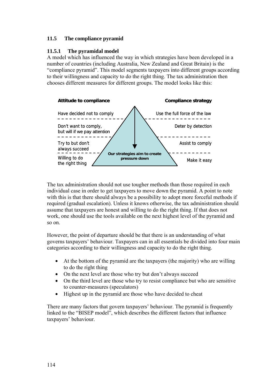## **11.5 The compliance pyramid**

## **11.5.1 The pyramidal model**

A model which has influenced the way in which strategies have been developed in a number of countries (including Australia, New Zealand and Great Britain) is the "compliance pyramid". This model segments taxpayers into different groups according to their willingness and capacity to do the right thing. The tax administration then chooses different measures for different groups. The model looks like this:



The tax administration should not use tougher methods than those required in each individual case in order to get taxpayers to move down the pyramid. A point to note with this is that there should always be a possibility to adopt more forceful methods if required (gradual escalation). Unless it knows otherwise, the tax administration should assume that taxpayers are honest and willing to do the right thing. If that does not work, one should use the tools available on the next highest level of the pyramid and so on.

However, the point of departure should be that there is an understanding of what governs taxpayers' behaviour. Taxpayers can in all essentials be divided into four main categories according to their willingness and capacity to do the right thing.

- At the bottom of the pyramid are the taxpayers (the majority) who are willing to do the right thing
- On the next level are those who try but don't always succeed
- On the third level are those who try to resist compliance but who are sensitive to counter-measures (speculators)
- Highest up in the pyramid are those who have decided to cheat

There are many factors that govern taxpayers' behaviour. The pyramid is frequently linked to the "BISEP model", which describes the different factors that influence taxpayers' behaviour.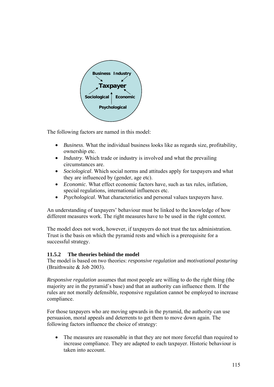

The following factors are named in this model:

- *Business*. What the individual business looks like as regards size, profitability, ownership etc.
- *Industry*. Which trade or industry is involved and what the prevailing circumstances are.
- *Sociological*. Which social norms and attitudes apply for taxpayers and what they are influenced by (gender, age etc).
- *Economic*. What effect economic factors have, such as tax rules, inflation, special regulations, international influences etc.
- *Psychological*. What characteristics and personal values taxpayers have.

An understanding of taxpayers' behaviour must be linked to the knowledge of how different measures work. The right measures have to be used in the right context.

The model does not work, however, if taxpayers do not trust the tax administration. Trust is the basis on which the pyramid rests and which is a prerequisite for a successful strategy.

## **11.5.2 The theories behind the model**

The model is based on two theories: *responsive regulation* and *motivational posturing* (Braithwaite & Job 2003).

*Responsive regulation* assumes that most people are willing to do the right thing (the majority are in the pyramid's base) and that an authority can influence them. If the rules are not morally defensible, responsive regulation cannot be employed to increase compliance.

For those taxpayers who are moving upwards in the pyramid, the authority can use persuasion, moral appeals and deterrents to get them to move down again. The following factors influence the choice of strategy:

• The measures are reasonable in that they are not more forceful than required to increase compliance. They are adapted to each taxpayer. Historic behaviour is taken into account.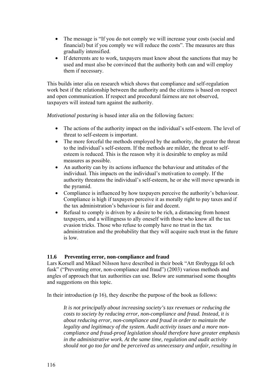- The message is "If you do not comply we will increase your costs (social and financial) but if you comply we will reduce the costs". The measures are thus gradually intensified.
- If deterrents are to work, taxpayers must know about the sanctions that may be used and must also be convinced that the authority both can and will employ them if necessary.

This builds inter alia on research which shows that compliance and self-regulation work best if the relationship between the authority and the citizens is based on respect and open communication. If respect and procedural fairness are not observed, taxpayers will instead turn against the authority.

*Motivational posturing* is based inter alia on the following factors:

- The actions of the authority impact on the individual's self-esteem. The level of threat to self-esteem is important.
- The more forceful the methods employed by the authority, the greater the threat to the individual's self-esteem. If the methods are milder, the threat to selfesteem is reduced. This is the reason why it is desirable to employ as mild measures as possible.
- An authority can by its actions influence the behaviour and attitudes of the individual. This impacts on the individual's motivation to comply. If the authority threatens the individual's self-esteem, he or she will move upwards in the pyramid.
- Compliance is influenced by how taxpayers perceive the authority's behaviour. Compliance is high if taxpayers perceive it as morally right to pay taxes and if the tax administration's behaviour is fair and decent.
- Refusal to comply is driven by a desire to be rich, a distancing from honest taxpayers, and a willingness to ally oneself with those who know all the tax evasion tricks. Those who refuse to comply have no trust in the tax administration and the probability that they will acquire such trust in the future is low.

## **11.6 Preventing error, non-compliance and fraud**

Lars Korsell and Mikael Nilsson have described in their book "Att förebygga fel och fusk" ("Preventing error, non-compliance and fraud") (2003) various methods and angles of approach that tax authorities can use. Below are summarised some thoughts and suggestions on this topic.

In their introduction (p 16), they describe the purpose of the book as follows:

*It is not principally about increasing society's tax revenues or reducing the costs to society by reducing error, non-compliance and fraud. Instead, it is about reducing error, non-compliance and fraud in order to maintain the legality and legitimacy of the system. Audit activity issues and a more noncompliance and fraud-proof legislation should therefore have greater emphasis in the administrative work. At the same time, regulation and audit activity should not go too far and be perceived as unnecessary and unfair, resulting in*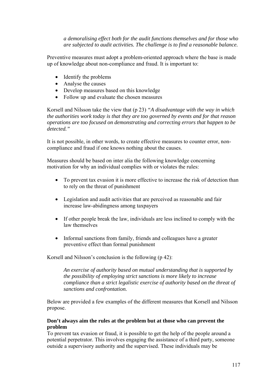*a demoralising effect both for the audit functions themselves and for those who are subjected to audit activities. The challenge is to find a reasonable balance.* 

Preventive measures must adopt a problem-oriented approach where the base is made up of knowledge about non-compliance and fraud. It is important to:

- Identify the problems
- Analyse the causes
- Develop measures based on this knowledge
- Follow up and evaluate the chosen measures

Korsell and Nilsson take the view that (p 23) *"A disadvantage with the way in which the authorities work today is that they are too governed by events and for that reason operations are too focused on demonstrating and correcting errors that happen to be detected."*

It is not possible, in other words, to create effective measures to counter error, noncompliance and fraud if one knows nothing about the causes.

Measures should be based on inter alia the following knowledge concerning motivation for why an individual complies with or violates the rules:

- To prevent tax evasion it is more effective to increase the risk of detection than to rely on the threat of punishment
- Legislation and audit activities that are perceived as reasonable and fair increase law-abidingness among taxpayers
- If other people break the law, individuals are less inclined to comply with the law themselves
- Informal sanctions from family, friends and colleagues have a greater preventive effect than formal punishment

Korsell and Nilsson's conclusion is the following (p 42):

*An exercise of authority based on mutual understanding that is supported by the possibility of employing strict sanctions is more likely to increase compliance than a strict legalistic exercise of authority based on the threat of sanctions and confrontation.* 

Below are provided a few examples of the different measures that Korsell and Nilsson propose.

### **Don't always aim the rules at the problem but at those who can prevent the problem**

To prevent tax evasion or fraud, it is possible to get the help of the people around a potential perpetrator. This involves engaging the assistance of a third party, someone outside a supervisory authority and the supervised. These individuals may be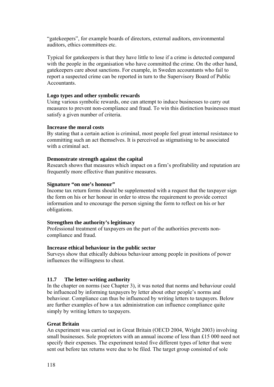"gatekeepers", for example boards of directors, external auditors, environmental auditors, ethics committees etc.

Typical for gatekeepers is that they have little to lose if a crime is detected compared with the people in the organisation who have committed the crime. On the other hand, gatekeepers care about sanctions. For example, in Sweden accountants who fail to report a suspected crime can be reported in turn to the Supervisory Board of Public Accountants.

#### **Logo types and other symbolic rewards**

Using various symbolic rewards, one can attempt to induce businesses to carry out measures to prevent non-compliance and fraud. To win this distinction businesses must satisfy a given number of criteria.

#### **Increase the moral costs**

By stating that a certain action is criminal, most people feel great internal resistance to committing such an act themselves. It is perceived as stigmatising to be associated with a criminal act.

#### **Demonstrate strength against the capital**

Research shows that measures which impact on a firm's profitability and reputation are frequently more effective than punitive measures.

#### **Signature "on one's honour"**

Income tax return forms should be supplemented with a request that the taxpayer sign the form on his or her honour in order to stress the requirement to provide correct information and to encourage the person signing the form to reflect on his or her obligations.

#### **Strengthen the authority's legitimacy**

Professional treatment of taxpayers on the part of the authorities prevents noncompliance and fraud.

### **Increase ethical behaviour in the public sector**

Surveys show that ethically dubious behaviour among people in positions of power influences the willingness to cheat.

### **11.7 The letter-writing authority**

In the chapter on norms (see Chapter 3), it was noted that norms and behaviour could be influenced by informing taxpayers by letter about other people's norms and behaviour. Compliance can thus be influenced by writing letters to taxpayers. Below are further examples of how a tax administration can influence compliance quite simply by writing letters to taxpayers.

### **Great Britain**

An experiment was carried out in Great Britain (OECD 2004, Wright 2003) involving small businesses. Sole proprietors with an annual income of less than £15 000 need not specify their expenses. The experiment tested five different types of letter that were sent out before tax returns were due to be filed. The target group consisted of sole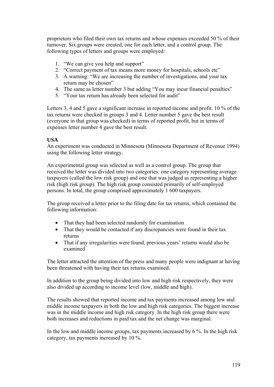proprietors who filed their own tax returns and whose expenses exceeded 50 % of their turnover. Six groups were created, one for each letter, and a control group. The following types of letters and groups were employed:

- 1. "We can give you help and support"
- 2. "Correct payment of tax means more money for hospitals, schools etc"
- 3. A warning: "We are increasing the number of investigations, and your tax return may be chosen"
- 4. The same as letter number 3 but adding "You may incur financial penalties"
- 5. "Your tax return has already been selected for audit"

Letters 3, 4 and 5 gave a significant increase in reported income and profit. 10 % of the tax returns were checked in groups 3 and 4. Letter number 5 gave the best result (everyone in that group was checked) in terms of reported profit, but in terms of expenses letter number 4 gave the best result.

## **USA**

An experiment was conducted in Minnesota (Minnesota Department of Revenue 1994) using the following letter strategy.

An experimental group was selected as well as a control group. The group that received the letter was divided into two categories: one category representing average taxpayers (called the low risk group) and one that was judged as representing a higher risk (high risk group). The high risk group consisted primarily of self-employed persons. In total, the group comprised approximately 1 600 taxpayers.

The group received a letter prior to the filing date for tax returns, which contained the following information:

- That they had been selected randomly for examination
- That they would be contacted if any discrepancies were found in their tax returns
- That if any irregularities were found, previous years' returns would also be examined

The letter attracted the attention of the press and many people were indignant at having been threatened with having their tax returns examined.

In addition to the group being divided into low and high risk respectively, they were also divided up according to income level (low, middle and high).

The results showed that reported income and tax payments increased among low and middle income taxpayers in both the low and high risk categories. The biggest increase was in the middle income and high risk category. In the high risk group there were both increases and reductions in paid tax and the net change was marginal.

In the low and middle income groups, tax payments increased by 6 %. In the high risk category, tax payments increased by 10 %.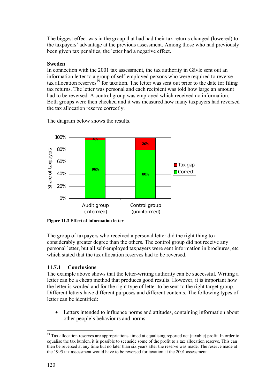The biggest effect was in the group that had had their tax returns changed (lowered) to the taxpayers' advantage at the previous assessment. Among those who had previously been given tax penalties, the letter had a negative effect.

## **Sweden**

In connection with the 2001 tax assessment, the tax authority in Gävle sent out an information letter to a group of self-employed persons who were required to reverse tax allocation reserves<sup>19</sup> for taxation. The letter was sent out prior to the date for filing tax returns. The letter was personal and each recipient was told how large an amount had to be reversed. A control group was employed which received no information. Both groups were then checked and it was measured how many taxpayers had reversed the tax allocation reserve correctly.

The diagram below shows the results.



**Figure 11.3 Effect of information letter** 

The group of taxpayers who received a personal letter did the right thing to a considerably greater degree than the others. The control group did not receive any personal letter, but all self-employed taxpayers were sent information in brochures, etc which stated that the tax allocation reserves had to be reversed.

# **11.7.1 Conclusions**

The example above shows that the letter-writing authority can be successful. Writing a letter can be a cheap method that produces good results. However, it is important how the letter is worded and for the right type of letter to be sent to the right target group. Different letters have different purposes and different contents. The following types of letter can be identified:

• Letters intended to influence norms and attitudes, containing information about other people's behaviours and norms

÷.

<sup>&</sup>lt;sup>19</sup> Tax allocation reserves are appropriations aimed at equalising reported net (taxable) profit. In order to equalise the tax burden, it is possible to set aside some of the profit to a tax allocation reserve. This can then be reversed at any time but no later than six years after the reserve was made. The reserve made at the 1995 tax assessment would have to be reversed for taxation at the 2001 assessment.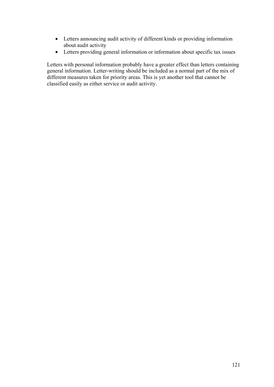- Letters announcing audit activity of different kinds or providing information about audit activity
- Letters providing general information or information about specific tax issues

Letters with personal information probably have a greater effect than letters containing general information. Letter-writing should be included as a normal part of the mix of different measures taken for priority areas. This is yet another tool that cannot be classified easily as either service or audit activity.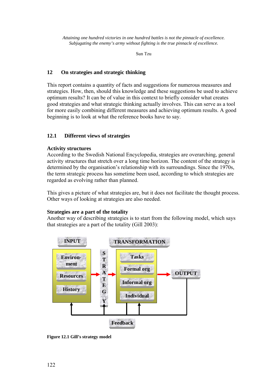*Attaining one hundred victories in one hundred battles is not the pinnacle of excellence. Subjugating the enemy's army without fighting is the true pinnacle of excellence.* 

Sun Tzu

## **12 On strategies and strategic thinking**

This report contains a quantity of facts and suggestions for numerous measures and strategies. How, then, should this knowledge and these suggestions be used to achieve optimum results? It can be of value in this context to briefly consider what creates good strategies and what strategic thinking actually involves. This can serve as a tool for more easily combining different measures and achieving optimum results. A good beginning is to look at what the reference books have to say.

## **12.1 Different views of strategies**

### **Activity structures**

According to the Swedish National Encyclopedia, strategies are overarching, general activity structures that stretch over a long time horizon. The content of the strategy is determined by the organisation's relationship with its surroundings. Since the 1970s, the term strategic process has sometime been used, according to which strategies are regarded as evolving rather than planned.

This gives a picture of what strategies are, but it does not facilitate the thought process. Other ways of looking at strategies are also needed.

### **Strategies are a part of the totality**

Another way of describing strategies is to start from the following model, which says that strategies are a part of the totality (Gill 2003):



**Figure 12.1 Gill's strategy model**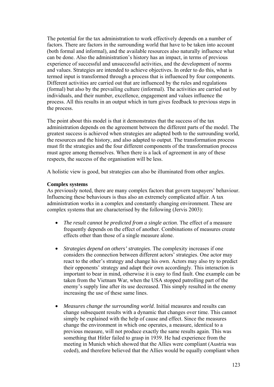The potential for the tax administration to work effectively depends on a number of factors. There are factors in the surrounding world that have to be taken into account (both formal and informal), and the available resources also naturally influence what can be done. Also the administration's history has an impact, in terms of previous experience of successful and unsuccessful activities, and the development of norms and values. Strategies are intended to achieve objectives. In order to do this, what is termed input is transformed through a process that is influenced by four components. Different activities are carried out that are influenced by the rules and regulations (formal) but also by the prevailing culture (informal). The activities are carried out by individuals, and their number, excellence, engagement and values influence the process. All this results in an output which in turn gives feedback to previous steps in the process.

The point about this model is that it demonstrates that the success of the tax administration depends on the agreement between the different parts of the model. The greatest success is achieved when strategies are adapted both to the surrounding world, the resources and the history, and also adapted to output. The transformation process must fit the strategies and the four different components of the transformation process must agree among themselves. When there is a lack of agreement in any of these respects, the success of the organisation will be less.

A holistic view is good, but strategies can also be illuminated from other angles.

## **Complex systems**

As previously noted, there are many complex factors that govern taxpayers' behaviour. Influencing these behaviours is thus also an extremely complicated affair. A tax administration works in a complex and constantly changing environment. These are complex systems that are characterised by the following (Jervis 2003):

- *The result cannot be predicted from a single action*. The effect of a measure frequently depends on the effect of another. Combinations of measures create effects other than those of a single measure alone.
- *Strategies depend on others' strategies*. The complexity increases if one considers the connection between different actors' strategies. One actor may react to the other's strategy and change his own. Actors may also try to predict their opponents' strategy and adapt their own accordingly. This interaction is important to bear in mind, otherwise it is easy to find fault. One example can be taken from the Vietnam War, when the USA stopped patrolling part of the enemy's supply line after its use decreased. This simply resulted in the enemy increasing the use of these same lines.
- *Measures change the surrounding world*. Initial measures and results can change subsequent results with a dynamic that changes over time. This cannot simply be explained with the help of cause and effect. Since the measures change the environment in which one operates, a measure, identical to a previous measure, will not produce exactly the same results again. This was something that Hitler failed to grasp in 1939. He had experience from the meeting in Munich which showed that the Allies were compliant (Austria was ceded), and therefore believed that the Allies would be equally compliant when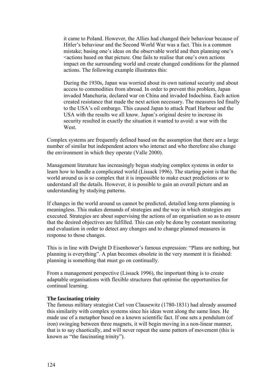it came to Poland. However, the Allies had changed their behaviour because of Hitler's behaviour and the Second World War was a fact. This is a common mistake; basing one's ideas on the observable world and then planning one's <actions based on that picture. One fails to realise that one's own actions impact on the surrounding world and create changed conditions for the planned actions. The following example illustrates this:

During the 1930s, Japan was worried about its own national security and about access to commodities from abroad. In order to prevent this problem, Japan invaded Manchuria, declared war on China and invaded Indochina. Each action created resistance that made the next action necessary. The measures led finally to the USA's oil embargo. This caused Japan to attack Pearl Harbour and the USA with the results we all know. Japan's original desire to increase its security resulted in exactly the situation it wanted to avoid: a war with the West.

Complex systems are frequently defined based on the assumption that there are a large number of similar but independent actors who interact and who therefore also change the environment in which they operate (Valle 2000).

Management literature has increasingly begun studying complex systems in order to learn how to handle a complicated world (Lissack 1996). The starting point is that the world around us is so complex that it is impossible to make exact predictions or to understand all the details. However, it is possible to gain an overall picture and an understanding by studying patterns.

If changes in the world around us cannot be predicted, detailed long-term planning is meaningless. This makes demands of strategies and the way in which strategies are executed. Strategies are about supervising the actions of an organisation so as to ensure that the desired objectives are fulfilled. This can only be done by constant monitoring and evaluation in order to detect any changes and to change planned measures in response to those changes.

This is in line with Dwight D Eisenhower's famous expression: "Plans are nothing, but planning is everything". A plan becomes obsolete in the very moment it is finished: planning is something that must go on continually.

From a management perspective (Lissack 1996), the important thing is to create adaptable organisations with flexible structures that optimise the opportunities for continual learning.

### **The fascinating trinity**

The famous military strategist Carl von Clausewitz (1780-1831) had already assumed this similarity with complex systems since his ideas went along the same lines. He made use of a metaphor based on a known scientific fact. If one sets a pendulum (of iron) swinging between three magnets, it will begin moving in a non-linear manner, that is to say chaotically, and will never repeat the same pattern of movement (this is known as "the fascinating trinity").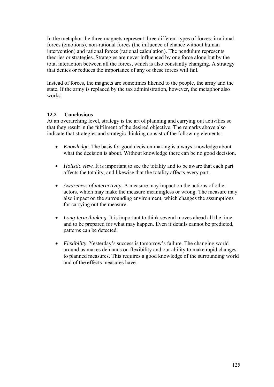In the metaphor the three magnets represent three different types of forces: irrational forces (emotions), non-rational forces (the influence of chance without human intervention) and rational forces (rational calculation). The pendulum represents theories or strategies. Strategies are never influenced by one force alone but by the total interaction between all the forces, which is also constantly changing. A strategy that denies or reduces the importance of any of these forces will fail.

Instead of forces, the magnets are sometimes likened to the people, the army and the state. If the army is replaced by the tax administration, however, the metaphor also works.

## **12.2 Conclusions**

At an overarching level, strategy is the art of planning and carrying out activities so that they result in the fulfilment of the desired objective. The remarks above also indicate that strategies and strategic thinking consist of the following elements:

- *Knowledge*. The basis for good decision making is always knowledge about what the decision is about. Without knowledge there can be no good decision.
- *Holistic view.* It is important to see the totality and to be aware that each part affects the totality, and likewise that the totality affects every part.
- *Awareness of interactivity.* A measure may impact on the actions of other actors, which may make the measure meaningless or wrong. The measure may also impact on the surrounding environment, which changes the assumptions for carrying out the measure.
- *Long-term thinking.* It is important to think several moves ahead all the time and to be prepared for what may happen. Even if details cannot be predicted, patterns can be detected.
- *Flexibility.* Yesterday's success is tomorrow's failure. The changing world around us makes demands on flexibility and our ability to make rapid changes to planned measures. This requires a good knowledge of the surrounding world and of the effects measures have.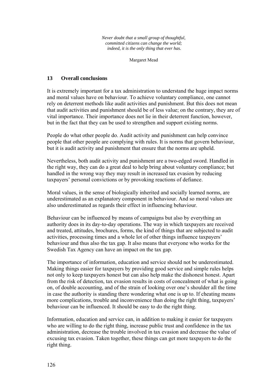*Never doubt that a small group of thoughtful, committed citizens can change the world; indeed, it is the only thing that ever has.* 

Margaret Mead

### **13 Overall conclusions**

It is extremely important for a tax administration to understand the huge impact norms and moral values have on behaviour. To achieve voluntary compliance, one cannot rely on deterrent methods like audit activities and punishment. But this does not mean that audit activities and punishment should be of less value; on the contrary, they are of vital importance. Their importance does not lie in their deterrent function, however, but in the fact that they can be used to strengthen and support existing norms.

People do what other people do. Audit activity and punishment can help convince people that other people are complying with rules. It is norms that govern behaviour, but it is audit activity and punishment that ensure that the norms are upheld.

Nevertheless, both audit activity and punishment are a two-edged sword. Handled in the right way, they can do a great deal to help bring about voluntary compliance; but handled in the wrong way they may result in increased tax evasion by reducing taxpayers' personal convictions or by provoking reactions of defiance.

Moral values, in the sense of biologically inherited and socially learned norms, are underestimated as an explanatory component in behaviour. And so moral values are also underestimated as regards their effect in influencing behaviour.

Behaviour can be influenced by means of campaigns but also by everything an authority does in its day-to-day operations. The way in which taxpayers are received and treated, attitudes, brochures, forms, the kind of things that are subjected to audit activities, processing times and a whole lot of other things influence taxpayers' behaviour and thus also the tax gap. It also means that everyone who works for the Swedish Tax Agency can have an impact on the tax gap.

The importance of information, education and service should not be underestimated. Making things easier for taxpayers by providing good service and simple rules helps not only to keep taxpayers honest but can also help make the dishonest honest. Apart from the risk of detection, tax evasion results in costs of concealment of what is going on, of double accounting, and of the strain of looking over one's shoulder all the time in case the authority is standing there wondering what one is up to. If cheating means more complications, trouble and inconvenience than doing the right thing, taxpayers' behaviour can be influenced. It should be easy to do the right thing.

Information, education and service can, in addition to making it easier for taxpayers who are willing to do the right thing, increase public trust and confidence in the tax administration, decrease the trouble involved in tax evasion and decrease the value of excusing tax evasion. Taken together, these things can get more taxpayers to do the right thing.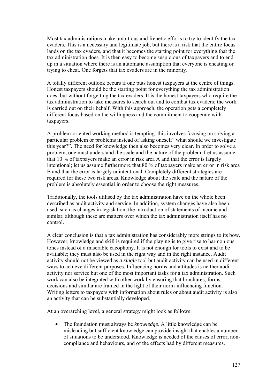Most tax administrations make ambitious and frenetic efforts to try to identify the tax evaders. This is a necessary and legitimate job, but there is a risk that the entire focus lands on the tax evaders, and that it becomes the starting point for everything that the tax administration does. It is then easy to become suspicious of taxpayers and to end up in a situation where there is an automatic assumption that everyone is cheating or trying to cheat. One forgets that tax evaders are in the minority.

A totally different outlook occurs if one puts honest taxpayers at the centre of things. Honest taxpayers should be the starting point for everything the tax administration does, but without forgetting the tax evaders. It is the honest taxpayers who require the tax administration to take measures to search out and to combat tax evaders; the work is carried out on their behalf. With this approach, the operation gets a completely different focus based on the willingness and the commitment to cooperate with taxpayers.

A problem-oriented working method is tempting: this involves focusing on solving a particular problem or problems instead of asking oneself "what should we investigate this year?". The need for knowledge then also becomes very clear. In order to solve a problem, one must understand the scale and the nature of the problem. Let us assume that 10 % of taxpayers make an error in risk area A and that the error is largely intentional; let us assume furthermore that 80 % of taxpayers make an error in risk area B and that the error is largely unintentional. Completely different strategies are required for these two risk areas. Knowledge about the scale and the nature of the problem is absolutely essential in order to choose the right measures.

Traditionally, the tools utilised by the tax administration have on the whole been described as audit activity and service. In addition, system changes have also been used, such as changes in legislation, the introduction of statements of income and similar, although these are matters over which the tax administration itself has no control.

A clear conclusion is that a tax administration has considerably more strings to its bow. However, knowledge and skill is required if the playing is to give rise to harmonious tones instead of a miserable cacophony. It is not enough for tools to exist and to be available; they must also be used in the right way and in the right instance. Audit activity should not be viewed as *a single* tool but audit activity can be used in different ways to achieve different purposes. Influencing norms and attitudes is neither audit activity nor service but one of the most important tasks for a tax administration. Such work can also be integrated with other work by ensuring that brochures, forms, decisions and similar are framed in the light of their norm-influencing function. Writing letters to taxpayers with information about rules or about audit activity is also an activity that can be substantially developed.

At an overarching level, a general strategy might look as follows:

• The foundation must always be *knowledge*. A little knowledge can be misleading but sufficient knowledge can provide insight that enables a number of situations to be understood. Knowledge is needed of the causes of error, noncompliance and behaviours, and of the effects had by different measures.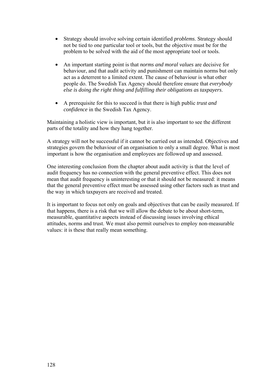- Strategy should involve solving certain identified *problems*. Strategy should not be tied to one particular tool or tools, but the objective must be for the problem to be solved with the aid of the most appropriate tool or tools.
- An important starting point is that *norms and moral values* are decisive for behaviour, and that audit activity and punishment can maintain norms but only act as a deterrent to a limited extent. The cause of behaviour is what other people do. The Swedish Tax Agency should therefore ensure that *everybody else is doing the right thing and fulfilling their obligations as taxpayers*.
- A prerequisite for this to succeed is that there is high public *trust and confidence* in the Swedish Tax Agency.

Maintaining a holistic view is important, but it is also important to see the different parts of the totality and how they hang together.

A strategy will not be successful if it cannot be carried out as intended. Objectives and strategies govern the behaviour of an organisation to only a small degree. What is most important is how the organisation and employees are followed up and assessed.

One interesting conclusion from the chapter about audit activity is that the level of audit frequency has no connection with the general preventive effect. This does not mean that audit frequency is uninteresting or that it should not be measured: it means that the general preventive effect must be assessed using other factors such as trust and the way in which taxpayers are received and treated.

It is important to focus not only on goals and objectives that can be easily measured. If that happens, there is a risk that we will allow the debate to be about short-term, measurable, quantitative aspects instead of discussing issues involving ethical attitudes, norms and trust. We must also permit ourselves to employ non-measurable values: it is these that really mean something.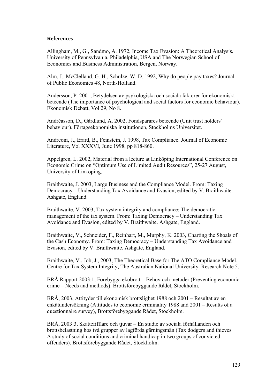### **References**

Allingham, M., G., Sandmo, A. 1972, Income Tax Evasion: A Theoretical Analysis. University of Pennsylvania, Philadelphia, USA and The Norwegian School of Economics and Business Administration, Bergen, Norway.

Alm, J., McClelland, G. H., Schulze, W. D. 1992, Why do people pay taxes? Journal of Public Economics 48, North-Holland.

Andersson, P. 2001, Betydelsen av psykologiska och sociala faktorer för ekonomiskt beteende (The importance of psychological and social factors for economic behaviour). Ekonomisk Debatt, Vol 29, No 8.

Andréasson, D., Gårdlund, A. 2002, Fondsparares beteende (Unit trust holders' behaviour). Förtagsekonomiska institutionen, Stockholms Universitet.

Andreoni, J., Erard, B., Feinstein, J. 1998, Tax Compliance. Journal of Economic Literature, Vol XXXVI, June 1998, pp 818-860.

Appelgren, L. 2002, Material from a lecture at Linköping International Conference on Economic Crime on "Optimum Use of Limited Audit Resources", 25-27 August, University of Linköping.

Braithwaite, J. 2003, Large Business and the Compliance Model. From: Taxing Democracy – Understanding Tax Avoidance and Evasion, edited by V. Braithwaite. Ashgate, England.

Braithwaite, V. 2003, Tax system integrity and compliance: The democratic management of the tax system. From: Taxing Democracy – Understanding Tax Avoidance and Evasion, edited by V. Braithwaite. Ashgate, England.

Braithwaite, V., Schneider, F., Reinhart, M., Murphy, K. 2003, Charting the Shoals of the Cash Economy. From: Taxing Democracy – Understanding Tax Avoidance and Evasion, edited by V. Braithwaite. Ashgate, England.

Braithwaite, V., Job, J., 2003, The Theoretical Base for The ATO Compliance Model. Centre for Tax System Integrity, The Australian National University. Research Note 5.

BRÅ Rapport 2003:1, Förebygga ekobrott – Behov och metoder (Preventing economic crime – Needs and methods). Brottsförebyggande Rådet, Stockholm.

BRÅ, 2003, Attityder till ekonomisk brottslighet 1988 och 2001 – Resultat av en enkätundersökning (Attitudes to economic criminality 1988 and 2001 – Results of a questionnaire survey), Brottsförebyggande Rådet, Stockholm.

BRÅ, 2003:3, Skattefifflare och tjuvar – En studie av sociala förhållanden och brottsbelastning hos två grupper av lagförda gärningsmän (Tax dodgers and thieves − A study of social conditions and criminal handicap in two groups of convicted offenders). Brottsförebyggande Rådet, Stockholm.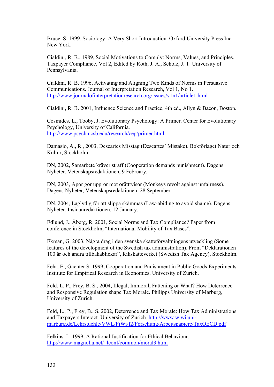Bruce, S. 1999, Sociology: A Very Short Introduction. Oxford University Press Inc. New York.

Cialdini, R. B., 1989, Social Motivations to Comply: Norms, Values, and Principles. Taxpayer Compliance, Vol 2, Edited by Roth, J. A., Scholz, J. T. University of Pennsylvania.

Cialdini, R. B. 1996, Activating and Aligning Two Kinds of Norms in Persuasive Communications. Journal of Interpretation Research, Vol 1, No 1. http://www.journalofinterpretationresearch.org/issues/v1n1/article1.html

Cialdini, R. B. 2001, Influence Science and Practice, 4th ed., Allyn & Bacon, Boston.

Cosmides, L., Tooby, J. Evolutionary Psychology: A Primer. Center for Evolutionary Psychology, University of California. http://www.psych.ucsb.edu/research/cep/primer.html

Damasio, A., R., 2003, Descartes Misstag (Descartes' Mistake). Bokförlaget Natur och Kultur, Stockholm.

DN, 2002, Samarbete kräver straff (Cooperation demands punishment). Dagens Nyheter, Vetenskapsredaktionen, 9 February.

DN, 2003, Apor gör uppror mot orätttvisor (Monkeys revolt against unfairness). Dagens Nyheter, Vetenskapsredaktionen, 28 September.

DN, 2004, Laglydig för att slippa skämmas (Law-abiding to avoid shame). Dagens Nyheter, Insidanredaktionen, 12 January.

Edlund, J., Åberg, R. 2001, Social Norms and Tax Compliance? Paper from conference in Stockholm, "International Mobility of Tax Bases".

Ekman, G. 2003, Några drag i den svenska skatteförvaltningens utveckling (Some features of the development of the Swedish tax administration). From "Deklarationen 100 år och andra tillbakablickar", Rikskatteverket (Swedish Tax Agency), Stockholm.

Fehr, E., Gächter S. 1999, Cooperation and Punishment in Public Goods Experiments. Institute for Empirical Research in Economics, University of Zurich.

Feld, L. P., Frey, B. S., 2004, Illegal, Immoral, Fattening or What? How Deterrence and Responsive Regulation shape Tax Morale. Philipps University of Marburg, University of Zurich.

Feld, L., P., Frey, B., S. 2002, Deterrence and Tax Morale: How Tax Administrations and Taxpayers Interact. University of Zurich. http://www.wiwi.unimarburg.de/Lehrstuehle/VWL/FiWi/f2/Forschung/Arbeitspapiere/TaxOECD.pdf

Felkins, L. 1999, A Rational Justification for Ethical Behaviour. http://www.magnolia.net/~leonf/common/moral3.html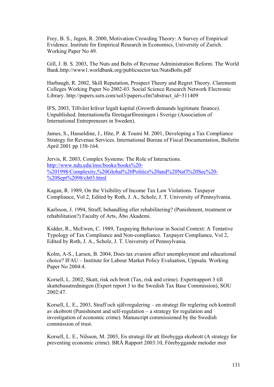Frey, B. S., Jegen, R. 2000, Motivation Crowding Theory: A Survey of Empirical Evidence. Institute for Empirical Research in Economics, University of Zurich. Working Paper No 49.

Gill, J. B. S. 2003, The Nuts and Bolts of Revenue Administration Reform. The World Bank.http://www1.worldbank.org/publicsector/tax/NutsBolts.pdf

Harbaugh, R. 2002, Skill Reputation, Prospect Theory and Regret Theory. Claremont Colleges Working Paper No 2002-03. Social Science Research Network Electronic Library. http://papers.ssrn.com/sol3/papers.cfm?abstract\_id=311409

IFS, 2003, Tillväxt kräver legalt kapital (Growth demands legitimate finance). Unpublished. Internationella företagarföreningen i Sverige (Association of International Entrepreneurs in Sweden).

James, S., Hasseldine, J., Hite, P. & Toumi M. 2001, Developing a Tax Compliance Strategy for Revenue Services. International Bureau of Fiscal Documentation, Bulletin April 2001 pp 158-164.

Jervis, R. 2003, Complex Systems: The Role of Interactions. http://www.ndu.edu/inss/books/books%20-%201998/Complexity,%20Global%20Politics%20and%20Nat'l%20Sec%20- %20Sept%2098/ch03.html

Kagan, R. 1989, On the Visibility of Income Tax Law Violations. Taxpayer Compliance, Vol 2, Edited by Roth, J. A., Scholz, J. T. University of Pennsylvania.

Karlsson, J. 1994, Straff, behandling eller rehabilitering? (Punishment, treatment or rehabilitation?) Faculty of Arts, Åbo Akademi.

Kidder, R., McEwen, C. 1989, Taxpaying Behaviour in Social Context: A Tentative Typology of Tax Compliance and Non-compliance. Taxpayer Compliance, Vol 2, Edited by Roth, J. A., Scholz, J. T. University of Pennsylvania.

Kolm, A-S., Larsen, B. 2004, Does tax evasion affect unemployment and educational choice? IFAU – Institute for Labour Market Policy Evaluation, Uppsala. Working Paper No 2004:4.

Korsell, L. 2002, Skatt, risk och brott (Tax, risk and crime). Expertrapport 3 till skattebasutredningen (Expert report 3 to the Swedish Tax Base Commission), SOU 2002:47.

Korsell, L. E., 2003, Straff och självregulering – en strategi för reglering och kontroll av ekobrott (Punishment and self-regulation – a strategy for regulation and investigation of economic crime). Manuscript commissioned by the Swedish commission of trust.

Korsell, L. E., Nilsson, M. 2003, En strategi för att förebygga ekobrott (A strategy for preventing economic crime). BRÅ Rapport 2003:10, Förebyggande metoder mot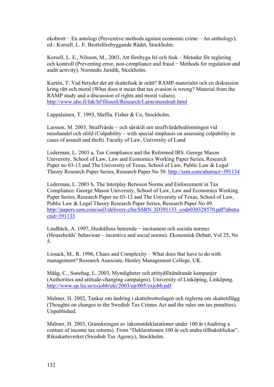ekobrott − En antologi (Preventive methods against economic crime – An anthology), ed.: Korsell, L. E. Brottsförebyggande Rådet, Stockholm.

Korsell, L. E., Nilsson, M., 2003, Att förebyga fel och fusk – Metoder för reglering och kontroll (Preventing error, non-compliance and fraud − Methods for regulation and audit activity). Norstedts Juridik, Stockholm.

Kurtén, T. Vad betyder det att skattefusk är orätt? RAMP-materialet och en diskussion kring rätt och moral (What does it mean that tax evasion is wrong? Material from the RAMP study and a discussion of rights and moral values). http://www.abo.fi/fak/hf/filosofi/Research/Larm/moralratt.html

Lappalainen, T. 1993, Maffia. Fisher & Co, Stockholm.

Larsson, M. 2003, Straffvärde − och särskilt om straffvärdebedömningen vid misshandel och stöld (Culpability – with special emphasis on assessing culpability in cases of assault and theft). Faculty of Law, University of Lund

Lederman, L. 2003 a, Tax Compliance and the Reformed IRS. George Mason University, School of Law, Law and Economics Working Paper Series, Research Paper no 03-13 and The University of Texas, School of Law, Public Law & Legal Theory Research Paper Series, Research Paper No 50. http://ssrn.com/abstract=391134

Lederman, L. 2003 b, The Interplay Between Norms and Enforcement in Tax Compliance. George Mason University, School of Law, Law and Economics Working Paper Series, Research Paper no 03-12 and The University of Texas, School of Law, Public Law & Legal Theory Research Paper Series, Research Paper No 49. http://papers.ssrn.com/sol3/delivery.cfm/SSRN\_ID391133\_code030328570.pdf?abstra ctid=391133

Lindbäck, A. 1997, Hushållens beteende − incitament och sociala normer. (Households' behaviour – incentive and social norms). Ekonomisk Debatt, Vol 25, No 5.

Lissack, M., R. 1996, Chaos and Complexity – What does that have to do with management? Research Associate, Henley Management College, UK.

Mååg, C., Sunehag, L. 2003, Myndigheter och attitydförändrande kampanjer (Authorities and attitude-changing campaigns). University of Linköping, Linköping. http://www.ep.liu.se/exjobb/eki/2003/ep/005/exjobb.pdf

Malmer, H. 2002, Tankar om ändring i skattebrottsslagen och reglerna om skattetillägg (Thoughts on changes to the Swedish Tax Crimes Act and the rules om tax penalties). Unpublished.

Malmer, H. 2003, Granskningen av inkomstdeklarationer under 100 år (Auditing a centure of income tax returns). From "Deklarationen 100 år och andra tillbakablickar", Riksskatteverket (Swedish Tax Agency), Stockholm.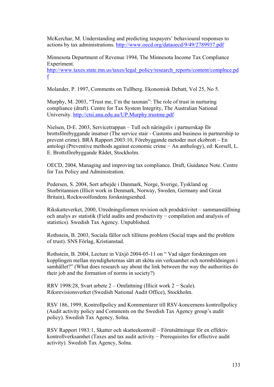McKerchar, M. Understanding and predicting taxpayers' behavioural responses to actions by tax administrations. http://www.oecd.org/dataoecd/9/49/2789937.pdf

Minnesota Department of Revenue 1994, The Minnesota Income Tax Compliance Experiment. http://www.taxes.state.mn.us/taxes/legal\_policy/research\_reports/content/complnce.pd

Molander, P. 1997, Comments on Tullberg. Ekonomisk Debatt, Vol 25, No 5.

f

Murphy, M. 2003, "Trust me, I'm the taxman": The role of trust in nurturing compliance (draft). Centre for Tax System Integrity, The Australian National University. http://ctsi.anu.edu.au/UP.Murphy.trustme.pdf

Nielsen, D-E. 2003, Servicetrappan – Tull och näringsliv i partnerskap för brottsförebyggande insatser (The service stair - Customs and business in partnership to prevent crime). BRÅ Rapport 2003:10, Förebyggande metoder mot ekobrott – En antologi (Preventive methods against economic crime − An anthology), ed: Korsell, L. E. Brottsförebyggande Rådet, Stockholm.

OECD, 2004, Managing and improving tax compliance. Draft, Guidance Note. Centre for Tax Policy and Administration.

Pedersen, S. 2004, Sort arbejde i Danmark, Norge, Sverige, Tyskland og Storbritannien (Illicit work in Denmark, Norway, Sweden, Germany and Great Britain), Rockwoolfondens forskningsenhed.

Rikskatteverket, 2000, Utredningsformen revision och produktivitet – sammanställning och analys av statistik (Field audits and productivity − compilation and analysis of statistics). Swedish Tax Agency. Unpublished.

Rothstein, B. 2003, Sociala fällor och tillitens problem (Social traps and the problem of trust). SNS Förlag, Kristianstad.

Rothstein, B. 2004, Lecture in Växjö 2004-05-11 on " Vad säger forskningen om kopplingen mellan myndigheternas sätt att sköta sin verksamhet och normbildningen i samhället?" (What does research say about the link between the way the authorities do their job and the formation of norms in society?)

RRV 1998:28, Svart arbete 2 – Omfattning (Illicit work 2 − Scale). Riksrevisionsverket (Swedish National Audit Office), Stockholm.

RSV 186, 1999, Kontrollpolicy and Kommentarer till RSV-koncernens kontrollpolicy (Audit activity policy and Comments on the Swedish Tax Agency group's audit policy). Swedish Tax Agency, Solna.

RSV Rapport 1983:1, Skatter och skatteekontroll – Förutsättningar för en effektiv kontrollverksamhet (Taxes and tax audit activity − Prerequisites for effective audit activity). Swedish Tax Agency, Solna.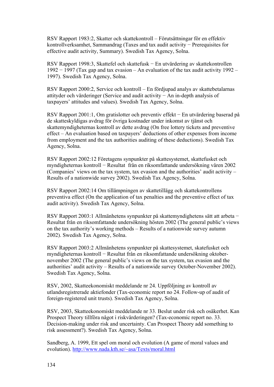RSV Rapport 1983:2, Skatter och skattekontroll – Förutsättningar för en effektiv kontrollverksamhet, Sammandrag (Taxes and tax audit activity − Prerequisites for effective audit activity, Summary). Swedish Tax Agency, Solna.

RSV Rapport 1998:3, Skattefel och skattefusk − En utvärdering av skattekontrollen 1992 − 1997 (Tax gap and tax evasion – An evaluation of the tax audit activity 1992 – 1997). Swedish Tax Agency, Solna.

RSV Rapport 2000:2, Service och kontroll – En fördjupad analys av skattebetalarnas attityder och värderinger (Service and audit activity − An in-depth analysis of taxpayers' attitudes and values). Swedish Tax Agency, Solna.

RSV Rapport 2001:1, Om gratislotter och preventiv effekt − En utvärdering baserad på de skatteskyldigas avdrag för övriga kostnader under inkomst av tjänst och skattemyndigheternas kontroll av dette avdrag (On free lottery tickets and preventive effect – An evaluation based on taxpayers' deductions of other expenses from income from employment and the tax authorities auditing of these deductions). Swedish Tax Agency, Solna.

RSV Rapport 2002:12 Företagens synpunkter på skattesystemet, skattefusket och myndigheternas kontroll − Resultat från en riksomfattande undersökning våren 2002 (Companies' views on the tax system, tax evasion and the authorities' audit activity – Results of a nationwide survey 2002). Swedish Tax Agency, Solna.

RSV Rapport 2002:14 Om tillämpningen av skattetillägg och skattekontrollens preventiva effect (On the application of tax penalties and the preventive effect of tax audit activity). Swedish Tax Agency, Solna.

RSV Rapport 2003:1 Allmänhetens synpunkter på skattemyndighetens sätt att arbeta − Resultat från en riksomfattande undersökning hösten 2002 (The general public's views on the tax authority's working methods – Results of a nationwide survey autumn 2002). Swedish Tax Agency, Solna.

RSV Rapport 2003:2 Allmänhetens synpunkter på skattesystemet, skatefusket och myndigheternas kontroll − Resultat från en riksomfattande undersökning oktobernovember 2002 (The general public's views on the tax system, tax evasion and the authorities' audit activity – Results of a nationwide survey October-November 2002). Swedish Tax Agency, Solna.

RSV, 2002, Skatteekonomiskt meddelande nr 24. Uppföljning av kontroll av utlandsregistrerade aktiefonder (Tax-economic report no 24. Follow-up of audit of foreign-registered unit trusts). Swedish Tax Agency, Solna.

RSV, 2003, Skatteekonomiskt meddelande nr 33. Beslut under risk och osäkerhet. Kan Prospect Theory tillföra något i riskvärderingen? (Tax-economic report no. 33. Decision-making under risk and uncertainty. Can Prospect Theory add something to risk assessment?). Swedish Tax Agency, Solna.

Sandberg, A. 1999, Ett spel om moral och evolution (A game of moral values and evolution). http://www.nada.kth.se/~asa/Texts/moral.html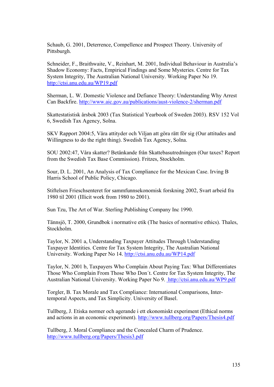Schaub, G. 2001, Deterrence, Compellence and Prospect Theory. University of Pittsburgh.

Schneider, F., Braithwaite, V., Reinhart, M. 2001, Individual Behaviour in Australia's Shadow Economy: Facts, Empirical Findings and Some Mysteries. Centre for Tax System Integrity, The Australian National University. Working Paper No 19. http://ctsi.anu.edu.au/WP19.pdf

Sherman, L. W. Domestic Violence and Defiance Theory: Understanding Why Arrest Can Backfire. http://www.aic.gov.au/publications/aust-violence-2/sherman.pdf

Skattestatistisk årsbok 2003 (Tax Statistical Yearbook of Sweden 2003). RSV 152 Vol 6, Swedish Tax Agency, Solna.

SKV Rapport 2004:5, Våra attityder och Viljan att göra rätt för sig (Our attitudes and Willingness to do the right thing). Swedish Tax Agency, Solna.

SOU 2002:47, Våra skatter? Betänkande från Skattebasutredningen (Our taxes? Report from the Swedish Tax Base Commission). Fritzes, Stockholm.

Sour, D. L. 2001, An Analysis of Tax Compliance for the Mexican Case. Irving B Harris School of Public Policy, Chicago.

Stiftelsen Frieschsenteret for sammfunnsekonomisk forskning 2002, Svart arbeid fra 1980 til 2001 (Illicit work from 1980 to 2001).

Sun Tzu, The Art of War. Sterling Publishing Company Inc 1990.

Tännsjö, T. 2000, Grundbok i normative etik (The basics of normative ethics). Thales, Stockholm.

Taylor, N. 2001 a, Understanding Taxpayer Attitudes Through Understanding Taxpayer Identities. Centre for Tax System Integrity, The Australian National University. Working Paper No 14. http://ctsi.anu.edu.au/WP14.pdf

Taylor, N. 2001 b, Taxpayers Who Complain About Paying Tax: What Differentiates Those Who Complain From Those Who Don´t. Centre for Tax System Integrity, The Australian National University. Working Paper No 9. http://ctsi.anu.edu.au/WP9.pdf

Torgler, B. Tax Morale and Tax Compliance: International Comparisons, Intertemporal Aspects, and Tax Simplicity. University of Basel.

Tullberg, J. Etiska normer och agerande i ett ekonomiskt experiment (Ethical norms and actions in an economic experiment). http://www.tullberg.org/Papers/Thesis4.pdf

Tullberg, J. Moral Compliance and the Concealed Charm of Prudence. http://www.tullberg.org/Papers/Thesis3.pdf